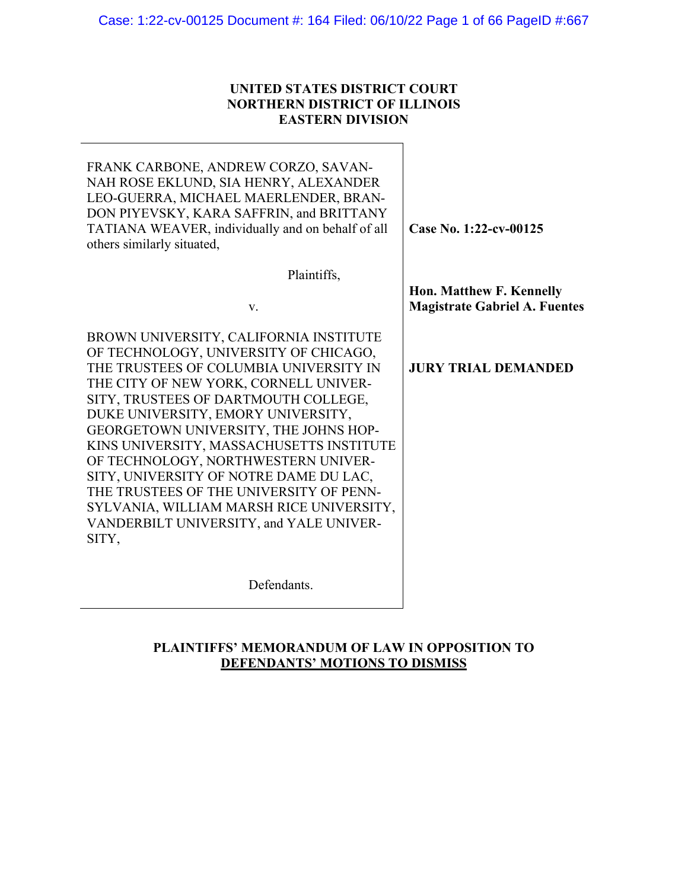## **UNITED STATES DISTRICT COURT NORTHERN DISTRICT OF ILLINOIS EASTERN DIVISION**

| FRANK CARBONE, ANDREW CORZO, SAVAN-<br>NAH ROSE EKLUND, SIA HENRY, ALEXANDER<br>LEO-GUERRA, MICHAEL MAERLENDER, BRAN-<br>DON PIYEVSKY, KARA SAFFRIN, and BRITTANY<br>TATIANA WEAVER, individually and on behalf of all<br>others similarly situated,                                                                                                                                                                                                                                                                                                              | Case No. 1:22-cv-00125                                           |
|-------------------------------------------------------------------------------------------------------------------------------------------------------------------------------------------------------------------------------------------------------------------------------------------------------------------------------------------------------------------------------------------------------------------------------------------------------------------------------------------------------------------------------------------------------------------|------------------------------------------------------------------|
| Plaintiffs,                                                                                                                                                                                                                                                                                                                                                                                                                                                                                                                                                       |                                                                  |
| V.                                                                                                                                                                                                                                                                                                                                                                                                                                                                                                                                                                | Hon. Matthew F. Kennelly<br><b>Magistrate Gabriel A. Fuentes</b> |
| BROWN UNIVERSITY, CALIFORNIA INSTITUTE<br>OF TECHNOLOGY, UNIVERSITY OF CHICAGO,<br>THE TRUSTEES OF COLUMBIA UNIVERSITY IN<br>THE CITY OF NEW YORK, CORNELL UNIVER-<br>SITY, TRUSTEES OF DARTMOUTH COLLEGE,<br>DUKE UNIVERSITY, EMORY UNIVERSITY,<br>GEORGETOWN UNIVERSITY, THE JOHNS HOP-<br>KINS UNIVERSITY, MASSACHUSETTS INSTITUTE<br>OF TECHNOLOGY, NORTHWESTERN UNIVER-<br>SITY, UNIVERSITY OF NOTRE DAME DU LAC,<br>THE TRUSTEES OF THE UNIVERSITY OF PENN-<br>SYLVANIA, WILLIAM MARSH RICE UNIVERSITY,<br>VANDERBILT UNIVERSITY, and YALE UNIVER-<br>SITY, | <b>JURY TRIAL DEMANDED</b>                                       |
| Defendants.                                                                                                                                                                                                                                                                                                                                                                                                                                                                                                                                                       |                                                                  |

## **PLAINTIFFS' MEMORANDUM OF LAW IN OPPOSITION TO DEFENDANTS' MOTIONS TO DISMISS**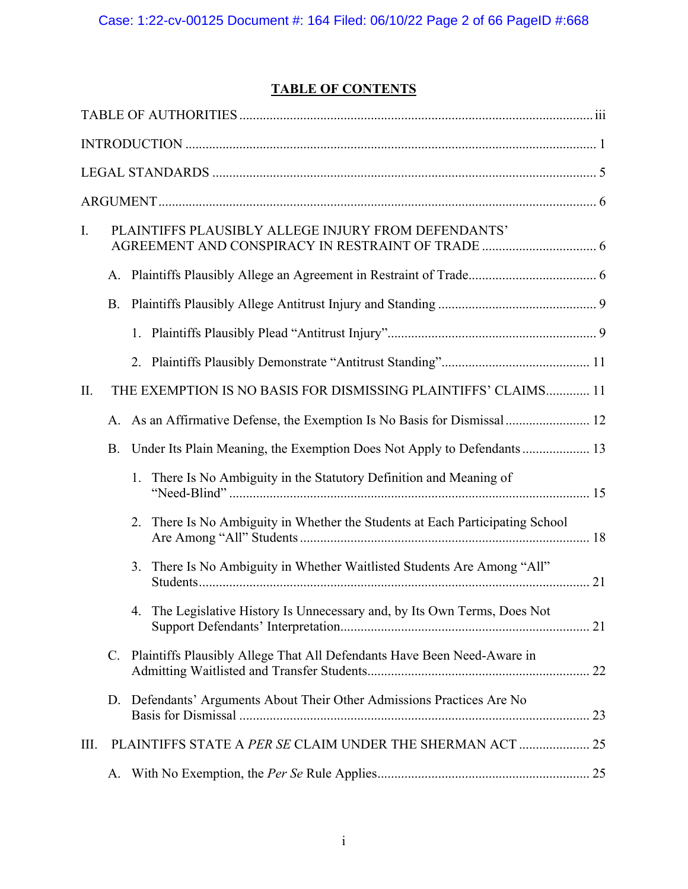## **TABLE OF CONTENTS**

| I. |           | PLAINTIFFS PLAUSIBLY ALLEGE INJURY FROM DEFENDANTS'                              |  |
|----|-----------|----------------------------------------------------------------------------------|--|
|    |           |                                                                                  |  |
|    | <b>B.</b> |                                                                                  |  |
|    |           |                                                                                  |  |
|    |           |                                                                                  |  |
| Π. |           | THE EXEMPTION IS NO BASIS FOR DISMISSING PLAINTIFFS' CLAIMS 11                   |  |
|    | А.        |                                                                                  |  |
|    | <b>B.</b> |                                                                                  |  |
|    |           | 1. There Is No Ambiguity in the Statutory Definition and Meaning of              |  |
|    |           | There Is No Ambiguity in Whether the Students at Each Participating School<br>2. |  |
|    |           | 3. There Is No Ambiguity in Whether Waitlisted Students Are Among "All"          |  |
|    |           | 4. The Legislative History Is Unnecessary and, by Its Own Terms, Does Not        |  |
|    |           | C. Plaintiffs Plausibly Allege That All Defendants Have Been Need-Aware in       |  |
|    |           | D. Defendants' Arguments About Their Other Admissions Practices Are No           |  |
| Ш. |           | PLAINTIFFS STATE A PER SE CLAIM UNDER THE SHERMAN ACT  25                        |  |
|    | А.        |                                                                                  |  |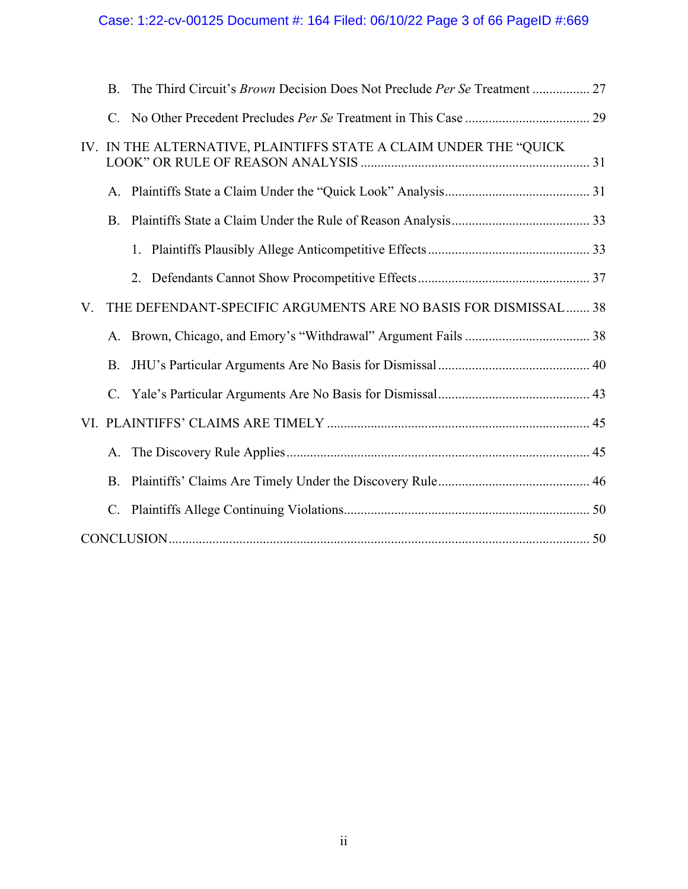# Case: 1:22-cv-00125 Document #: 164 Filed: 06/10/22 Page 3 of 66 PageID #:669

|    | <b>B.</b>      | The Third Circuit's Brown Decision Does Not Preclude Per Se Treatment  27 |  |
|----|----------------|---------------------------------------------------------------------------|--|
|    |                |                                                                           |  |
|    |                | IV. IN THE ALTERNATIVE, PLAINTIFFS STATE A CLAIM UNDER THE "QUICK         |  |
|    |                |                                                                           |  |
|    | <b>B.</b>      |                                                                           |  |
|    |                |                                                                           |  |
|    |                |                                                                           |  |
| V. |                | THE DEFENDANT-SPECIFIC ARGUMENTS ARE NO BASIS FOR DISMISSAL  38           |  |
|    |                |                                                                           |  |
|    | <b>B.</b>      |                                                                           |  |
|    |                |                                                                           |  |
|    |                |                                                                           |  |
|    | A.             |                                                                           |  |
|    | <b>B.</b>      |                                                                           |  |
|    | $\mathbf{C}$ . |                                                                           |  |
|    |                |                                                                           |  |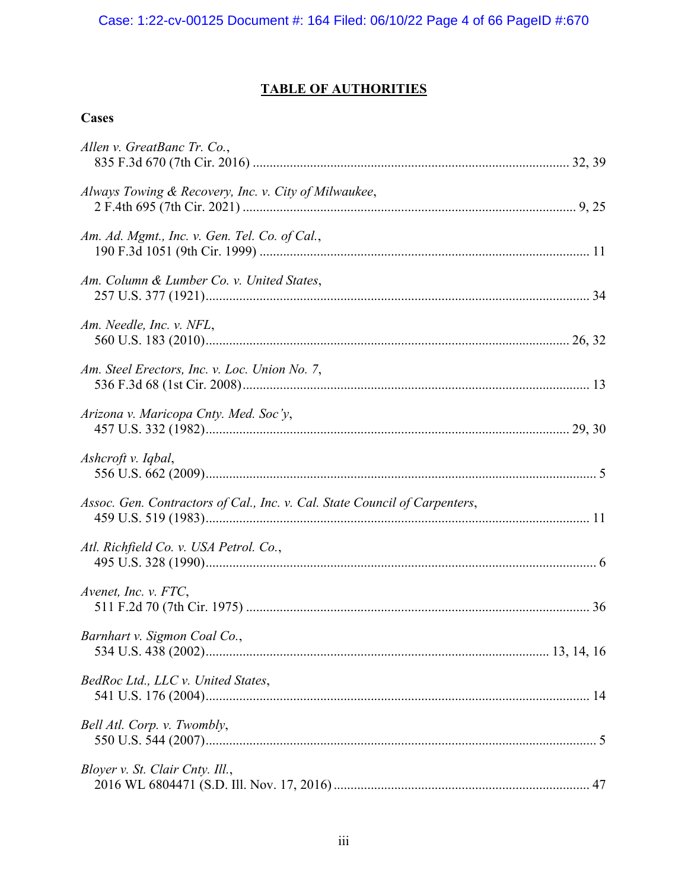## **TABLE OF AUTHORITIES**

## **Cases**

| Allen v. GreatBanc Tr. Co.,                                                |  |
|----------------------------------------------------------------------------|--|
| Always Towing & Recovery, Inc. v. City of Milwaukee,                       |  |
| Am. Ad. Mgmt., Inc. v. Gen. Tel. Co. of Cal.,                              |  |
| Am. Column & Lumber Co. v. United States,                                  |  |
| Am. Needle, Inc. v. NFL,                                                   |  |
| Am. Steel Erectors, Inc. v. Loc. Union No. 7,                              |  |
| Arizona v. Maricopa Cnty. Med. Soc'y,                                      |  |
| Ashcroft v. Iqbal,                                                         |  |
| Assoc. Gen. Contractors of Cal., Inc. v. Cal. State Council of Carpenters, |  |
| Atl. Richfield Co. v. USA Petrol. Co.,                                     |  |
| Avenet, Inc. v. FTC,                                                       |  |
| Barnhart v. Sigmon Coal Co.,                                               |  |
| BedRoc Ltd., LLC v. United States,                                         |  |
| Bell Atl. Corp. v. Twombly,                                                |  |
| Bloyer v. St. Clair Cnty. Ill.,                                            |  |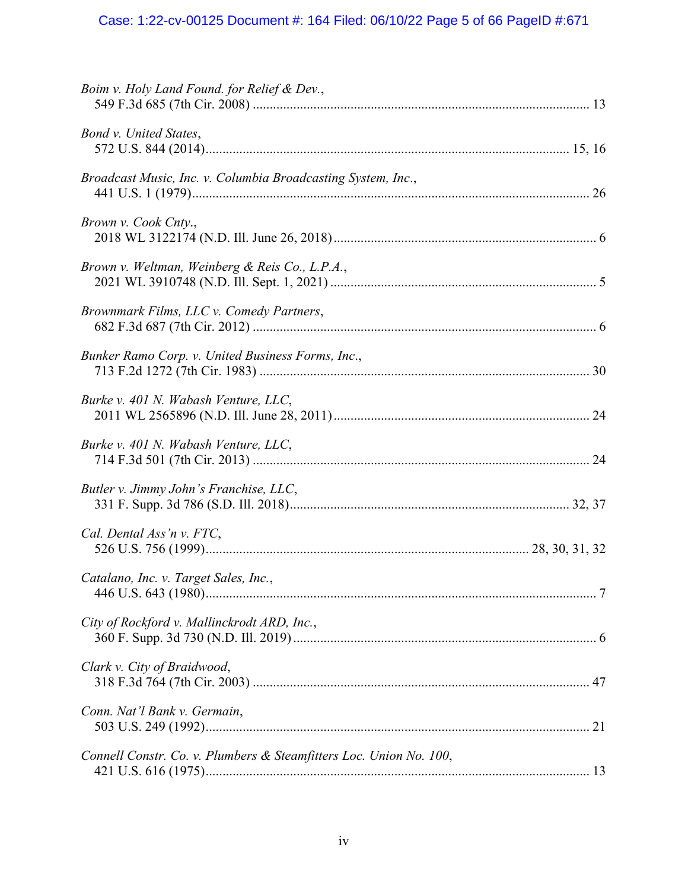# Case: 1:22-cv-00125 Document #: 164 Filed: 06/10/22 Page 5 of 66 PageID #:671

| Boim v. Holy Land Found. for Relief & Dev.,                        |  |
|--------------------------------------------------------------------|--|
| Bond v. United States,                                             |  |
| Broadcast Music, Inc. v. Columbia Broadcasting System, Inc.,       |  |
| Brown v. Cook Cnty.,                                               |  |
| Brown v. Weltman, Weinberg & Reis Co., L.P.A.,                     |  |
| Brownmark Films, LLC v. Comedy Partners,                           |  |
| Bunker Ramo Corp. v. United Business Forms, Inc.,                  |  |
| Burke v. 401 N. Wabash Venture, LLC,                               |  |
| Burke v. 401 N. Wabash Venture, LLC,                               |  |
| Butler v. Jimmy John's Franchise, LLC,                             |  |
| Cal. Dental Ass'n v. FTC,                                          |  |
| Catalano, Inc. v. Target Sales, Inc.,                              |  |
| City of Rockford v. Mallinckrodt ARD, Inc.,                        |  |
| Clark v. City of Braidwood,                                        |  |
| Conn. Nat'l Bank v. Germain,                                       |  |
| Connell Constr. Co. v. Plumbers & Steamfitters Loc. Union No. 100, |  |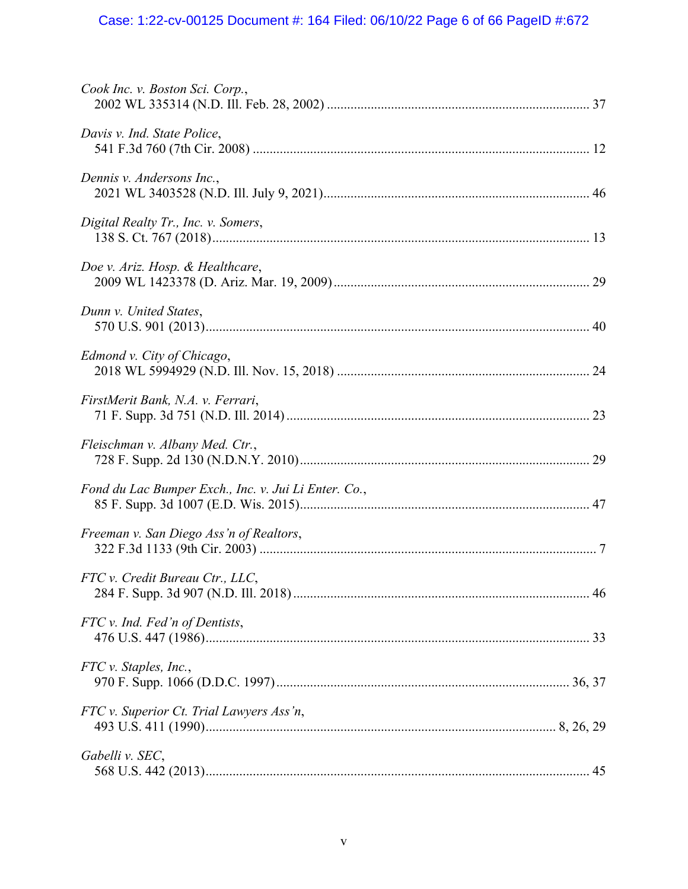# Case: 1:22-cv-00125 Document #: 164 Filed: 06/10/22 Page 6 of 66 PageID #:672

| Cook Inc. v. Boston Sci. Corp.,                      |  |
|------------------------------------------------------|--|
| Davis v. Ind. State Police,                          |  |
| Dennis v. Andersons Inc.,                            |  |
| Digital Realty Tr., Inc. v. Somers,                  |  |
| Doe v. Ariz. Hosp. & Healthcare,                     |  |
| Dunn v. United States,                               |  |
| Edmond v. City of Chicago,                           |  |
| FirstMerit Bank, N.A. v. Ferrari,                    |  |
| Fleischman v. Albany Med. Ctr.,                      |  |
| Fond du Lac Bumper Exch., Inc. v. Jui Li Enter. Co., |  |
| Freeman v. San Diego Ass'n of Realtors,              |  |
| FTC v. Credit Bureau Ctr., LLC,                      |  |
| FTC v. Ind. Fed'n of Dentists,                       |  |
| FTC v. Staples, Inc.,                                |  |
| FTC v. Superior Ct. Trial Lawyers Ass'n,             |  |
| Gabelli v. SEC,                                      |  |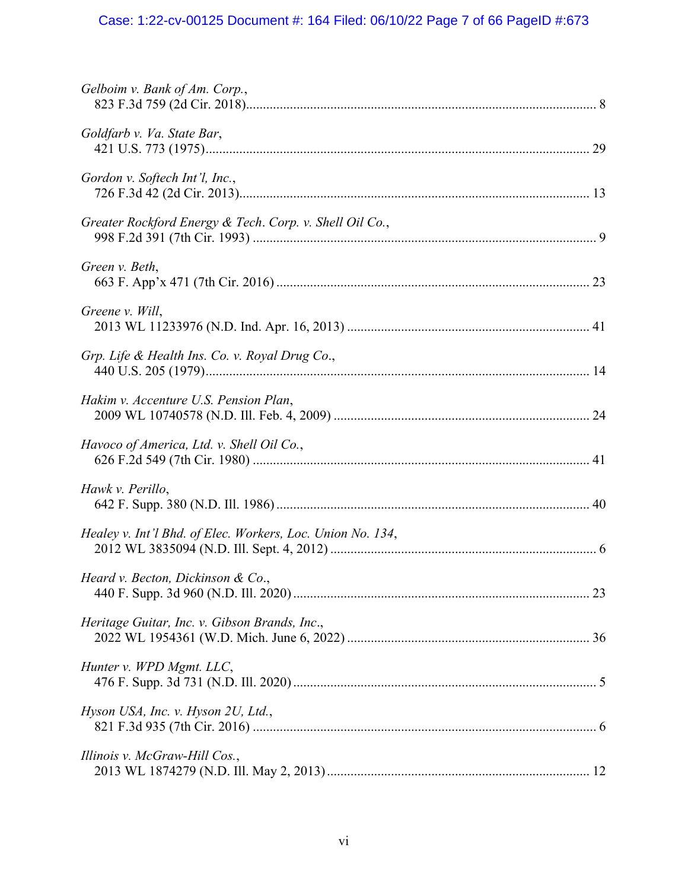# Case: 1:22-cv-00125 Document #: 164 Filed: 06/10/22 Page 7 of 66 PageID #:673

| Gelboim v. Bank of Am. Corp.,                              |
|------------------------------------------------------------|
| Goldfarb v. Va. State Bar,                                 |
| Gordon v. Softech Int'l, Inc.,                             |
| Greater Rockford Energy & Tech. Corp. v. Shell Oil Co.,    |
| Green v. Beth,                                             |
| Greene v. Will,                                            |
| Grp. Life & Health Ins. Co. v. Royal Drug Co.,             |
| Hakim v. Accenture U.S. Pension Plan,                      |
| Havoco of America, Ltd. v. Shell Oil Co.,                  |
| Hawk v. Perillo,                                           |
| Healey v. Int'l Bhd. of Elec. Workers, Loc. Union No. 134, |
| Heard v. Becton, Dickinson & Co.,                          |
| Heritage Guitar, Inc. v. Gibson Brands, Inc.,              |
| Hunter v. WPD Mgmt. LLC,                                   |
| Hyson USA, Inc. v. Hyson 2U, Ltd.,                         |
| Illinois v. McGraw-Hill Cos.,                              |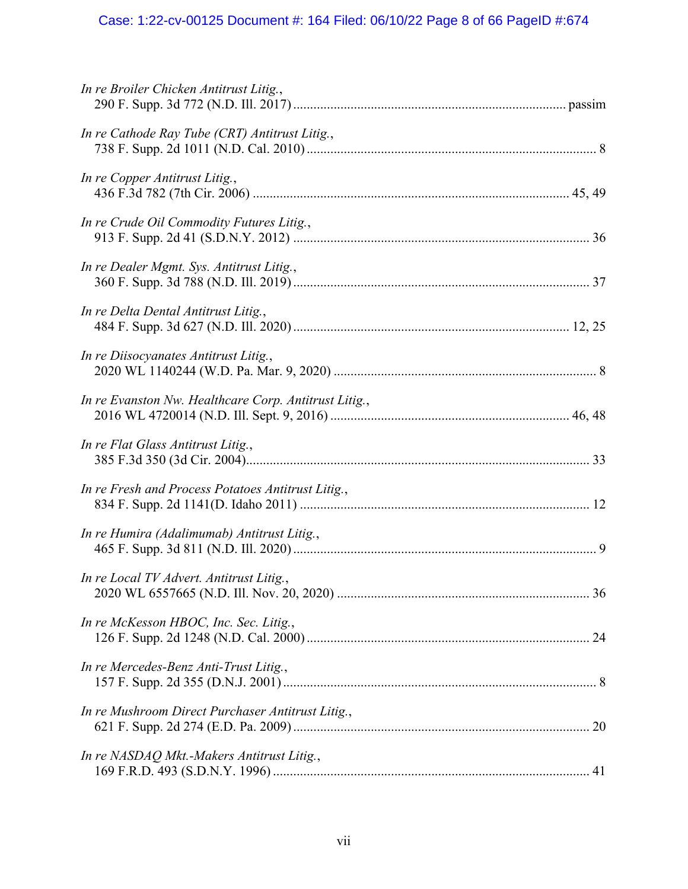# Case: 1:22-cv-00125 Document #: 164 Filed: 06/10/22 Page 8 of 66 PageID #:674

| In re Broiler Chicken Antitrust Litig.,               |  |
|-------------------------------------------------------|--|
| In re Cathode Ray Tube (CRT) Antitrust Litig.,        |  |
| In re Copper Antitrust Litig.,                        |  |
| In re Crude Oil Commodity Futures Litig.,             |  |
| In re Dealer Mgmt. Sys. Antitrust Litig.,             |  |
| In re Delta Dental Antitrust Litig.,                  |  |
| In re Diisocyanates Antitrust Litig.,                 |  |
| In re Evanston Nw. Healthcare Corp. Antitrust Litig., |  |
| In re Flat Glass Antitrust Litig.,                    |  |
| In re Fresh and Process Potatoes Antitrust Litig.,    |  |
| In re Humira (Adalimumab) Antitrust Litig.,           |  |
| In re Local TV Advert. Antitrust Litig.,              |  |
| In re McKesson HBOC, Inc. Sec. Litig.,                |  |
| In re Mercedes-Benz Anti-Trust Litig.,                |  |
| In re Mushroom Direct Purchaser Antitrust Litig.,     |  |
| In re NASDAQ Mkt.-Makers Antitrust Litig.,            |  |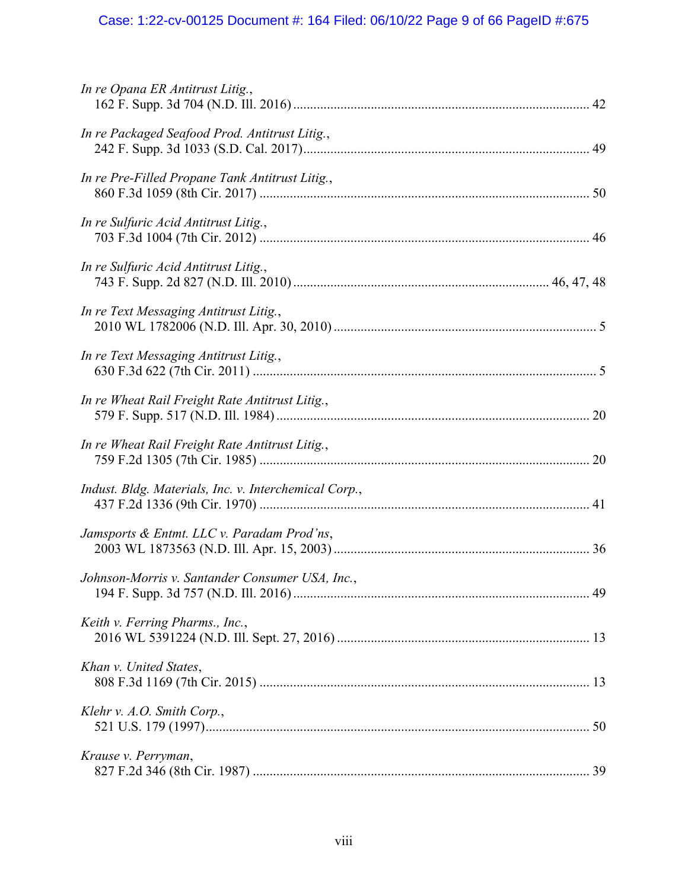# Case: 1:22-cv-00125 Document #: 164 Filed: 06/10/22 Page 9 of 66 PageID #:675

| In re Opana ER Antitrust Litig.,                      |  |
|-------------------------------------------------------|--|
| In re Packaged Seafood Prod. Antitrust Litig.,        |  |
| In re Pre-Filled Propane Tank Antitrust Litig.,       |  |
| In re Sulfuric Acid Antitrust Litig.,                 |  |
| In re Sulfuric Acid Antitrust Litig.,                 |  |
| In re Text Messaging Antitrust Litig.,                |  |
| In re Text Messaging Antitrust Litig.,                |  |
| In re Wheat Rail Freight Rate Antitrust Litig.,       |  |
| In re Wheat Rail Freight Rate Antitrust Litig.,       |  |
| Indust. Bldg. Materials, Inc. v. Interchemical Corp., |  |
| Jamsports & Entmt. LLC v. Paradam Prod'ns,            |  |
| Johnson-Morris v. Santander Consumer USA, Inc.,       |  |
| Keith v. Ferring Pharms., Inc.,                       |  |
| Khan v. United States,                                |  |
| Klehr v. A.O. Smith Corp.,                            |  |
| Krause v. Perryman,                                   |  |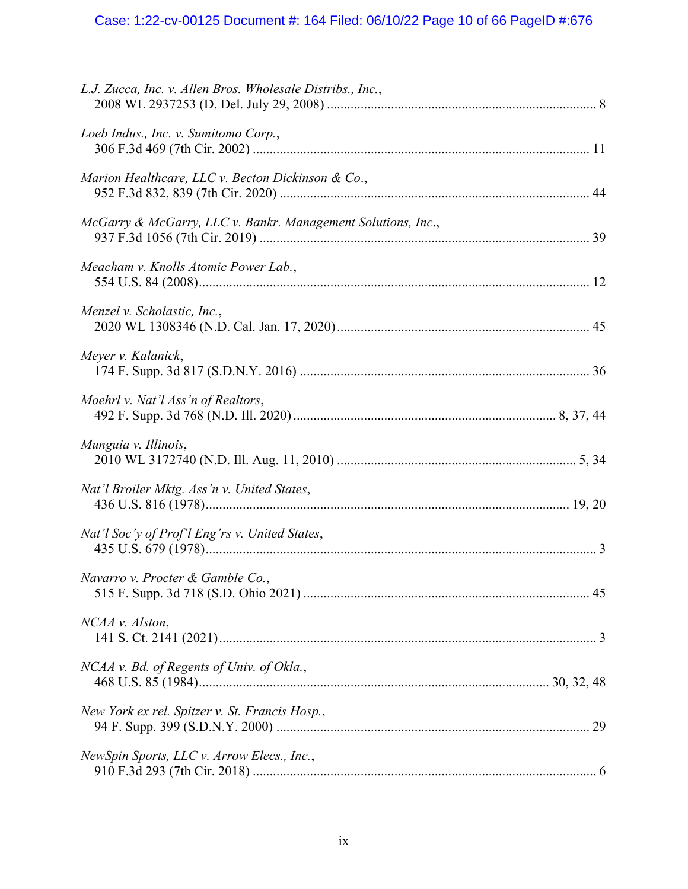# Case: 1:22-cv-00125 Document #: 164 Filed: 06/10/22 Page 10 of 66 PageID #:676

| L.J. Zucca, Inc. v. Allen Bros. Wholesale Distribs., Inc.,   |  |
|--------------------------------------------------------------|--|
| Loeb Indus., Inc. v. Sumitomo Corp.,                         |  |
| Marion Healthcare, LLC v. Becton Dickinson & Co.,            |  |
| McGarry & McGarry, LLC v. Bankr. Management Solutions, Inc., |  |
| Meacham v. Knolls Atomic Power Lab.,                         |  |
| Menzel v. Scholastic, Inc.,                                  |  |
| Meyer v. Kalanick,                                           |  |
| Moehrl v. Nat'l Ass'n of Realtors,                           |  |
| Munguia v. Illinois,                                         |  |
| Nat'l Broiler Mktg. Ass'n v. United States,                  |  |
| Nat'l Soc'y of Prof'l Eng'rs v. United States,               |  |
| Navarro v. Procter & Gamble Co.,                             |  |
| NCAA v. Alston,                                              |  |
| NCAA v. Bd. of Regents of Univ. of Okla.,                    |  |
| New York ex rel. Spitzer v. St. Francis Hosp.,               |  |
| NewSpin Sports, LLC v. Arrow Elecs., Inc.,                   |  |
|                                                              |  |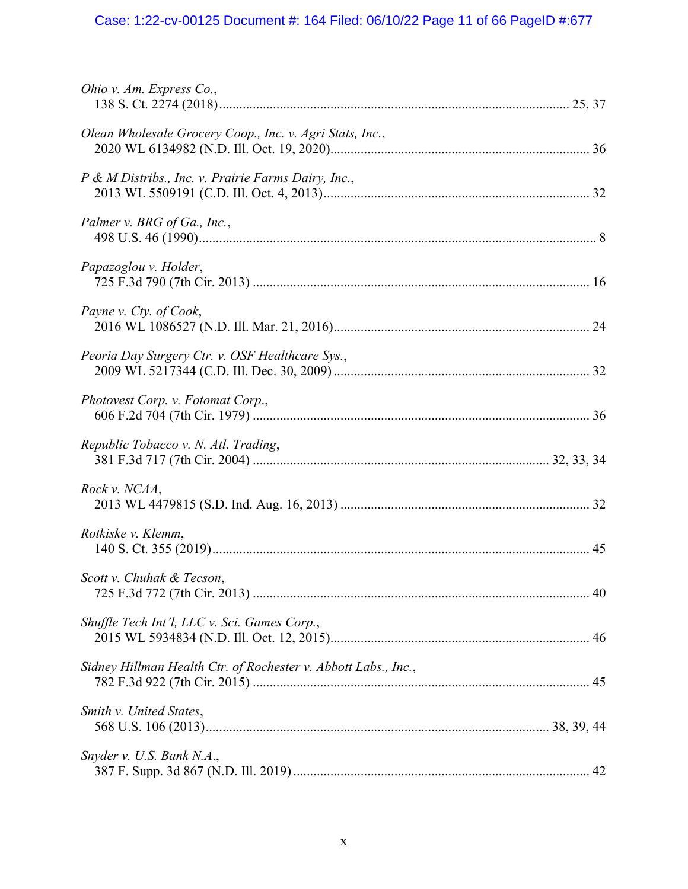# Case: 1:22-cv-00125 Document #: 164 Filed: 06/10/22 Page 11 of 66 PageID #:677

| Ohio v. Am. Express Co.,                                       |  |
|----------------------------------------------------------------|--|
| Olean Wholesale Grocery Coop., Inc. v. Agri Stats, Inc.,       |  |
| P & M Distribs., Inc. v. Prairie Farms Dairy, Inc.,            |  |
| Palmer v. BRG of Ga., Inc.,                                    |  |
| Papazoglou v. Holder,                                          |  |
| Payne v. Cty. of Cook,                                         |  |
| Peoria Day Surgery Ctr. v. OSF Healthcare Sys.,                |  |
| Photovest Corp. v. Fotomat Corp.,                              |  |
| Republic Tobacco v. N. Atl. Trading,                           |  |
| Rock v. NCAA,                                                  |  |
| Rotkiske v. Klemm,                                             |  |
| Scott v. Chuhak & Tecson,                                      |  |
| Shuffle Tech Int'l, LLC v. Sci. Games Corp.,                   |  |
| Sidney Hillman Health Ctr. of Rochester v. Abbott Labs., Inc., |  |
| Smith v. United States,                                        |  |
| Snyder v. U.S. Bank N.A.,                                      |  |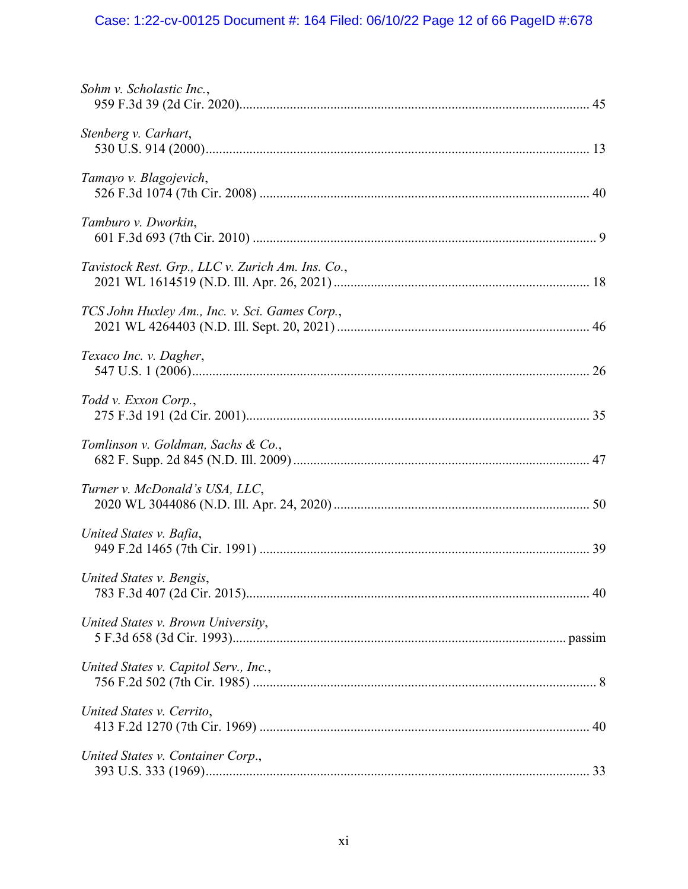# Case: 1:22-cv-00125 Document #: 164 Filed: 06/10/22 Page 12 of 66 PageID #:678

| Sohm v. Scholastic Inc.,                          |  |
|---------------------------------------------------|--|
| Stenberg v. Carhart,                              |  |
| Tamayo v. Blagojevich,                            |  |
| Tamburo v. Dworkin,                               |  |
| Tavistock Rest. Grp., LLC v. Zurich Am. Ins. Co., |  |
| TCS John Huxley Am., Inc. v. Sci. Games Corp.,    |  |
| Texaco Inc. v. Dagher,                            |  |
| Todd v. Exxon Corp.,                              |  |
| Tomlinson v. Goldman, Sachs & Co.,                |  |
| Turner v. McDonald's USA, LLC,                    |  |
| United States v. Bafia,                           |  |
| United States v. Bengis,                          |  |
| United States v. Brown University,                |  |
| United States v. Capitol Serv., Inc.,             |  |
| United States v. Cerrito,                         |  |
| United States v. Container Corp.,                 |  |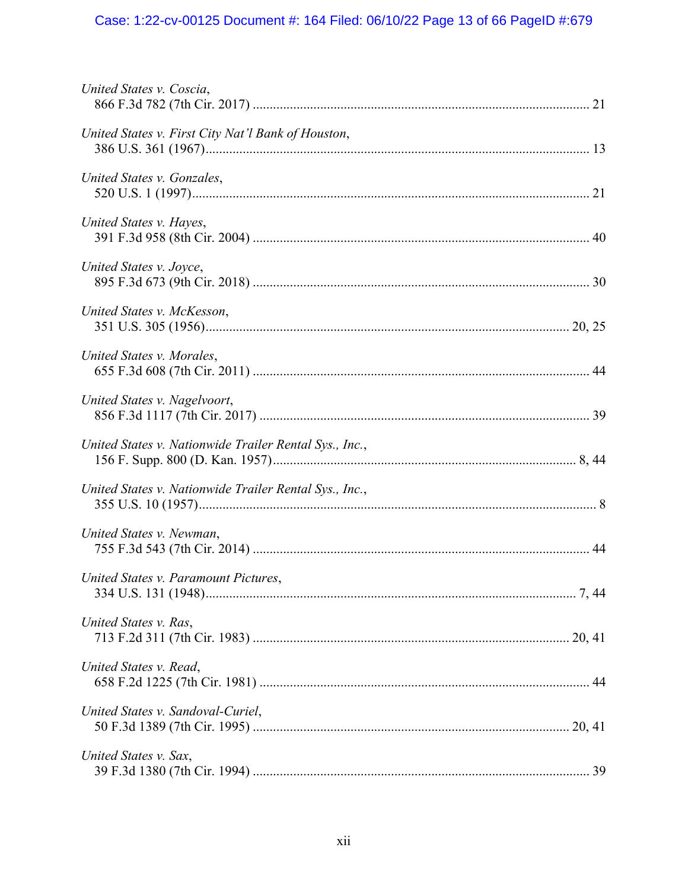# Case: 1:22-cv-00125 Document #: 164 Filed: 06/10/22 Page 13 of 66 PageID #:679

| United States v. Coscia,                               |  |
|--------------------------------------------------------|--|
| United States v. First City Nat'l Bank of Houston,     |  |
| United States v. Gonzales,                             |  |
| United States v. Hayes,                                |  |
| United States v. Joyce,                                |  |
| United States v. McKesson,                             |  |
| United States v. Morales,                              |  |
| United States v. Nagelvoort,                           |  |
| United States v. Nationwide Trailer Rental Sys., Inc., |  |
| United States v. Nationwide Trailer Rental Sys., Inc., |  |
| United States v. Newman,                               |  |
| United States v. Paramount Pictures,                   |  |
| United States v. Ras,                                  |  |
| United States v. Read,                                 |  |
| United States v. Sandoval-Curiel,                      |  |
| United States v. Sax,                                  |  |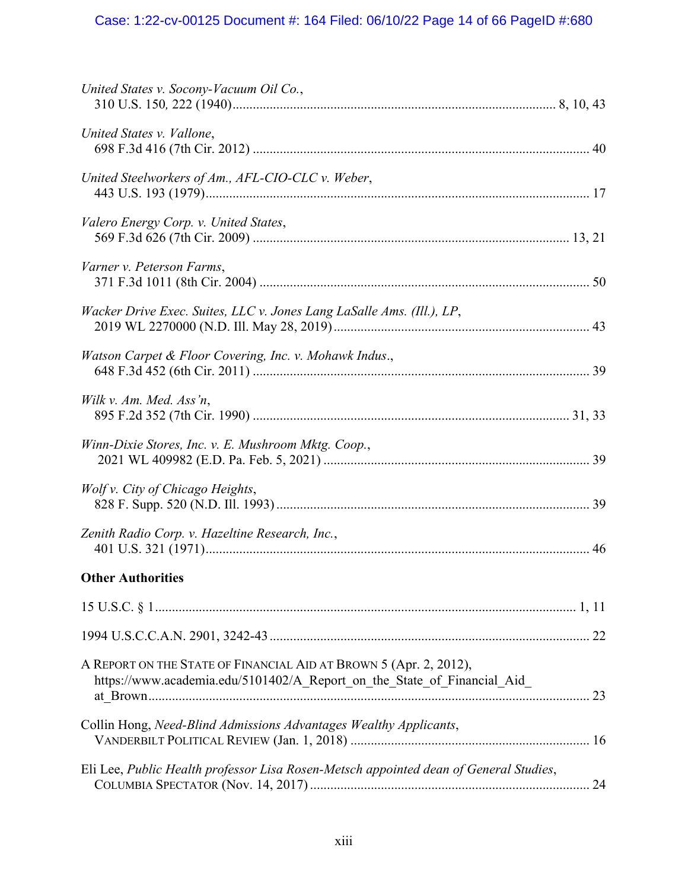| United States v. Socony-Vacuum Oil Co.,                                                                                                      |
|----------------------------------------------------------------------------------------------------------------------------------------------|
| United States v. Vallone,                                                                                                                    |
| United Steelworkers of Am., AFL-CIO-CLC v. Weber,                                                                                            |
| Valero Energy Corp. v. United States,                                                                                                        |
| Varner v. Peterson Farms,                                                                                                                    |
| Wacker Drive Exec. Suites, LLC v. Jones Lang LaSalle Ams. (Ill.), LP,                                                                        |
| Watson Carpet & Floor Covering, Inc. v. Mohawk Indus.,                                                                                       |
| Wilk v. Am. Med. Ass'n,                                                                                                                      |
| Winn-Dixie Stores, Inc. v. E. Mushroom Mktg. Coop.,                                                                                          |
| Wolf v. City of Chicago Heights,                                                                                                             |
| Zenith Radio Corp. v. Hazeltine Research, Inc.,                                                                                              |
| <b>Other Authorities</b>                                                                                                                     |
|                                                                                                                                              |
|                                                                                                                                              |
| A REPORT ON THE STATE OF FINANCIAL AID AT BROWN 5 (Apr. 2, 2012),<br>https://www.academia.edu/5101402/A_Report_on_the_State_of_Financial_Aid |
| Collin Hong, Need-Blind Admissions Advantages Wealthy Applicants,                                                                            |
| Eli Lee, Public Health professor Lisa Rosen-Metsch appointed dean of General Studies,                                                        |
|                                                                                                                                              |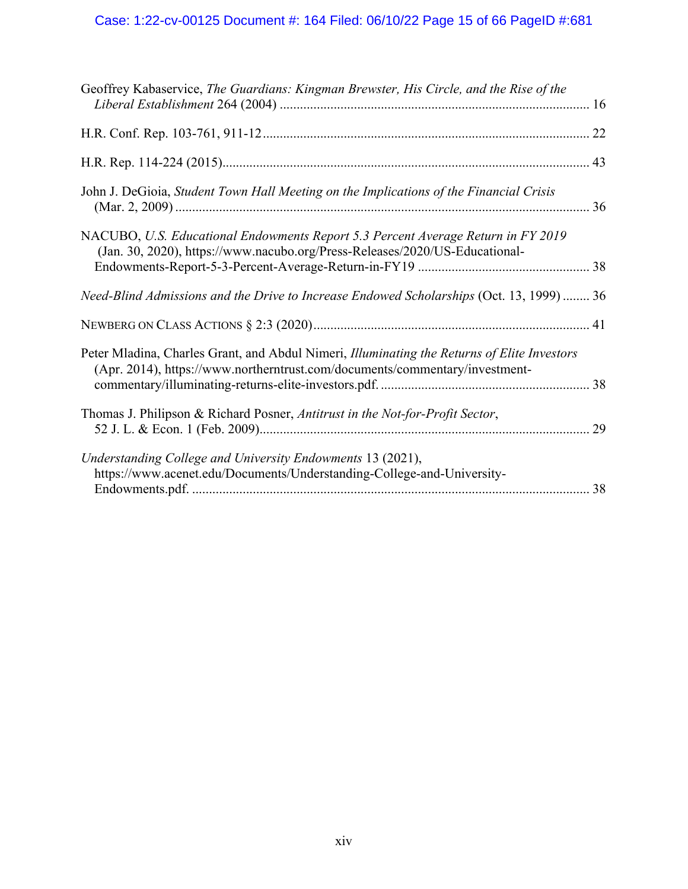# Case: 1:22-cv-00125 Document #: 164 Filed: 06/10/22 Page 15 of 66 PageID #:681

| Geoffrey Kabaservice, The Guardians: Kingman Brewster, His Circle, and the Rise of the                                                                                     |    |
|----------------------------------------------------------------------------------------------------------------------------------------------------------------------------|----|
|                                                                                                                                                                            |    |
|                                                                                                                                                                            |    |
| John J. DeGioia, Student Town Hall Meeting on the Implications of the Financial Crisis                                                                                     |    |
| NACUBO, U.S. Educational Endowments Report 5.3 Percent Average Return in FY 2019<br>(Jan. 30, 2020), https://www.nacubo.org/Press-Releases/2020/US-Educational-            |    |
| Need-Blind Admissions and the Drive to Increase Endowed Scholarships (Oct. 13, 1999)  36                                                                                   |    |
|                                                                                                                                                                            |    |
| Peter Mladina, Charles Grant, and Abdul Nimeri, Illuminating the Returns of Elite Investors<br>(Apr. 2014), https://www.northerntrust.com/documents/commentary/investment- |    |
| Thomas J. Philipson & Richard Posner, Antitrust in the Not-for-Profit Sector,                                                                                              | 29 |
| Understanding College and University Endowments 13 (2021),<br>https://www.acenet.edu/Documents/Understanding-College-and-University-                                       |    |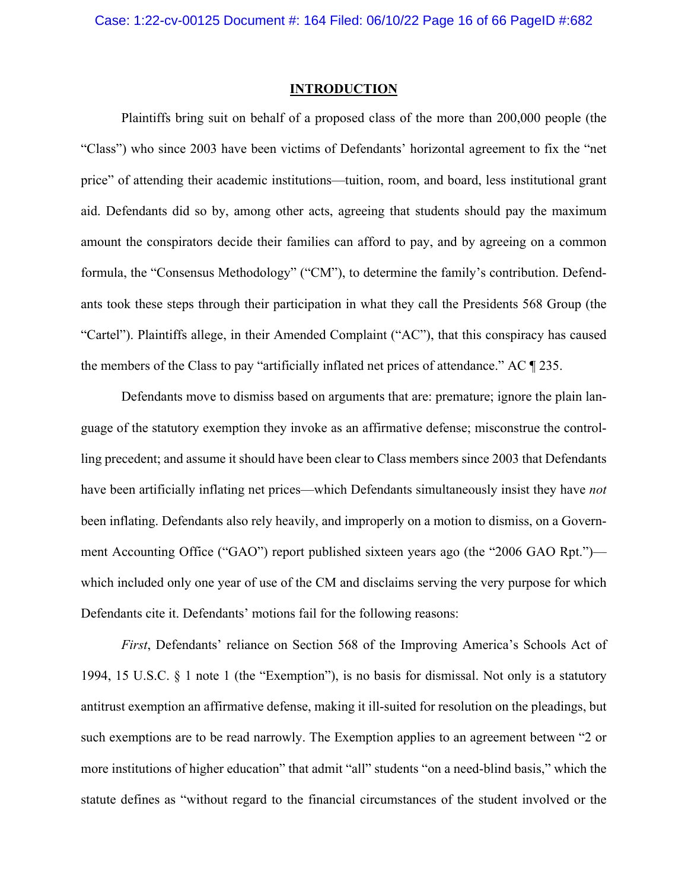## **INTRODUCTION**

Plaintiffs bring suit on behalf of a proposed class of the more than 200,000 people (the "Class") who since 2003 have been victims of Defendants' horizontal agreement to fix the "net price" of attending their academic institutions—tuition, room, and board, less institutional grant aid. Defendants did so by, among other acts, agreeing that students should pay the maximum amount the conspirators decide their families can afford to pay, and by agreeing on a common formula, the "Consensus Methodology" ("CM"), to determine the family's contribution. Defendants took these steps through their participation in what they call the Presidents 568 Group (the "Cartel"). Plaintiffs allege, in their Amended Complaint ("AC"), that this conspiracy has caused the members of the Class to pay "artificially inflated net prices of attendance." AC ¶ 235.

Defendants move to dismiss based on arguments that are: premature; ignore the plain language of the statutory exemption they invoke as an affirmative defense; misconstrue the controlling precedent; and assume it should have been clear to Class members since 2003 that Defendants have been artificially inflating net prices—which Defendants simultaneously insist they have *not* been inflating. Defendants also rely heavily, and improperly on a motion to dismiss, on a Government Accounting Office ("GAO") report published sixteen years ago (the "2006 GAO Rpt.") which included only one year of use of the CM and disclaims serving the very purpose for which Defendants cite it. Defendants' motions fail for the following reasons:

*First*, Defendants' reliance on Section 568 of the Improving America's Schools Act of 1994, 15 U.S.C.  $\S$  1 note 1 (the "Exemption"), is no basis for dismissal. Not only is a statutory antitrust exemption an affirmative defense, making it ill-suited for resolution on the pleadings, but such exemptions are to be read narrowly. The Exemption applies to an agreement between "2 or more institutions of higher education" that admit "all" students "on a need-blind basis," which the statute defines as "without regard to the financial circumstances of the student involved or the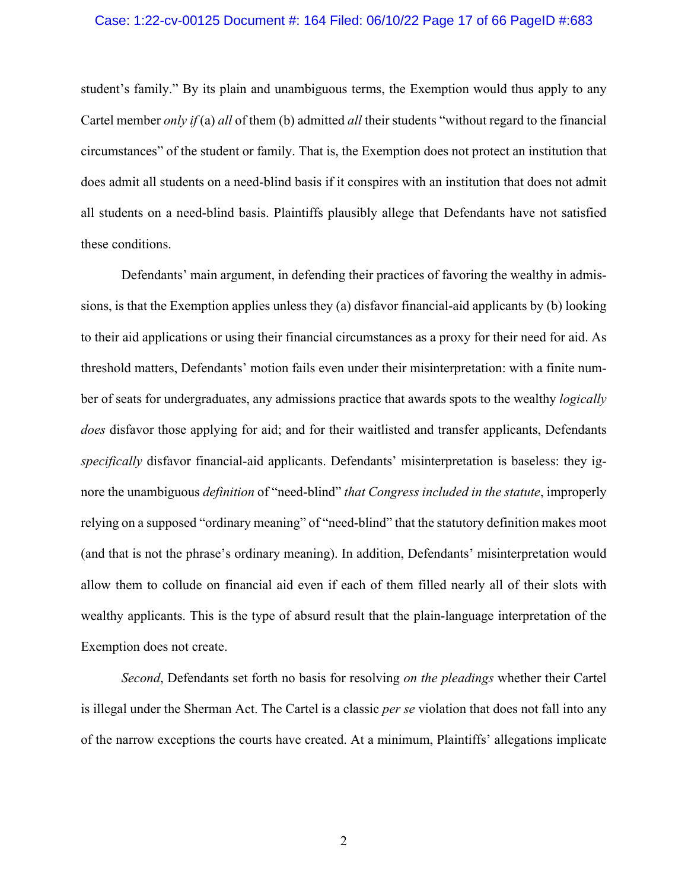#### Case: 1:22-cv-00125 Document #: 164 Filed: 06/10/22 Page 17 of 66 PageID #:683

student's family." By its plain and unambiguous terms, the Exemption would thus apply to any Cartel member *only if* (a) *all* of them (b) admitted *all* their students "without regard to the financial circumstances" of the student or family. That is, the Exemption does not protect an institution that does admit all students on a need-blind basis if it conspires with an institution that does not admit all students on a need-blind basis. Plaintiffs plausibly allege that Defendants have not satisfied these conditions.

Defendants' main argument, in defending their practices of favoring the wealthy in admissions, is that the Exemption applies unless they (a) disfavor financial-aid applicants by (b) looking to their aid applications or using their financial circumstances as a proxy for their need for aid. As threshold matters, Defendants' motion fails even under their misinterpretation: with a finite number of seats for undergraduates, any admissions practice that awards spots to the wealthy *logically does* disfavor those applying for aid; and for their waitlisted and transfer applicants, Defendants *specifically* disfavor financial-aid applicants. Defendants' misinterpretation is baseless: they ignore the unambiguous *definition* of "need-blind" *that Congress included in the statute*, improperly relying on a supposed "ordinary meaning" of "need-blind" that the statutory definition makes moot (and that is not the phrase's ordinary meaning). In addition, Defendants' misinterpretation would allow them to collude on financial aid even if each of them filled nearly all of their slots with wealthy applicants. This is the type of absurd result that the plain-language interpretation of the Exemption does not create.

*Second*, Defendants set forth no basis for resolving *on the pleadings* whether their Cartel is illegal under the Sherman Act. The Cartel is a classic *per se* violation that does not fall into any of the narrow exceptions the courts have created. At a minimum, Plaintiffs' allegations implicate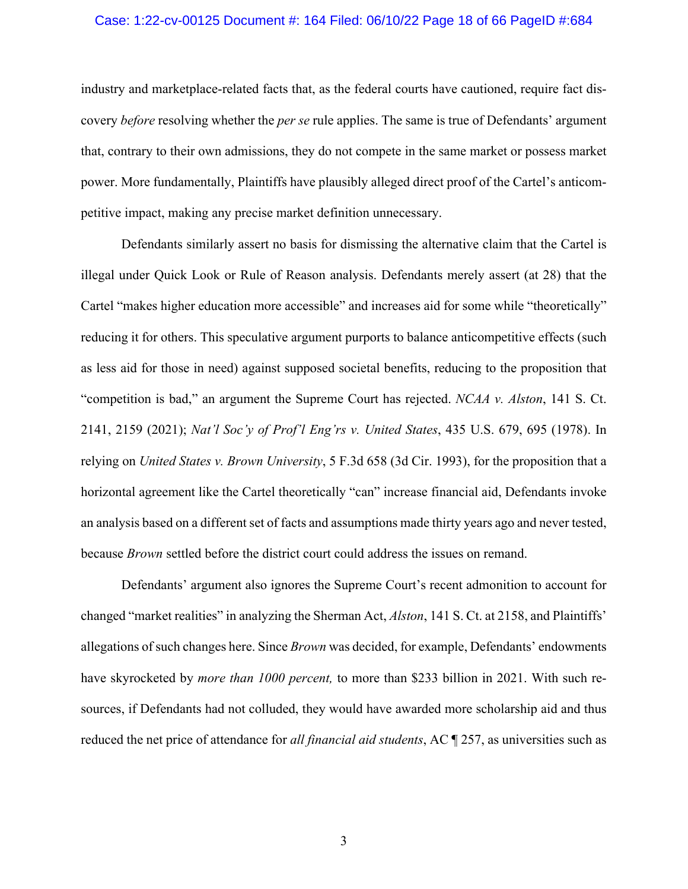#### Case: 1:22-cv-00125 Document #: 164 Filed: 06/10/22 Page 18 of 66 PageID #:684

industry and marketplace-related facts that, as the federal courts have cautioned, require fact discovery *before* resolving whether the *per se* rule applies. The same is true of Defendants' argument that, contrary to their own admissions, they do not compete in the same market or possess market power. More fundamentally, Plaintiffs have plausibly alleged direct proof of the Cartel's anticompetitive impact, making any precise market definition unnecessary.

Defendants similarly assert no basis for dismissing the alternative claim that the Cartel is illegal under Quick Look or Rule of Reason analysis. Defendants merely assert (at 28) that the Cartel "makes higher education more accessible" and increases aid for some while "theoretically" reducing it for others. This speculative argument purports to balance anticompetitive effects (such as less aid for those in need) against supposed societal benefits, reducing to the proposition that "competition is bad," an argument the Supreme Court has rejected. *NCAA v. Alston*, 141 S. Ct. 2141, 2159 (2021); *Nat'l Soc'y of Prof'l Eng'rs v. United States*, 435 U.S. 679, 695 (1978). In relying on *United States v. Brown University*, 5 F.3d 658 (3d Cir. 1993), for the proposition that a horizontal agreement like the Cartel theoretically "can" increase financial aid, Defendants invoke an analysis based on a different set of facts and assumptions made thirty years ago and never tested, because *Brown* settled before the district court could address the issues on remand.

Defendants' argument also ignores the Supreme Court's recent admonition to account for changed "market realities" in analyzing the Sherman Act, *Alston*, 141 S. Ct. at 2158, and Plaintiffs' allegations of such changes here. Since *Brown* was decided, for example, Defendants' endowments have skyrocketed by *more than 1000 percent,* to more than \$233 billion in 2021. With such resources, if Defendants had not colluded, they would have awarded more scholarship aid and thus reduced the net price of attendance for *all financial aid students*, AC ¶ 257, as universities such as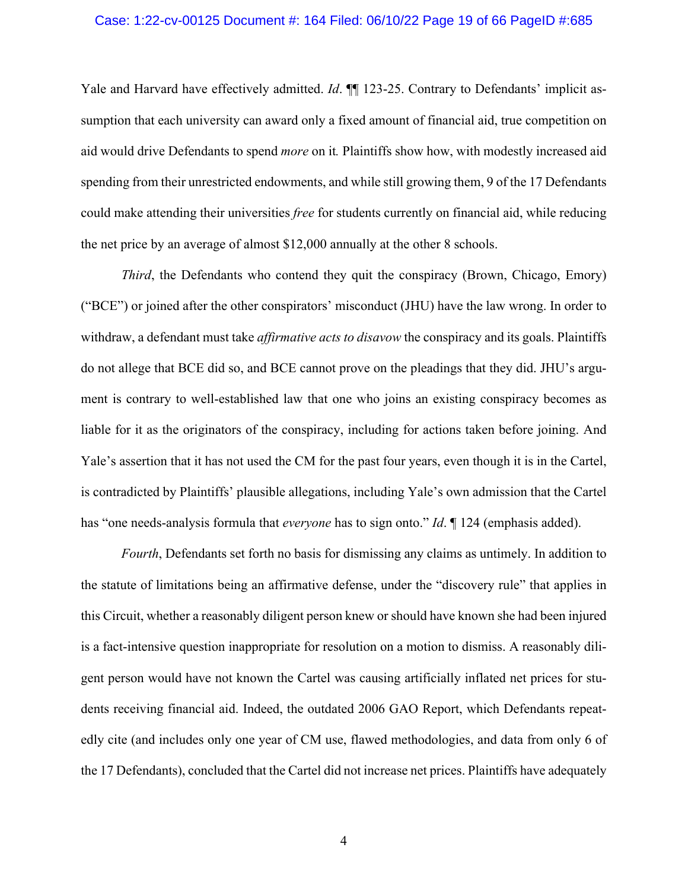#### Case: 1:22-cv-00125 Document #: 164 Filed: 06/10/22 Page 19 of 66 PageID #:685

Yale and Harvard have effectively admitted. *Id*. **[1**] 123-25. Contrary to Defendants' implicit assumption that each university can award only a fixed amount of financial aid, true competition on aid would drive Defendants to spend *more* on it*.* Plaintiffs show how, with modestly increased aid spending from their unrestricted endowments, and while still growing them, 9 of the 17 Defendants could make attending their universities *free* for students currently on financial aid, while reducing the net price by an average of almost \$12,000 annually at the other 8 schools.

*Third*, the Defendants who contend they quit the conspiracy (Brown, Chicago, Emory) ("BCE") or joined after the other conspirators' misconduct (JHU) have the law wrong. In order to withdraw, a defendant must take *affirmative acts to disavow* the conspiracy and its goals. Plaintiffs do not allege that BCE did so, and BCE cannot prove on the pleadings that they did. JHU's argument is contrary to well-established law that one who joins an existing conspiracy becomes as liable for it as the originators of the conspiracy, including for actions taken before joining. And Yale's assertion that it has not used the CM for the past four years, even though it is in the Cartel, is contradicted by Plaintiffs' plausible allegations, including Yale's own admission that the Cartel has "one needs-analysis formula that *everyone* has to sign onto." *Id*. ¶ 124 (emphasis added).

*Fourth*, Defendants set forth no basis for dismissing any claims as untimely. In addition to the statute of limitations being an affirmative defense, under the "discovery rule" that applies in this Circuit, whether a reasonably diligent person knew or should have known she had been injured is a fact-intensive question inappropriate for resolution on a motion to dismiss. A reasonably diligent person would have not known the Cartel was causing artificially inflated net prices for students receiving financial aid. Indeed, the outdated 2006 GAO Report, which Defendants repeatedly cite (and includes only one year of CM use, flawed methodologies, and data from only 6 of the 17 Defendants), concluded that the Cartel did not increase net prices. Plaintiffs have adequately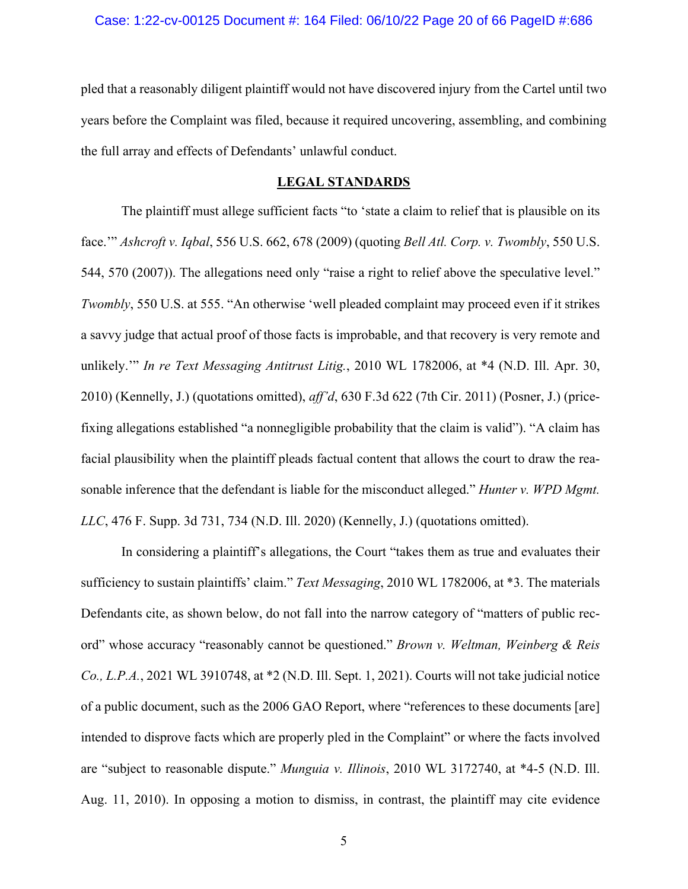pled that a reasonably diligent plaintiff would not have discovered injury from the Cartel until two years before the Complaint was filed, because it required uncovering, assembling, and combining the full array and effects of Defendants' unlawful conduct.

## **LEGAL STANDARDS**

The plaintiff must allege sufficient facts "to 'state a claim to relief that is plausible on its face.'" *Ashcroft v. Iqbal*, 556 U.S. 662, 678 (2009) (quoting *Bell Atl. Corp. v. Twombly*, 550 U.S. 544, 570 (2007)). The allegations need only "raise a right to relief above the speculative level." *Twombly*, 550 U.S. at 555. "An otherwise 'well pleaded complaint may proceed even if it strikes a savvy judge that actual proof of those facts is improbable, and that recovery is very remote and unlikely.'" *In re Text Messaging Antitrust Litig.*, 2010 WL 1782006, at \*4 (N.D. Ill. Apr. 30, 2010) (Kennelly, J.) (quotations omitted), *aff'd*, 630 F.3d 622 (7th Cir. 2011) (Posner, J.) (pricefixing allegations established "a nonnegligible probability that the claim is valid"). "A claim has facial plausibility when the plaintiff pleads factual content that allows the court to draw the reasonable inference that the defendant is liable for the misconduct alleged." *Hunter v. WPD Mgmt. LLC*, 476 F. Supp. 3d 731, 734 (N.D. Ill. 2020) (Kennelly, J.) (quotations omitted).

In considering a plaintiff's allegations, the Court "takes them as true and evaluates their sufficiency to sustain plaintiffs' claim." *Text Messaging*, 2010 WL 1782006, at \*3. The materials Defendants cite, as shown below, do not fall into the narrow category of "matters of public record" whose accuracy "reasonably cannot be questioned." *Brown v. Weltman, Weinberg & Reis Co., L.P.A.*, 2021 WL 3910748, at \*2 (N.D. Ill. Sept. 1, 2021). Courts will not take judicial notice of a public document, such as the 2006 GAO Report, where "references to these documents [are] intended to disprove facts which are properly pled in the Complaint" or where the facts involved are "subject to reasonable dispute." *Munguia v. Illinois*, 2010 WL 3172740, at \*4-5 (N.D. Ill. Aug. 11, 2010). In opposing a motion to dismiss, in contrast, the plaintiff may cite evidence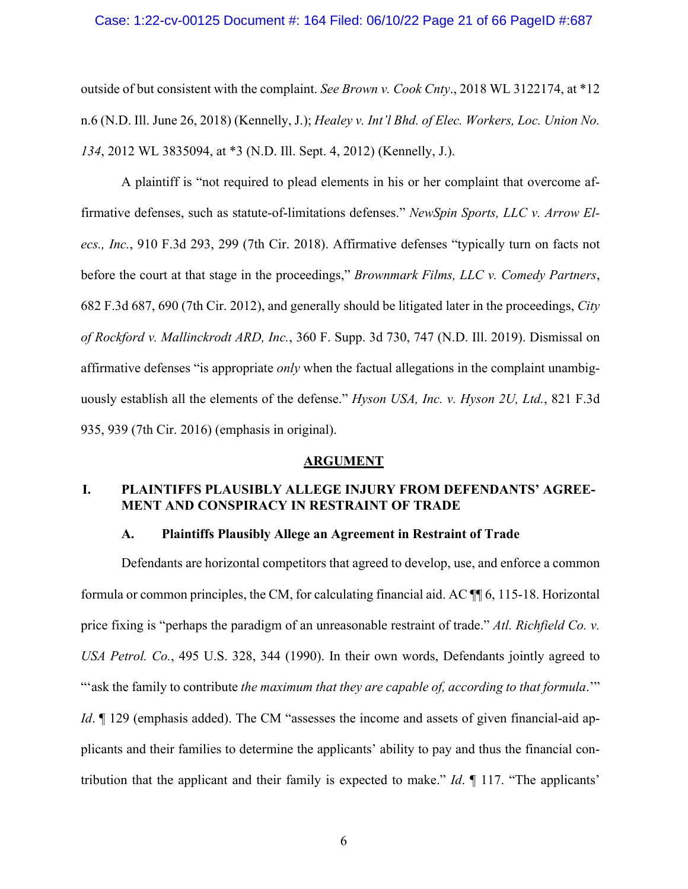#### Case: 1:22-cv-00125 Document #: 164 Filed: 06/10/22 Page 21 of 66 PageID #:687

outside of but consistent with the complaint. *See Brown v. Cook Cnty*., 2018 WL 3122174, at \*12 n.6 (N.D. Ill. June 26, 2018) (Kennelly, J.); *Healey v. Int'l Bhd. of Elec. Workers, Loc. Union No. 134*, 2012 WL 3835094, at \*3 (N.D. Ill. Sept. 4, 2012) (Kennelly, J.).

A plaintiff is "not required to plead elements in his or her complaint that overcome affirmative defenses, such as statute-of-limitations defenses." *NewSpin Sports, LLC v. Arrow Elecs., Inc.*, 910 F.3d 293, 299 (7th Cir. 2018). Affirmative defenses "typically turn on facts not before the court at that stage in the proceedings," *Brownmark Films, LLC v. Comedy Partners*, 682 F.3d 687, 690 (7th Cir. 2012), and generally should be litigated later in the proceedings, *City of Rockford v. Mallinckrodt ARD, Inc.*, 360 F. Supp. 3d 730, 747 (N.D. Ill. 2019). Dismissal on affirmative defenses "is appropriate *only* when the factual allegations in the complaint unambiguously establish all the elements of the defense." *Hyson USA, Inc. v. Hyson 2U, Ltd.*, 821 F.3d 935, 939 (7th Cir. 2016) (emphasis in original).

### **ARGUMENT**

## **I. PLAINTIFFS PLAUSIBLY ALLEGE INJURY FROM DEFENDANTS' AGREE-MENT AND CONSPIRACY IN RESTRAINT OF TRADE**

## **A. Plaintiffs Plausibly Allege an Agreement in Restraint of Trade**

Defendants are horizontal competitors that agreed to develop, use, and enforce a common formula or common principles, the CM, for calculating financial aid. AC ¶¶ 6, 115-18. Horizontal price fixing is "perhaps the paradigm of an unreasonable restraint of trade." *Atl. Richfield Co. v. USA Petrol. Co.*, 495 U.S. 328, 344 (1990). In their own words, Defendants jointly agreed to "'ask the family to contribute *the maximum that they are capable of, according to that formula*.'" *Id*.  $\parallel$  129 (emphasis added). The CM "assesses the income and assets of given financial-aid applicants and their families to determine the applicants' ability to pay and thus the financial contribution that the applicant and their family is expected to make." *Id*. ¶ 117. "The applicants'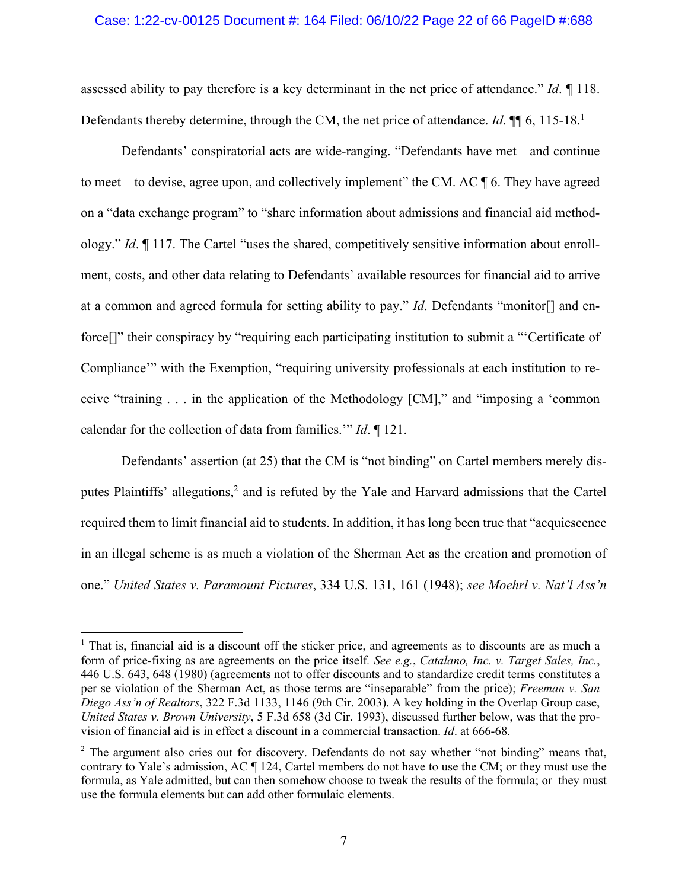### Case: 1:22-cv-00125 Document #: 164 Filed: 06/10/22 Page 22 of 66 PageID #:688

assessed ability to pay therefore is a key determinant in the net price of attendance." *Id*. ¶ 118. Defendants thereby determine, through the CM, the net price of attendance. *Id*. **¶** 6, 115-18.<sup>1</sup>

Defendants' conspiratorial acts are wide-ranging. "Defendants have met—and continue to meet—to devise, agree upon, and collectively implement" the CM. AC ¶ 6. They have agreed on a "data exchange program" to "share information about admissions and financial aid methodology." *Id*. ¶ 117. The Cartel "uses the shared, competitively sensitive information about enrollment, costs, and other data relating to Defendants' available resources for financial aid to arrive at a common and agreed formula for setting ability to pay." *Id*. Defendants "monitor[] and enforce<sup>[]"</sup> their conspiracy by "requiring each participating institution to submit a "'Certificate of Compliance'" with the Exemption, "requiring university professionals at each institution to receive "training . . . in the application of the Methodology [CM]," and "imposing a 'common calendar for the collection of data from families.'" *Id*. ¶ 121.

Defendants' assertion (at 25) that the CM is "not binding" on Cartel members merely disputes Plaintiffs' allegations, <sup>2</sup> and is refuted by the Yale and Harvard admissions that the Cartel required them to limit financial aid to students. In addition, it has long been true that "acquiescence in an illegal scheme is as much a violation of the Sherman Act as the creation and promotion of one." *United States v. Paramount Pictures*, 334 U.S. 131, 161 (1948); *see Moehrl v. Nat'l Ass'n* 

<sup>&</sup>lt;sup>1</sup> That is, financial aid is a discount off the sticker price, and agreements as to discounts are as much a form of price-fixing as are agreements on the price itself*. See e.g.*, *Catalano, Inc. v. Target Sales, Inc.*, 446 U.S. 643, 648 (1980) (agreements not to offer discounts and to standardize credit terms constitutes a per se violation of the Sherman Act, as those terms are "inseparable" from the price); *Freeman v. San Diego Ass'n of Realtors*, 322 F.3d 1133, 1146 (9th Cir. 2003). A key holding in the Overlap Group case, *United States v. Brown University*, 5 F.3d 658 (3d Cir. 1993), discussed further below, was that the provision of financial aid is in effect a discount in a commercial transaction. *Id*. at 666-68.

<sup>&</sup>lt;sup>2</sup> The argument also cries out for discovery. Defendants do not say whether "not binding" means that, contrary to Yale's admission, AC ¶ 124, Cartel members do not have to use the CM; or they must use the formula, as Yale admitted, but can then somehow choose to tweak the results of the formula; or they must use the formula elements but can add other formulaic elements.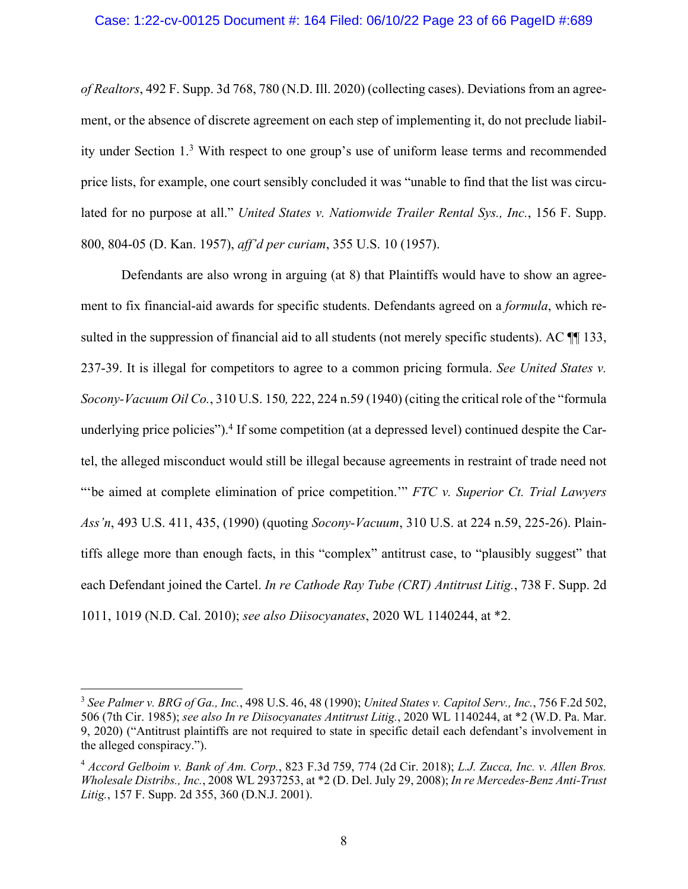*of Realtors*, 492 F. Supp. 3d 768, 780 (N.D. Ill. 2020) (collecting cases). Deviations from an agreement, or the absence of discrete agreement on each step of implementing it, do not preclude liability under Section 1.3 With respect to one group's use of uniform lease terms and recommended price lists, for example, one court sensibly concluded it was "unable to find that the list was circulated for no purpose at all." *United States v. Nationwide Trailer Rental Sys., Inc.*, 156 F. Supp. 800, 804-05 (D. Kan. 1957), *aff'd per curiam*, 355 U.S. 10 (1957).

Defendants are also wrong in arguing (at 8) that Plaintiffs would have to show an agreement to fix financial-aid awards for specific students. Defendants agreed on a *formula*, which resulted in the suppression of financial aid to all students (not merely specific students). AC  $\P$  133, 237-39. It is illegal for competitors to agree to a common pricing formula. *See United States v. Socony-Vacuum Oil Co.*, 310 U.S. 150*,* 222, 224 n.59 (1940) (citing the critical role of the "formula underlying price policies").4 If some competition (at a depressed level) continued despite the Cartel, the alleged misconduct would still be illegal because agreements in restraint of trade need not "'be aimed at complete elimination of price competition.'" *FTC v. Superior Ct. Trial Lawyers Ass'n*, 493 U.S. 411, 435, (1990) (quoting *Socony-Vacuum*, 310 U.S. at 224 n.59, 225-26). Plaintiffs allege more than enough facts, in this "complex" antitrust case, to "plausibly suggest" that each Defendant joined the Cartel. *In re Cathode Ray Tube (CRT) Antitrust Litig.*, 738 F. Supp. 2d 1011, 1019 (N.D. Cal. 2010); *see also Diisocyanates*, 2020 WL 1140244, at \*2.

<sup>3</sup> *See Palmer v. BRG of Ga., Inc.*, 498 U.S. 46, 48 (1990); *United States v. Capitol Serv., Inc.*, 756 F.2d 502, 506 (7th Cir. 1985); *see also In re Diisocyanates Antitrust Litig.*, 2020 WL 1140244, at \*2 (W.D. Pa. Mar. 9, 2020) ("Antitrust plaintiffs are not required to state in specific detail each defendant's involvement in the alleged conspiracy.").

<sup>4</sup> *Accord Gelboim v. Bank of Am. Corp.*, 823 F.3d 759, 774 (2d Cir. 2018); *L.J. Zucca, Inc. v. Allen Bros. Wholesale Distribs., Inc.*, 2008 WL 2937253, at \*2 (D. Del. July 29, 2008); *In re Mercedes-Benz Anti-Trust Litig.*, 157 F. Supp. 2d 355, 360 (D.N.J. 2001).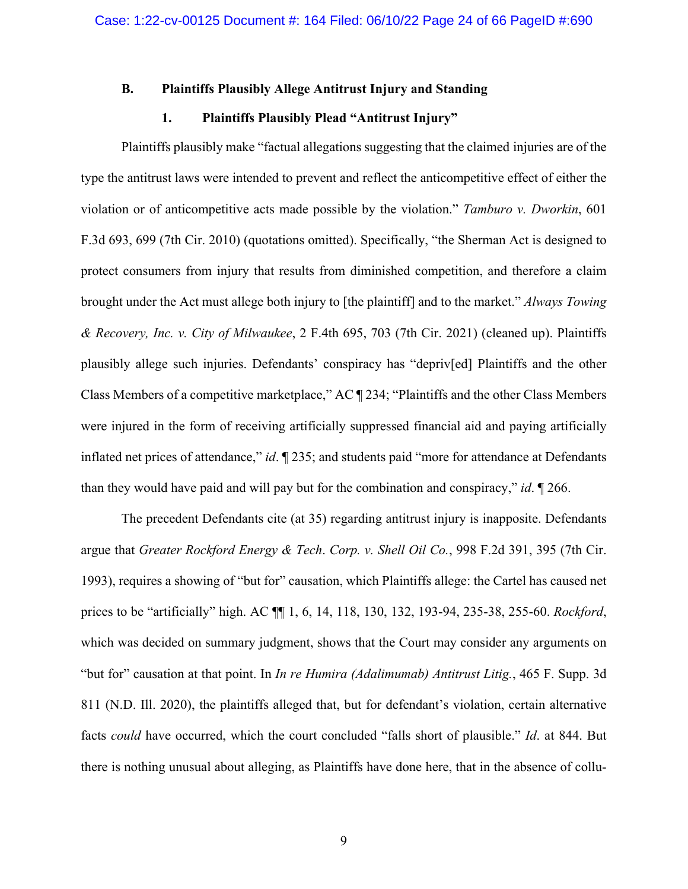## **B. Plaintiffs Plausibly Allege Antitrust Injury and Standing**

## **1. Plaintiffs Plausibly Plead "Antitrust Injury"**

Plaintiffs plausibly make "factual allegations suggesting that the claimed injuries are of the type the antitrust laws were intended to prevent and reflect the anticompetitive effect of either the violation or of anticompetitive acts made possible by the violation." *Tamburo v. Dworkin*, 601 F.3d 693, 699 (7th Cir. 2010) (quotations omitted). Specifically, "the Sherman Act is designed to protect consumers from injury that results from diminished competition, and therefore a claim brought under the Act must allege both injury to [the plaintiff] and to the market." *Always Towing & Recovery, Inc. v. City of Milwaukee*, 2 F.4th 695, 703 (7th Cir. 2021) (cleaned up). Plaintiffs plausibly allege such injuries. Defendants' conspiracy has "depriv[ed] Plaintiffs and the other Class Members of a competitive marketplace," AC ¶ 234; "Plaintiffs and the other Class Members were injured in the form of receiving artificially suppressed financial aid and paying artificially inflated net prices of attendance," *id*. ¶ 235; and students paid "more for attendance at Defendants than they would have paid and will pay but for the combination and conspiracy," *id*. ¶ 266.

The precedent Defendants cite (at 35) regarding antitrust injury is inapposite. Defendants argue that *Greater Rockford Energy & Tech*. *Corp. v. Shell Oil Co.*, 998 F.2d 391, 395 (7th Cir. 1993), requires a showing of "but for" causation, which Plaintiffs allege: the Cartel has caused net prices to be "artificially" high. AC ¶¶ 1, 6, 14, 118, 130, 132, 193-94, 235-38, 255-60. *Rockford*, which was decided on summary judgment, shows that the Court may consider any arguments on "but for" causation at that point. In *In re Humira (Adalimumab) Antitrust Litig.*, 465 F. Supp. 3d 811 (N.D. Ill. 2020), the plaintiffs alleged that, but for defendant's violation, certain alternative facts *could* have occurred, which the court concluded "falls short of plausible." *Id*. at 844. But there is nothing unusual about alleging, as Plaintiffs have done here, that in the absence of collu-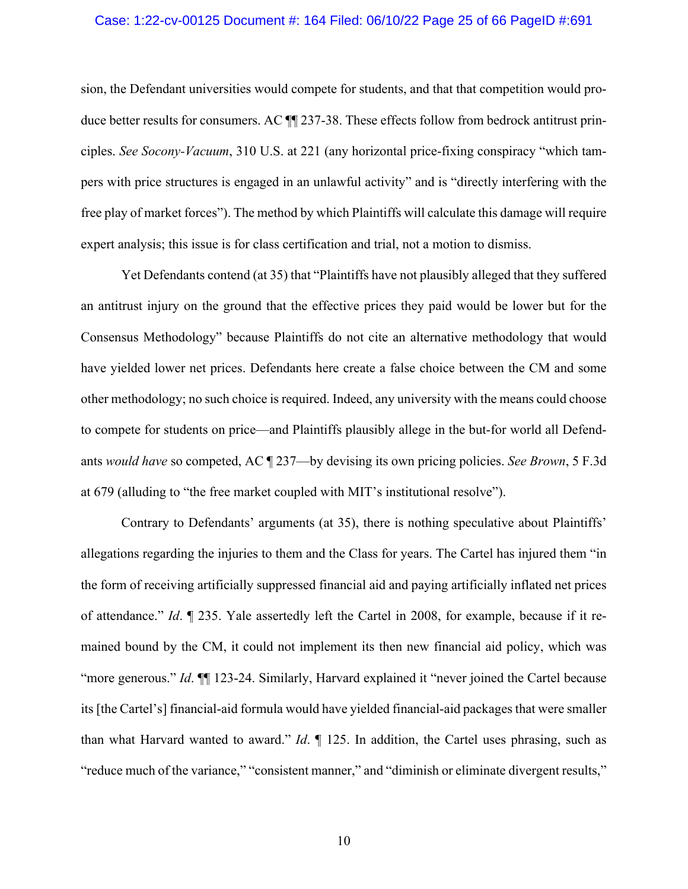#### Case: 1:22-cv-00125 Document #: 164 Filed: 06/10/22 Page 25 of 66 PageID #:691

sion, the Defendant universities would compete for students, and that that competition would produce better results for consumers. AC  $\P$  237-38. These effects follow from bedrock antitrust principles. *See Socony-Vacuum*, 310 U.S. at 221 (any horizontal price-fixing conspiracy "which tampers with price structures is engaged in an unlawful activity" and is "directly interfering with the free play of market forces"). The method by which Plaintiffs will calculate this damage will require expert analysis; this issue is for class certification and trial, not a motion to dismiss.

Yet Defendants contend (at 35) that "Plaintiffs have not plausibly alleged that they suffered an antitrust injury on the ground that the effective prices they paid would be lower but for the Consensus Methodology" because Plaintiffs do not cite an alternative methodology that would have yielded lower net prices. Defendants here create a false choice between the CM and some other methodology; no such choice is required. Indeed, any university with the means could choose to compete for students on price—and Plaintiffs plausibly allege in the but-for world all Defendants *would have* so competed, AC ¶ 237—by devising its own pricing policies. *See Brown*, 5 F.3d at 679 (alluding to "the free market coupled with MIT's institutional resolve").

Contrary to Defendants' arguments (at 35), there is nothing speculative about Plaintiffs' allegations regarding the injuries to them and the Class for years. The Cartel has injured them "in the form of receiving artificially suppressed financial aid and paying artificially inflated net prices of attendance." *Id*. ¶ 235. Yale assertedly left the Cartel in 2008, for example, because if it remained bound by the CM, it could not implement its then new financial aid policy, which was "more generous." *Id*. ¶¶ 123-24. Similarly, Harvard explained it "never joined the Cartel because its [the Cartel's] financial-aid formula would have yielded financial-aid packages that were smaller than what Harvard wanted to award." *Id*. ¶ 125. In addition, the Cartel uses phrasing, such as "reduce much of the variance," "consistent manner," and "diminish or eliminate divergent results,"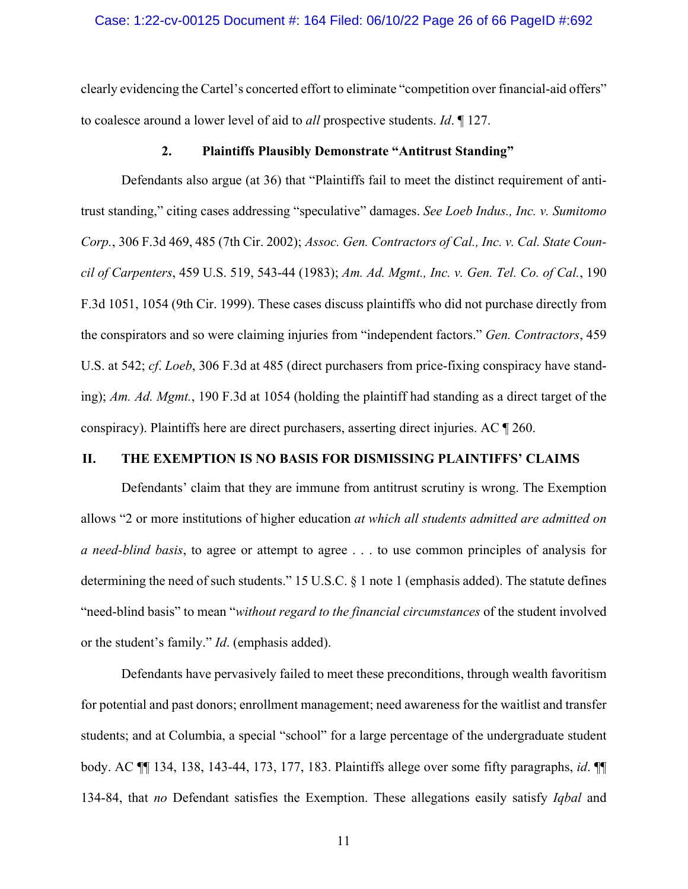clearly evidencing the Cartel's concerted effort to eliminate "competition over financial-aid offers" to coalesce around a lower level of aid to *all* prospective students. *Id*. ¶ 127.

## **2. Plaintiffs Plausibly Demonstrate "Antitrust Standing"**

Defendants also argue (at 36) that "Plaintiffs fail to meet the distinct requirement of antitrust standing," citing cases addressing "speculative" damages. *See Loeb Indus., Inc. v. Sumitomo Corp.*, 306 F.3d 469, 485 (7th Cir. 2002); *Assoc. Gen. Contractors of Cal., Inc. v. Cal. State Council of Carpenters*, 459 U.S. 519, 543-44 (1983); *Am. Ad. Mgmt., Inc. v. Gen. Tel. Co. of Cal.*, 190 F.3d 1051, 1054 (9th Cir. 1999). These cases discuss plaintiffs who did not purchase directly from the conspirators and so were claiming injuries from "independent factors." *Gen. Contractors*, 459 U.S. at 542; *cf*. *Loeb*, 306 F.3d at 485 (direct purchasers from price-fixing conspiracy have standing); *Am. Ad. Mgmt.*, 190 F.3d at 1054 (holding the plaintiff had standing as a direct target of the conspiracy). Plaintiffs here are direct purchasers, asserting direct injuries. AC ¶ 260.

## **II. THE EXEMPTION IS NO BASIS FOR DISMISSING PLAINTIFFS' CLAIMS**

Defendants' claim that they are immune from antitrust scrutiny is wrong. The Exemption allows "2 or more institutions of higher education *at which all students admitted are admitted on a need-blind basis*, to agree or attempt to agree . . . to use common principles of analysis for determining the need of such students." 15 U.S.C. § 1 note 1 (emphasis added). The statute defines "need-blind basis" to mean "*without regard to the financial circumstances* of the student involved or the student's family." *Id*. (emphasis added).

Defendants have pervasively failed to meet these preconditions, through wealth favoritism for potential and past donors; enrollment management; need awareness for the waitlist and transfer students; and at Columbia, a special "school" for a large percentage of the undergraduate student body. AC ¶¶ 134, 138, 143-44, 173, 177, 183. Plaintiffs allege over some fifty paragraphs, *id*. ¶¶ 134-84, that *no* Defendant satisfies the Exemption. These allegations easily satisfy *Iqbal* and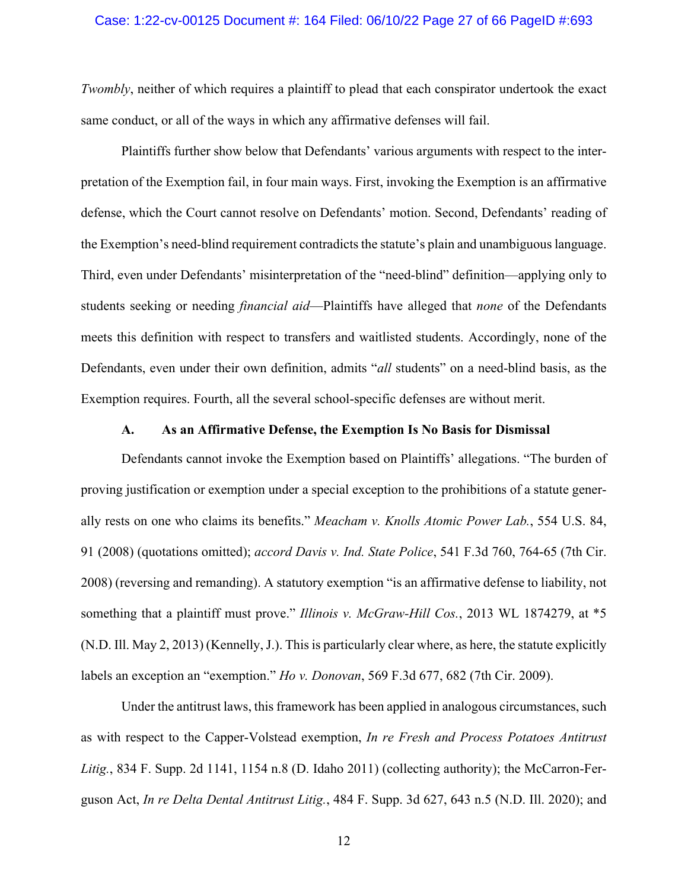#### Case: 1:22-cv-00125 Document #: 164 Filed: 06/10/22 Page 27 of 66 PageID #:693

*Twombly*, neither of which requires a plaintiff to plead that each conspirator undertook the exact same conduct, or all of the ways in which any affirmative defenses will fail.

Plaintiffs further show below that Defendants' various arguments with respect to the interpretation of the Exemption fail, in four main ways. First, invoking the Exemption is an affirmative defense, which the Court cannot resolve on Defendants' motion. Second, Defendants' reading of the Exemption's need-blind requirement contradicts the statute's plain and unambiguous language. Third, even under Defendants' misinterpretation of the "need-blind" definition—applying only to students seeking or needing *financial aid*—Plaintiffs have alleged that *none* of the Defendants meets this definition with respect to transfers and waitlisted students. Accordingly, none of the Defendants, even under their own definition, admits "*all* students" on a need-blind basis, as the Exemption requires. Fourth, all the several school-specific defenses are without merit.

## **A. As an Affirmative Defense, the Exemption Is No Basis for Dismissal**

Defendants cannot invoke the Exemption based on Plaintiffs' allegations. "The burden of proving justification or exemption under a special exception to the prohibitions of a statute generally rests on one who claims its benefits." *Meacham v. Knolls Atomic Power Lab.*, 554 U.S. 84, 91 (2008) (quotations omitted); *accord Davis v. Ind. State Police*, 541 F.3d 760, 764-65 (7th Cir. 2008) (reversing and remanding). A statutory exemption "is an affirmative defense to liability, not something that a plaintiff must prove." *Illinois v. McGraw-Hill Cos.*, 2013 WL 1874279, at \*5 (N.D. Ill. May 2, 2013) (Kennelly, J.). This is particularly clear where, as here, the statute explicitly labels an exception an "exemption." *Ho v. Donovan*, 569 F.3d 677, 682 (7th Cir. 2009).

Under the antitrust laws, this framework has been applied in analogous circumstances, such as with respect to the Capper-Volstead exemption, *In re Fresh and Process Potatoes Antitrust Litig.*, 834 F. Supp. 2d 1141, 1154 n.8 (D. Idaho 2011) (collecting authority); the McCarron-Ferguson Act, *In re Delta Dental Antitrust Litig.*, 484 F. Supp. 3d 627, 643 n.5 (N.D. Ill. 2020); and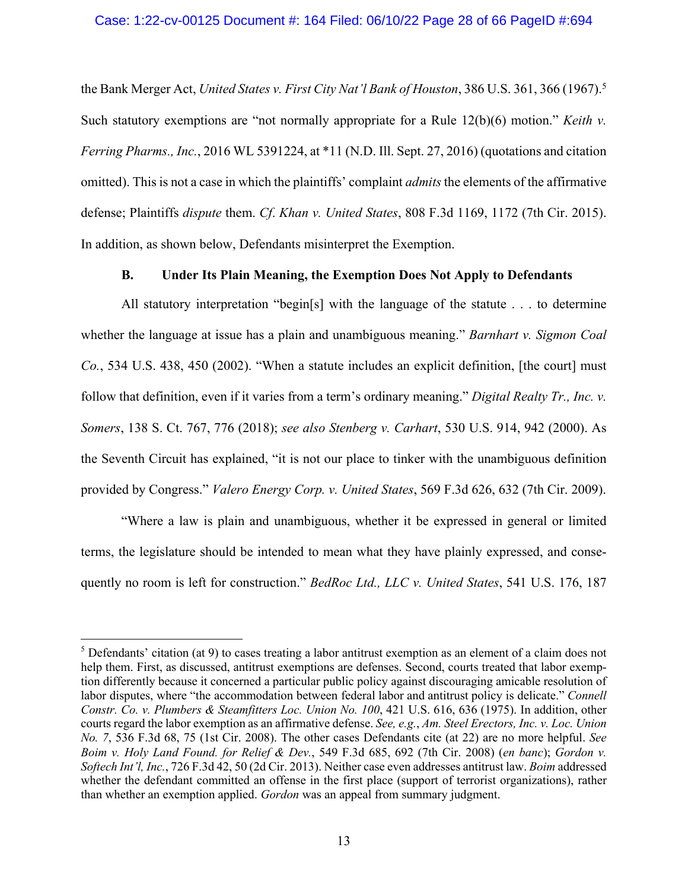### Case: 1:22-cv-00125 Document #: 164 Filed: 06/10/22 Page 28 of 66 PageID #:694

the Bank Merger Act, *United States v. First City Nat'l Bank of Houston*, 386 U.S. 361, 366 (1967). 5 Such statutory exemptions are "not normally appropriate for a Rule 12(b)(6) motion." *Keith v. Ferring Pharms., Inc.*, 2016 WL 5391224, at \*11 (N.D. Ill. Sept. 27, 2016) (quotations and citation omitted). This is not a case in which the plaintiffs' complaint *admits* the elements of the affirmative defense; Plaintiffs *dispute* them. *Cf*. *Khan v. United States*, 808 F.3d 1169, 1172 (7th Cir. 2015). In addition, as shown below, Defendants misinterpret the Exemption.

## **B. Under Its Plain Meaning, the Exemption Does Not Apply to Defendants**

All statutory interpretation "begin[s] with the language of the statute . . . to determine whether the language at issue has a plain and unambiguous meaning." *Barnhart v. Sigmon Coal Co.*, 534 U.S. 438, 450 (2002). "When a statute includes an explicit definition, [the court] must follow that definition, even if it varies from a term's ordinary meaning." *Digital Realty Tr., Inc. v. Somers*, 138 S. Ct. 767, 776 (2018); *see also Stenberg v. Carhart*, 530 U.S. 914, 942 (2000). As the Seventh Circuit has explained, "it is not our place to tinker with the unambiguous definition provided by Congress." *Valero Energy Corp. v. United States*, 569 F.3d 626, 632 (7th Cir. 2009).

"Where a law is plain and unambiguous, whether it be expressed in general or limited terms, the legislature should be intended to mean what they have plainly expressed, and consequently no room is left for construction." *BedRoc Ltd., LLC v. United States*, 541 U.S. 176, 187

 $<sup>5</sup>$  Defendants' citation (at 9) to cases treating a labor antitrust exemption as an element of a claim does not</sup> help them. First, as discussed, antitrust exemptions are defenses. Second, courts treated that labor exemption differently because it concerned a particular public policy against discouraging amicable resolution of labor disputes, where "the accommodation between federal labor and antitrust policy is delicate." *Connell Constr. Co. v. Plumbers & Steamfitters Loc. Union No. 100*, 421 U.S. 616, 636 (1975). In addition, other courts regard the labor exemption as an affirmative defense. *See, e.g.*, *Am. Steel Erectors, Inc. v. Loc. Union No. 7*, 536 F.3d 68, 75 (1st Cir. 2008). The other cases Defendants cite (at 22) are no more helpful. *See Boim v. Holy Land Found. for Relief & Dev.*, 549 F.3d 685, 692 (7th Cir. 2008) (*en banc*); *Gordon v. Softech Int'l, Inc.*, 726 F.3d 42, 50 (2d Cir. 2013). Neither case even addresses antitrust law. *Boim* addressed whether the defendant committed an offense in the first place (support of terrorist organizations), rather than whether an exemption applied. *Gordon* was an appeal from summary judgment.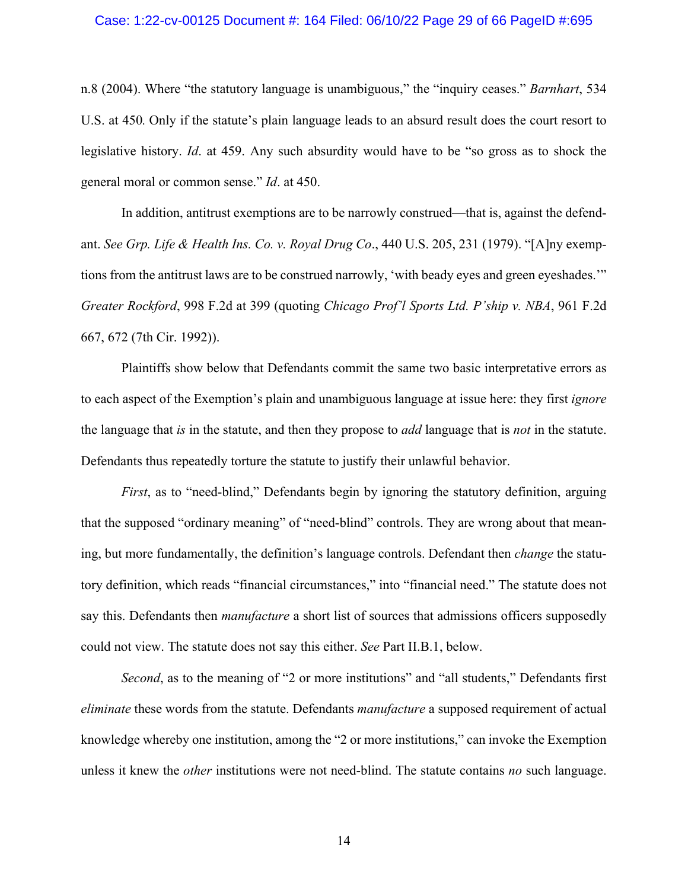### Case: 1:22-cv-00125 Document #: 164 Filed: 06/10/22 Page 29 of 66 PageID #:695

n.8 (2004). Where "the statutory language is unambiguous," the "inquiry ceases." *Barnhart*, 534 U.S. at 450*.* Only if the statute's plain language leads to an absurd result does the court resort to legislative history. *Id*. at 459. Any such absurdity would have to be "so gross as to shock the general moral or common sense." *Id*. at 450.

In addition, antitrust exemptions are to be narrowly construed—that is, against the defendant. *See Grp. Life & Health Ins. Co. v. Royal Drug Co*., 440 U.S. 205, 231 (1979). "[A]ny exemptions from the antitrust laws are to be construed narrowly, 'with beady eyes and green eyeshades.'" *Greater Rockford*, 998 F.2d at 399 (quoting *Chicago Prof'l Sports Ltd. P'ship v. NBA*, 961 F.2d 667, 672 (7th Cir. 1992)).

Plaintiffs show below that Defendants commit the same two basic interpretative errors as to each aspect of the Exemption's plain and unambiguous language at issue here: they first *ignore* the language that *is* in the statute, and then they propose to *add* language that is *not* in the statute. Defendants thus repeatedly torture the statute to justify their unlawful behavior.

*First*, as to "need-blind," Defendants begin by ignoring the statutory definition, arguing that the supposed "ordinary meaning" of "need-blind" controls. They are wrong about that meaning, but more fundamentally, the definition's language controls. Defendant then *change* the statutory definition, which reads "financial circumstances," into "financial need." The statute does not say this. Defendants then *manufacture* a short list of sources that admissions officers supposedly could not view. The statute does not say this either. *See* Part II.B.1, below.

*Second*, as to the meaning of "2 or more institutions" and "all students," Defendants first *eliminate* these words from the statute. Defendants *manufacture* a supposed requirement of actual knowledge whereby one institution, among the "2 or more institutions," can invoke the Exemption unless it knew the *other* institutions were not need-blind. The statute contains *no* such language.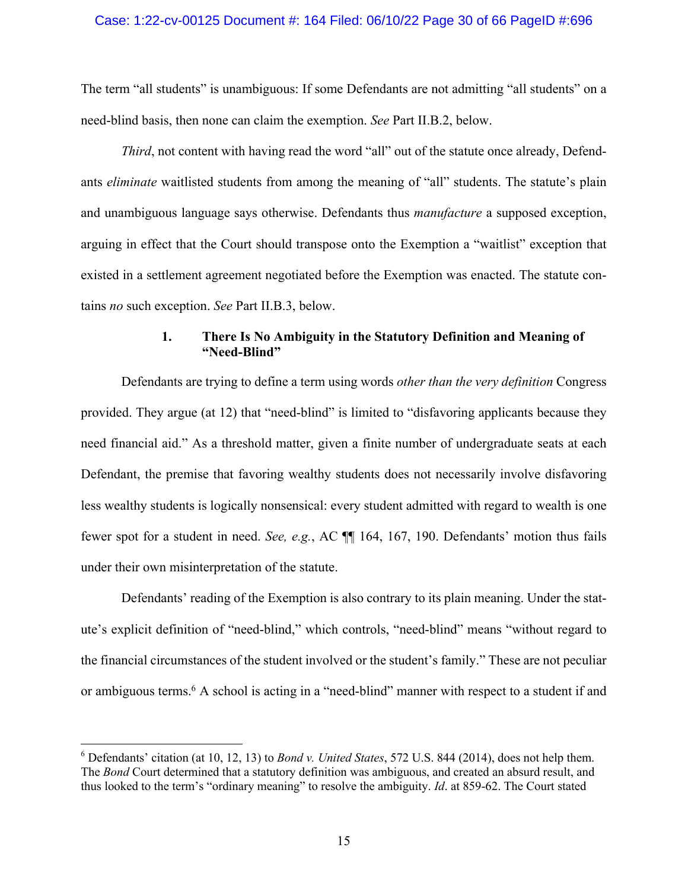### Case: 1:22-cv-00125 Document #: 164 Filed: 06/10/22 Page 30 of 66 PageID #:696

The term "all students" is unambiguous: If some Defendants are not admitting "all students" on a need-blind basis, then none can claim the exemption. *See* Part II.B.2, below.

*Third*, not content with having read the word "all" out of the statute once already, Defendants *eliminate* waitlisted students from among the meaning of "all" students. The statute's plain and unambiguous language says otherwise. Defendants thus *manufacture* a supposed exception, arguing in effect that the Court should transpose onto the Exemption a "waitlist" exception that existed in a settlement agreement negotiated before the Exemption was enacted. The statute contains *no* such exception. *See* Part II.B.3, below.

## **1. There Is No Ambiguity in the Statutory Definition and Meaning of "Need-Blind"**

Defendants are trying to define a term using words *other than the very definition* Congress provided. They argue (at 12) that "need-blind" is limited to "disfavoring applicants because they need financial aid." As a threshold matter, given a finite number of undergraduate seats at each Defendant, the premise that favoring wealthy students does not necessarily involve disfavoring less wealthy students is logically nonsensical: every student admitted with regard to wealth is one fewer spot for a student in need. *See, e.g.*, AC ¶¶ 164, 167, 190. Defendants' motion thus fails under their own misinterpretation of the statute.

Defendants' reading of the Exemption is also contrary to its plain meaning. Under the statute's explicit definition of "need-blind," which controls, "need-blind" means "without regard to the financial circumstances of the student involved or the student's family." These are not peculiar or ambiguous terms.6 A school is acting in a "need-blind" manner with respect to a student if and

<sup>6</sup> Defendants' citation (at 10, 12, 13) to *Bond v. United States*, 572 U.S. 844 (2014), does not help them. The *Bond* Court determined that a statutory definition was ambiguous, and created an absurd result, and thus looked to the term's "ordinary meaning" to resolve the ambiguity. *Id*. at 859-62. The Court stated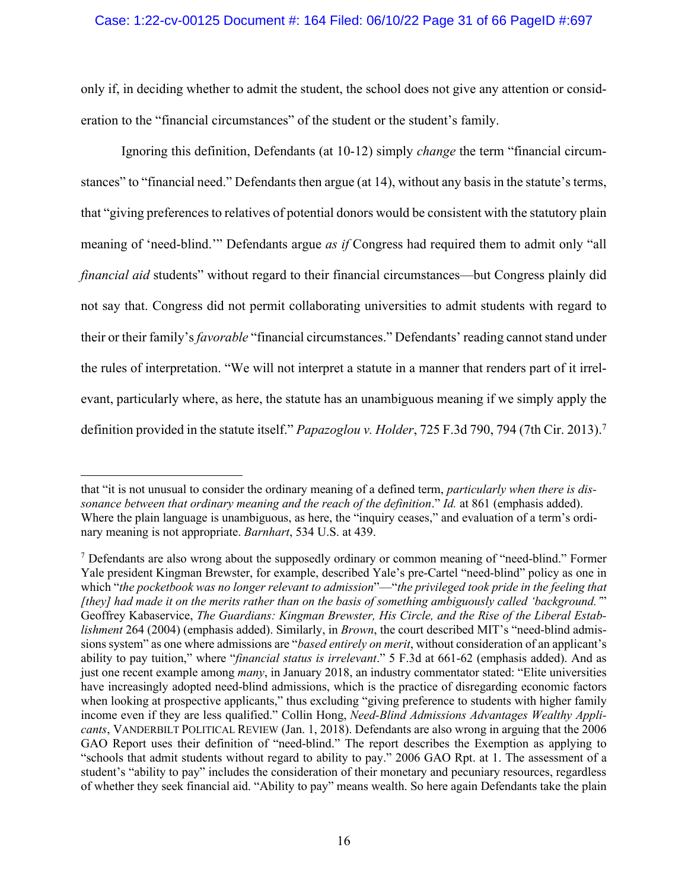## Case: 1:22-cv-00125 Document #: 164 Filed: 06/10/22 Page 31 of 66 PageID #:697

only if, in deciding whether to admit the student, the school does not give any attention or consideration to the "financial circumstances" of the student or the student's family.

Ignoring this definition, Defendants (at 10-12) simply *change* the term "financial circumstances" to "financial need." Defendants then argue (at 14), without any basis in the statute's terms, that "giving preferences to relatives of potential donors would be consistent with the statutory plain meaning of 'need-blind.'" Defendants argue *as if* Congress had required them to admit only "all *financial aid* students" without regard to their financial circumstances—but Congress plainly did not say that. Congress did not permit collaborating universities to admit students with regard to their or their family's *favorable* "financial circumstances." Defendants' reading cannot stand under the rules of interpretation. "We will not interpret a statute in a manner that renders part of it irrelevant, particularly where, as here, the statute has an unambiguous meaning if we simply apply the definition provided in the statute itself." *Papazoglou v. Holder*, 725 F.3d 790, 794 (7th Cir. 2013). 7

that "it is not unusual to consider the ordinary meaning of a defined term, *particularly when there is dissonance between that ordinary meaning and the reach of the definition*." *Id.* at 861 (emphasis added). Where the plain language is unambiguous, as here, the "inquiry ceases," and evaluation of a term's ordinary meaning is not appropriate. *Barnhart*, 534 U.S. at 439.

 $<sup>7</sup>$  Defendants are also wrong about the supposedly ordinary or common meaning of "need-blind." Former</sup> Yale president Kingman Brewster, for example, described Yale's pre-Cartel "need-blind" policy as one in which "*the pocketbook was no longer relevant to admission*"—"*the privileged took pride in the feeling that [they] had made it on the merits rather than on the basis of something ambiguously called 'background.'*" Geoffrey Kabaservice, *The Guardians: Kingman Brewster, His Circle, and the Rise of the Liberal Establishment* 264 (2004) (emphasis added). Similarly, in *Brown*, the court described MIT's "need-blind admissions system" as one where admissions are "*based entirely on merit*, without consideration of an applicant's ability to pay tuition," where "*financial status is irrelevant*." 5 F.3d at 661-62 (emphasis added). And as just one recent example among *many*, in January 2018, an industry commentator stated: "Elite universities have increasingly adopted need-blind admissions, which is the practice of disregarding economic factors when looking at prospective applicants," thus excluding "giving preference to students with higher family income even if they are less qualified." Collin Hong, *Need-Blind Admissions Advantages Wealthy Applicants*, VANDERBILT POLITICAL REVIEW (Jan. 1, 2018). Defendants are also wrong in arguing that the 2006 GAO Report uses their definition of "need-blind." The report describes the Exemption as applying to "schools that admit students without regard to ability to pay." 2006 GAO Rpt. at 1. The assessment of a student's "ability to pay" includes the consideration of their monetary and pecuniary resources, regardless of whether they seek financial aid. "Ability to pay" means wealth. So here again Defendants take the plain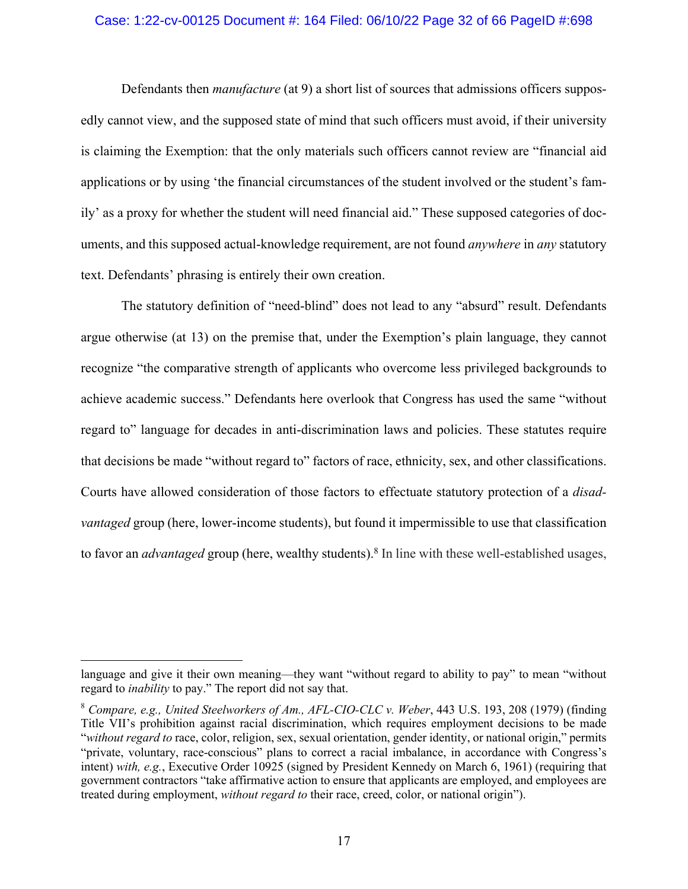### Case: 1:22-cv-00125 Document #: 164 Filed: 06/10/22 Page 32 of 66 PageID #:698

Defendants then *manufacture* (at 9) a short list of sources that admissions officers supposedly cannot view, and the supposed state of mind that such officers must avoid, if their university is claiming the Exemption: that the only materials such officers cannot review are "financial aid applications or by using 'the financial circumstances of the student involved or the student's family' as a proxy for whether the student will need financial aid." These supposed categories of documents, and this supposed actual-knowledge requirement, are not found *anywhere* in *any* statutory text. Defendants' phrasing is entirely their own creation.

The statutory definition of "need-blind" does not lead to any "absurd" result. Defendants argue otherwise (at 13) on the premise that, under the Exemption's plain language, they cannot recognize "the comparative strength of applicants who overcome less privileged backgrounds to achieve academic success." Defendants here overlook that Congress has used the same "without regard to" language for decades in anti-discrimination laws and policies. These statutes require that decisions be made "without regard to" factors of race, ethnicity, sex, and other classifications. Courts have allowed consideration of those factors to effectuate statutory protection of a *disadvantaged* group (here, lower-income students), but found it impermissible to use that classification to favor an *advantaged* group (here, wealthy students).<sup>8</sup> In line with these well-established usages,

language and give it their own meaning—they want "without regard to ability to pay" to mean "without regard to *inability* to pay." The report did not say that.

<sup>8</sup> *Compare, e.g., United Steelworkers of Am., AFL-CIO-CLC v. Weber*, 443 U.S. 193, 208 (1979) (finding Title VII's prohibition against racial discrimination, which requires employment decisions to be made "*without regard to* race, color, religion, sex, sexual orientation, gender identity, or national origin," permits "private, voluntary, race-conscious" plans to correct a racial imbalance, in accordance with Congress's intent) *with, e.g.*, Executive Order 10925 (signed by President Kennedy on March 6, 1961) (requiring that government contractors "take affirmative action to ensure that applicants are employed, and employees are treated during employment, *without regard to* their race, creed, color, or national origin").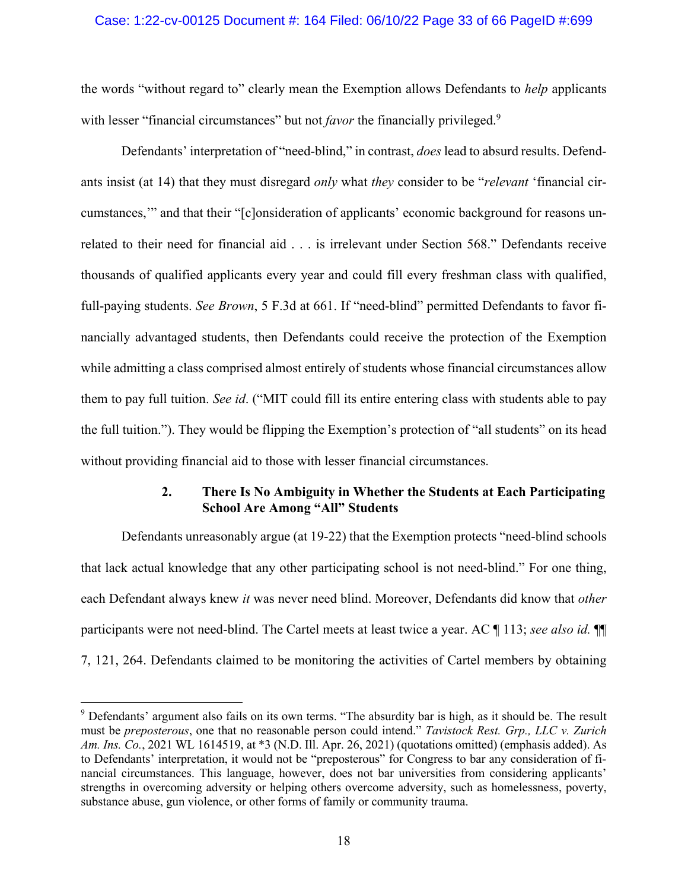## Case: 1:22-cv-00125 Document #: 164 Filed: 06/10/22 Page 33 of 66 PageID #:699

the words "without regard to" clearly mean the Exemption allows Defendants to *help* applicants with lesser "financial circumstances" but not *favor* the financially privileged.<sup>9</sup>

Defendants' interpretation of "need-blind," in contrast, *does* lead to absurd results. Defendants insist (at 14) that they must disregard *only* what *they* consider to be "*relevant* 'financial circumstances,'" and that their "[c]onsideration of applicants' economic background for reasons unrelated to their need for financial aid . . . is irrelevant under Section 568." Defendants receive thousands of qualified applicants every year and could fill every freshman class with qualified, full-paying students. *See Brown*, 5 F.3d at 661. If "need-blind" permitted Defendants to favor financially advantaged students, then Defendants could receive the protection of the Exemption while admitting a class comprised almost entirely of students whose financial circumstances allow them to pay full tuition. *See id*. ("MIT could fill its entire entering class with students able to pay the full tuition."). They would be flipping the Exemption's protection of "all students" on its head without providing financial aid to those with lesser financial circumstances.

## **2. There Is No Ambiguity in Whether the Students at Each Participating School Are Among "All" Students**

Defendants unreasonably argue (at 19-22) that the Exemption protects "need-blind schools that lack actual knowledge that any other participating school is not need-blind." For one thing, each Defendant always knew *it* was never need blind. Moreover, Defendants did know that *other* participants were not need-blind. The Cartel meets at least twice a year. AC ¶ 113; *see also id.* ¶¶ 7, 121, 264. Defendants claimed to be monitoring the activities of Cartel members by obtaining

<sup>&</sup>lt;sup>9</sup> Defendants' argument also fails on its own terms. "The absurdity bar is high, as it should be. The result must be *preposterous*, one that no reasonable person could intend." *Tavistock Rest. Grp., LLC v. Zurich Am. Ins. Co.*, 2021 WL 1614519, at \*3 (N.D. Ill. Apr. 26, 2021) (quotations omitted) (emphasis added). As to Defendants' interpretation, it would not be "preposterous" for Congress to bar any consideration of financial circumstances. This language, however, does not bar universities from considering applicants' strengths in overcoming adversity or helping others overcome adversity, such as homelessness, poverty, substance abuse, gun violence, or other forms of family or community trauma.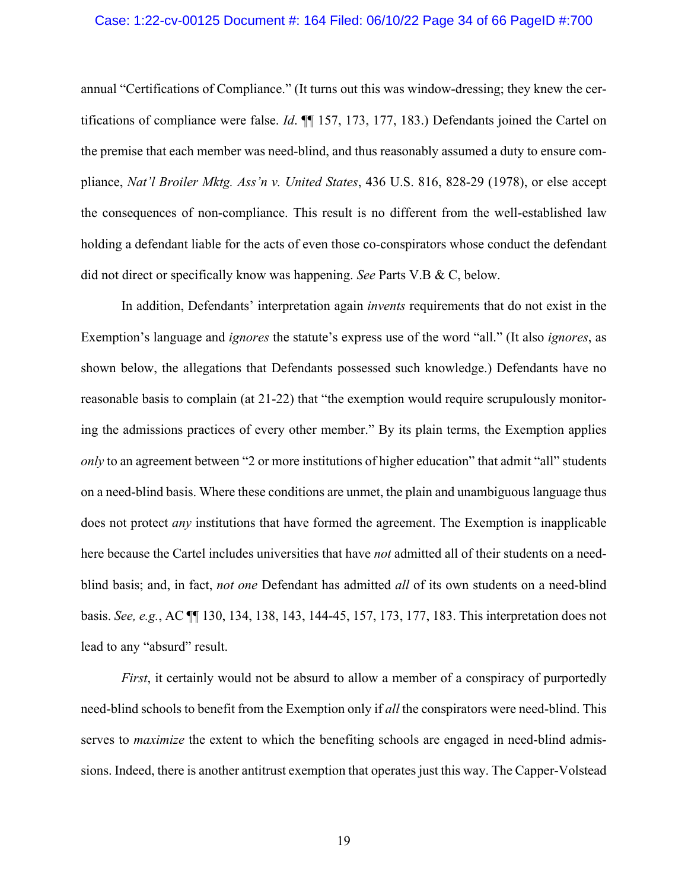### Case: 1:22-cv-00125 Document #: 164 Filed: 06/10/22 Page 34 of 66 PageID #:700

annual "Certifications of Compliance." (It turns out this was window-dressing; they knew the certifications of compliance were false. *Id*. ¶¶ 157, 173, 177, 183.) Defendants joined the Cartel on the premise that each member was need-blind, and thus reasonably assumed a duty to ensure compliance, *Nat'l Broiler Mktg. Ass'n v. United States*, 436 U.S. 816, 828-29 (1978), or else accept the consequences of non-compliance. This result is no different from the well-established law holding a defendant liable for the acts of even those co-conspirators whose conduct the defendant did not direct or specifically know was happening. *See* Parts V.B & C, below.

In addition, Defendants' interpretation again *invents* requirements that do not exist in the Exemption's language and *ignores* the statute's express use of the word "all." (It also *ignores*, as shown below, the allegations that Defendants possessed such knowledge.) Defendants have no reasonable basis to complain (at 21-22) that "the exemption would require scrupulously monitoring the admissions practices of every other member." By its plain terms, the Exemption applies *only* to an agreement between "2 or more institutions of higher education" that admit "all" students on a need-blind basis. Where these conditions are unmet, the plain and unambiguous language thus does not protect *any* institutions that have formed the agreement. The Exemption is inapplicable here because the Cartel includes universities that have *not* admitted all of their students on a needblind basis; and, in fact, *not one* Defendant has admitted *all* of its own students on a need-blind basis. *See, e.g.*, AC ¶¶ 130, 134, 138, 143, 144-45, 157, 173, 177, 183. This interpretation does not lead to any "absurd" result.

*First*, it certainly would not be absurd to allow a member of a conspiracy of purportedly need-blind schools to benefit from the Exemption only if *all* the conspirators were need-blind. This serves to *maximize* the extent to which the benefiting schools are engaged in need-blind admissions. Indeed, there is another antitrust exemption that operates just this way. The Capper-Volstead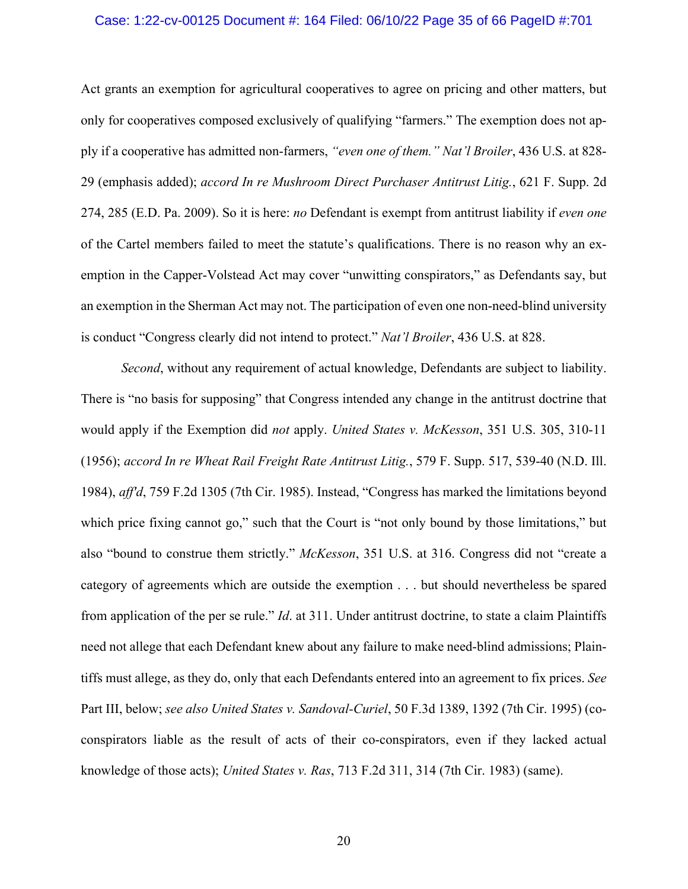### Case: 1:22-cv-00125 Document #: 164 Filed: 06/10/22 Page 35 of 66 PageID #:701

Act grants an exemption for agricultural cooperatives to agree on pricing and other matters, but only for cooperatives composed exclusively of qualifying "farmers." The exemption does not apply if a cooperative has admitted non-farmers, *"even one of them." Nat'l Broiler*, 436 U.S. at 828- 29 (emphasis added); *accord In re Mushroom Direct Purchaser Antitrust Litig.*, 621 F. Supp. 2d 274, 285 (E.D. Pa. 2009). So it is here: *no* Defendant is exempt from antitrust liability if *even one* of the Cartel members failed to meet the statute's qualifications. There is no reason why an exemption in the Capper-Volstead Act may cover "unwitting conspirators," as Defendants say, but an exemption in the Sherman Act may not. The participation of even one non-need-blind university is conduct "Congress clearly did not intend to protect." *Nat'l Broiler*, 436 U.S. at 828.

*Second*, without any requirement of actual knowledge, Defendants are subject to liability. There is "no basis for supposing" that Congress intended any change in the antitrust doctrine that would apply if the Exemption did *not* apply. *United States v. McKesson*, 351 U.S. 305, 310-11 (1956); *accord In re Wheat Rail Freight Rate Antitrust Litig.*, 579 F. Supp. 517, 539-40 (N.D. Ill. 1984), *aff'd*, 759 F.2d 1305 (7th Cir. 1985). Instead, "Congress has marked the limitations beyond which price fixing cannot go," such that the Court is "not only bound by those limitations," but also "bound to construe them strictly." *McKesson*, 351 U.S. at 316. Congress did not "create a category of agreements which are outside the exemption . . . but should nevertheless be spared from application of the per se rule." *Id*. at 311. Under antitrust doctrine, to state a claim Plaintiffs need not allege that each Defendant knew about any failure to make need-blind admissions; Plaintiffs must allege, as they do, only that each Defendants entered into an agreement to fix prices. *See* Part III, below; *see also United States v. Sandoval-Curiel*, 50 F.3d 1389, 1392 (7th Cir. 1995) (coconspirators liable as the result of acts of their co-conspirators, even if they lacked actual knowledge of those acts); *United States v. Ras*, 713 F.2d 311, 314 (7th Cir. 1983) (same).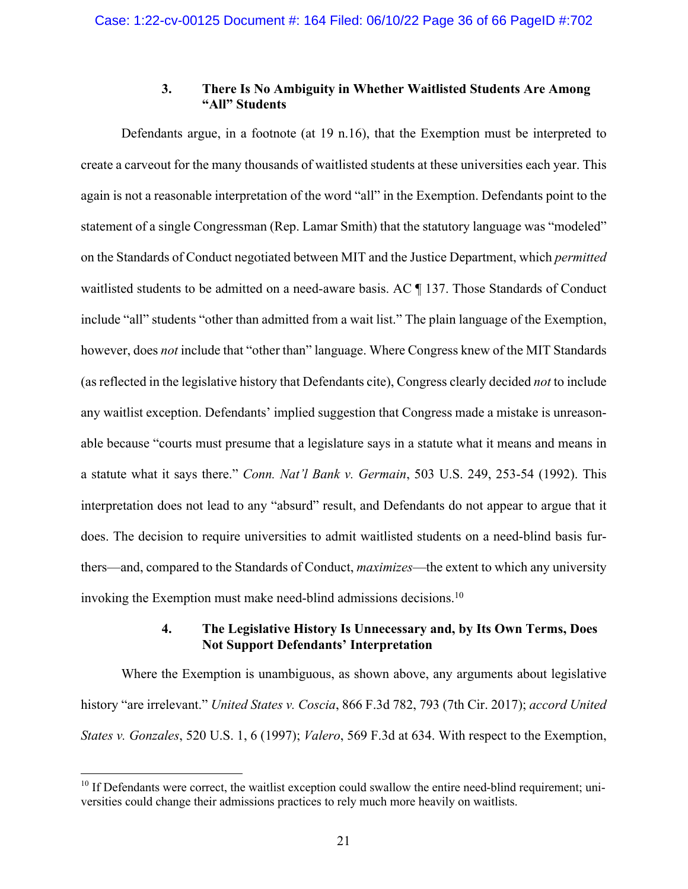## **3. There Is No Ambiguity in Whether Waitlisted Students Are Among "All" Students**

Defendants argue, in a footnote (at 19 n.16), that the Exemption must be interpreted to create a carveout for the many thousands of waitlisted students at these universities each year. This again is not a reasonable interpretation of the word "all" in the Exemption. Defendants point to the statement of a single Congressman (Rep. Lamar Smith) that the statutory language was "modeled" on the Standards of Conduct negotiated between MIT and the Justice Department, which *permitted* waitlisted students to be admitted on a need-aware basis. AC ¶ 137. Those Standards of Conduct include "all" students "other than admitted from a wait list." The plain language of the Exemption, however, does *not* include that "other than" language. Where Congress knew of the MIT Standards (as reflected in the legislative history that Defendants cite), Congress clearly decided *not* to include any waitlist exception. Defendants' implied suggestion that Congress made a mistake is unreasonable because "courts must presume that a legislature says in a statute what it means and means in a statute what it says there." *Conn. Nat'l Bank v. Germain*, 503 U.S. 249, 253-54 (1992). This interpretation does not lead to any "absurd" result, and Defendants do not appear to argue that it does. The decision to require universities to admit waitlisted students on a need-blind basis furthers—and, compared to the Standards of Conduct, *maximizes*—the extent to which any university invoking the Exemption must make need-blind admissions decisions. 10

## **4. The Legislative History Is Unnecessary and, by Its Own Terms, Does Not Support Defendants' Interpretation**

Where the Exemption is unambiguous, as shown above, any arguments about legislative history "are irrelevant." *United States v. Coscia*, 866 F.3d 782, 793 (7th Cir. 2017); *accord United States v. Gonzales*, 520 U.S. 1, 6 (1997); *Valero*, 569 F.3d at 634. With respect to the Exemption,

 $10$  If Defendants were correct, the waitlist exception could swallow the entire need-blind requirement; universities could change their admissions practices to rely much more heavily on waitlists.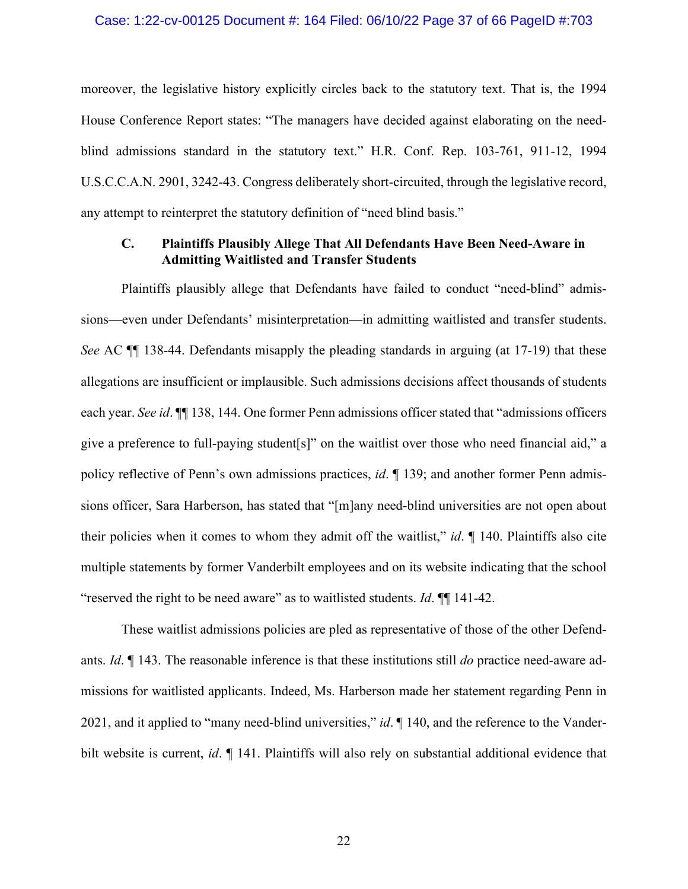### Case: 1:22-cv-00125 Document #: 164 Filed: 06/10/22 Page 37 of 66 PageID #:703

moreover, the legislative history explicitly circles back to the statutory text. That is, the 1994 House Conference Report states: "The managers have decided against elaborating on the needblind admissions standard in the statutory text." H.R. Conf. Rep. 103-761, 911-12, 1994 U.S.C.C.A.N. 2901, 3242-43. Congress deliberately short-circuited, through the legislative record, any attempt to reinterpret the statutory definition of "need blind basis."

## **C. Plaintiffs Plausibly Allege That All Defendants Have Been Need-Aware in Admitting Waitlisted and Transfer Students**

Plaintiffs plausibly allege that Defendants have failed to conduct "need-blind" admissions—even under Defendants' misinterpretation—in admitting waitlisted and transfer students. *See* AC  $\P$  138-44. Defendants misapply the pleading standards in arguing (at 17-19) that these allegations are insufficient or implausible. Such admissions decisions affect thousands of students each year. *See id*. ¶¶ 138, 144. One former Penn admissions officer stated that "admissions officers give a preference to full-paying student[s]" on the waitlist over those who need financial aid," a policy reflective of Penn's own admissions practices, *id*. ¶ 139; and another former Penn admissions officer, Sara Harberson, has stated that "[m]any need-blind universities are not open about their policies when it comes to whom they admit off the waitlist," *id*. ¶ 140. Plaintiffs also cite multiple statements by former Vanderbilt employees and on its website indicating that the school "reserved the right to be need aware" as to waitlisted students. *Id*. ¶¶ 141-42.

These waitlist admissions policies are pled as representative of those of the other Defendants. *Id*. ¶ 143. The reasonable inference is that these institutions still *do* practice need-aware admissions for waitlisted applicants. Indeed, Ms. Harberson made her statement regarding Penn in 2021, and it applied to "many need-blind universities," *id*. ¶ 140, and the reference to the Vanderbilt website is current, *id*. ¶ 141. Plaintiffs will also rely on substantial additional evidence that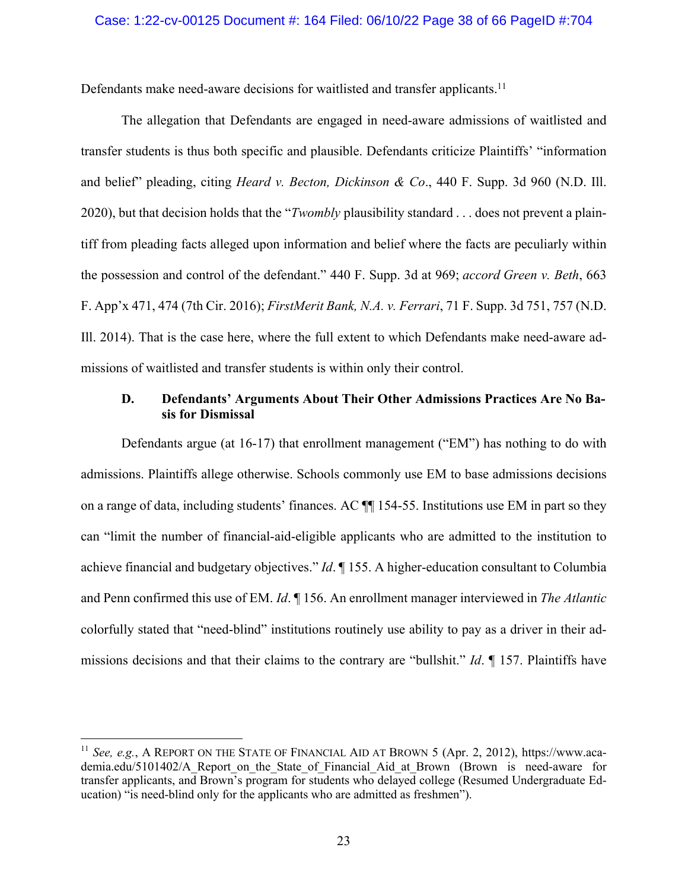Defendants make need-aware decisions for waitlisted and transfer applicants.<sup>11</sup>

The allegation that Defendants are engaged in need-aware admissions of waitlisted and transfer students is thus both specific and plausible. Defendants criticize Plaintiffs' "information and belief" pleading, citing *Heard v. Becton, Dickinson & Co*., 440 F. Supp. 3d 960 (N.D. Ill. 2020), but that decision holds that the "*Twombly* plausibility standard . . . does not prevent a plaintiff from pleading facts alleged upon information and belief where the facts are peculiarly within the possession and control of the defendant." 440 F. Supp. 3d at 969; *accord Green v. Beth*, 663 F. App'x 471, 474 (7th Cir. 2016); *FirstMerit Bank, N.A. v. Ferrari*, 71 F. Supp. 3d 751, 757 (N.D. Ill. 2014). That is the case here, where the full extent to which Defendants make need-aware admissions of waitlisted and transfer students is within only their control.

## **D. Defendants' Arguments About Their Other Admissions Practices Are No Basis for Dismissal**

Defendants argue (at 16-17) that enrollment management ("EM") has nothing to do with admissions. Plaintiffs allege otherwise. Schools commonly use EM to base admissions decisions on a range of data, including students' finances. AC ¶¶ 154-55. Institutions use EM in part so they can "limit the number of financial-aid-eligible applicants who are admitted to the institution to achieve financial and budgetary objectives." *Id*. ¶ 155. A higher-education consultant to Columbia and Penn confirmed this use of EM. *Id*. ¶ 156. An enrollment manager interviewed in *The Atlantic*  colorfully stated that "need-blind" institutions routinely use ability to pay as a driver in their admissions decisions and that their claims to the contrary are "bullshit." *Id*. ¶ 157. Plaintiffs have

<sup>11</sup> *See, e.g.*, A REPORT ON THE STATE OF FINANCIAL AID AT BROWN 5 (Apr. 2, 2012), https://www.academia.edu/5101402/A Report on the State of Financial Aid at Brown (Brown is need-aware for transfer applicants, and Brown's program for students who delayed college (Resumed Undergraduate Education) "is need-blind only for the applicants who are admitted as freshmen").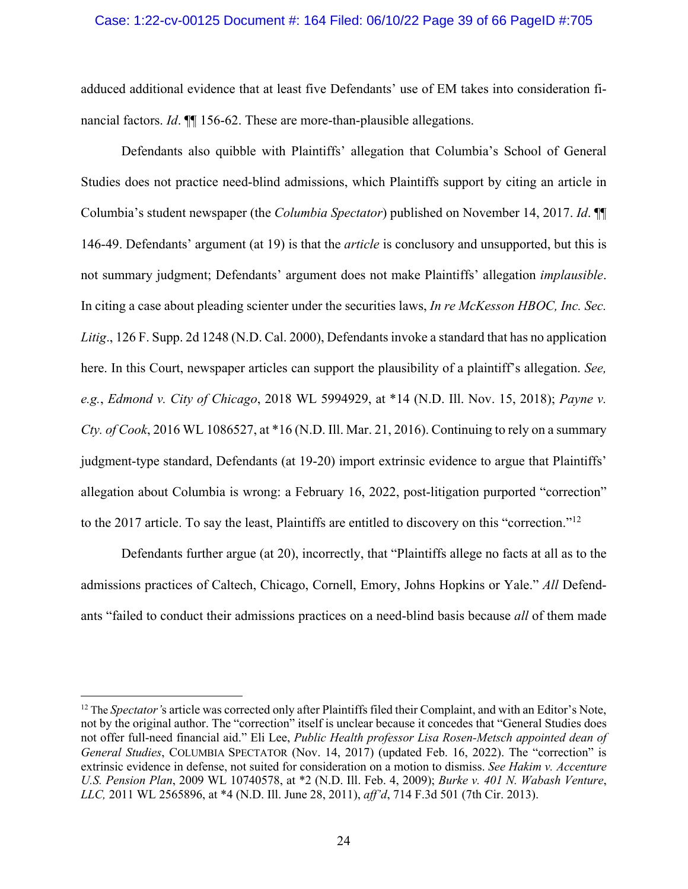### Case: 1:22-cv-00125 Document #: 164 Filed: 06/10/22 Page 39 of 66 PageID #:705

adduced additional evidence that at least five Defendants' use of EM takes into consideration financial factors. *Id*. ¶¶ 156-62. These are more-than-plausible allegations.

Defendants also quibble with Plaintiffs' allegation that Columbia's School of General Studies does not practice need-blind admissions, which Plaintiffs support by citing an article in Columbia's student newspaper (the *Columbia Spectator*) published on November 14, 2017. *Id*. ¶¶ 146-49. Defendants' argument (at 19) is that the *article* is conclusory and unsupported, but this is not summary judgment; Defendants' argument does not make Plaintiffs' allegation *implausible*. In citing a case about pleading scienter under the securities laws, *In re McKesson HBOC, Inc. Sec. Litig*., 126 F. Supp. 2d 1248 (N.D. Cal. 2000), Defendants invoke a standard that has no application here. In this Court, newspaper articles can support the plausibility of a plaintiff's allegation. *See, e.g.*, *Edmond v. City of Chicago*, 2018 WL 5994929, at \*14 (N.D. Ill. Nov. 15, 2018); *Payne v. Cty. of Cook*, 2016 WL 1086527, at \*16 (N.D. Ill. Mar. 21, 2016). Continuing to rely on a summary judgment-type standard, Defendants (at 19-20) import extrinsic evidence to argue that Plaintiffs' allegation about Columbia is wrong: a February 16, 2022, post-litigation purported "correction" to the 2017 article. To say the least, Plaintiffs are entitled to discovery on this "correction."12

Defendants further argue (at 20), incorrectly, that "Plaintiffs allege no facts at all as to the admissions practices of Caltech, Chicago, Cornell, Emory, Johns Hopkins or Yale." *All* Defendants "failed to conduct their admissions practices on a need-blind basis because *all* of them made

<sup>&</sup>lt;sup>12</sup> The *Spectator's* article was corrected only after Plaintiffs filed their Complaint, and with an Editor's Note, not by the original author. The "correction" itself is unclear because it concedes that "General Studies does not offer full-need financial aid." Eli Lee, *Public Health professor Lisa Rosen-Metsch appointed dean of General Studies*, COLUMBIA SPECTATOR (Nov. 14, 2017) (updated Feb. 16, 2022). The "correction" is extrinsic evidence in defense, not suited for consideration on a motion to dismiss. *See Hakim v. Accenture U.S. Pension Plan*, 2009 WL 10740578, at \*2 (N.D. Ill. Feb. 4, 2009); *Burke v. 401 N. Wabash Venture*, *LLC,* 2011 WL 2565896, at \*4 (N.D. Ill. June 28, 2011), *aff'd*, 714 F.3d 501 (7th Cir. 2013).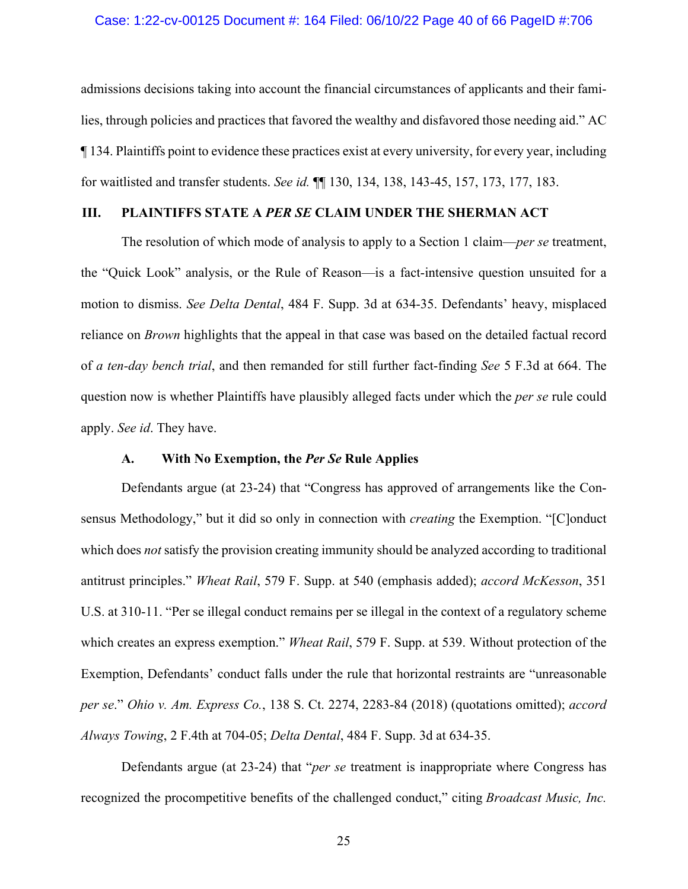### Case: 1:22-cv-00125 Document #: 164 Filed: 06/10/22 Page 40 of 66 PageID #:706

admissions decisions taking into account the financial circumstances of applicants and their families, through policies and practices that favored the wealthy and disfavored those needing aid." AC ¶ 134. Plaintiffs point to evidence these practices exist at every university, for every year, including for waitlisted and transfer students. *See id.* ¶¶ 130, 134, 138, 143-45, 157, 173, 177, 183.

## **III. PLAINTIFFS STATE A** *PER SE* **CLAIM UNDER THE SHERMAN ACT**

The resolution of which mode of analysis to apply to a Section 1 claim—*per se* treatment, the "Quick Look" analysis, or the Rule of Reason—is a fact-intensive question unsuited for a motion to dismiss. *See Delta Dental*, 484 F. Supp. 3d at 634-35. Defendants' heavy, misplaced reliance on *Brown* highlights that the appeal in that case was based on the detailed factual record of *a ten-day bench trial*, and then remanded for still further fact-finding *See* 5 F.3d at 664. The question now is whether Plaintiffs have plausibly alleged facts under which the *per se* rule could apply. *See id*. They have.

## **A. With No Exemption, the** *Per Se* **Rule Applies**

Defendants argue (at 23-24) that "Congress has approved of arrangements like the Consensus Methodology," but it did so only in connection with *creating* the Exemption. "[C]onduct which does *not* satisfy the provision creating immunity should be analyzed according to traditional antitrust principles." *Wheat Rail*, 579 F. Supp. at 540 (emphasis added); *accord McKesson*, 351 U.S. at 310-11. "Per se illegal conduct remains per se illegal in the context of a regulatory scheme which creates an express exemption." *Wheat Rail*, 579 F. Supp. at 539. Without protection of the Exemption, Defendants' conduct falls under the rule that horizontal restraints are "unreasonable *per se*." *Ohio v. Am. Express Co.*, 138 S. Ct. 2274, 2283-84 (2018) (quotations omitted); *accord Always Towing*, 2 F.4th at 704-05; *Delta Dental*, 484 F. Supp. 3d at 634-35.

Defendants argue (at 23-24) that "*per se* treatment is inappropriate where Congress has recognized the procompetitive benefits of the challenged conduct," citing *Broadcast Music, Inc.*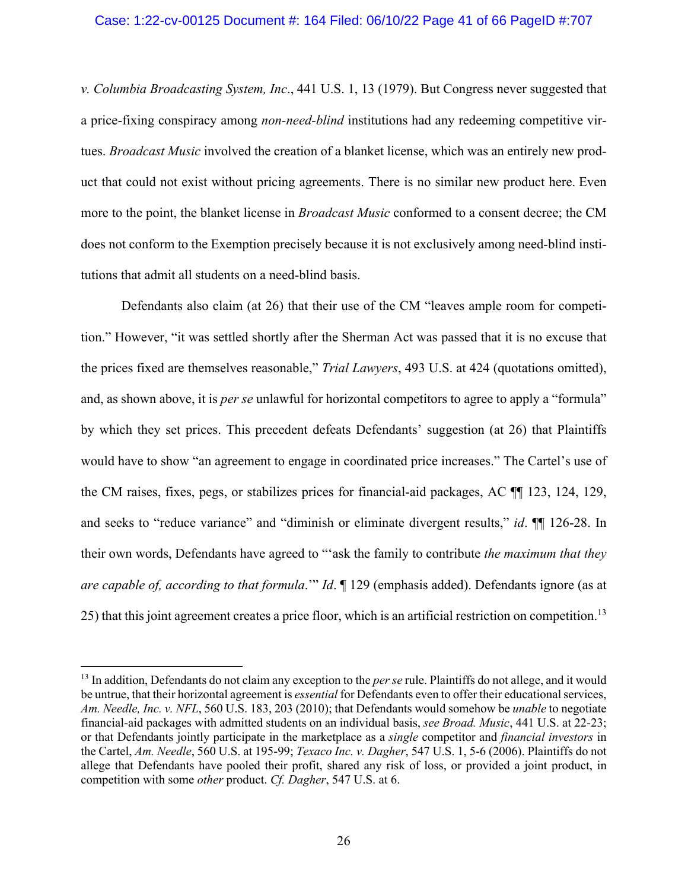### Case: 1:22-cv-00125 Document #: 164 Filed: 06/10/22 Page 41 of 66 PageID #:707

*v. Columbia Broadcasting System, Inc*., 441 U.S. 1, 13 (1979). But Congress never suggested that a price-fixing conspiracy among *non-need-blind* institutions had any redeeming competitive virtues. *Broadcast Music* involved the creation of a blanket license, which was an entirely new product that could not exist without pricing agreements. There is no similar new product here. Even more to the point, the blanket license in *Broadcast Music* conformed to a consent decree; the CM does not conform to the Exemption precisely because it is not exclusively among need-blind institutions that admit all students on a need-blind basis.

Defendants also claim (at 26) that their use of the CM "leaves ample room for competition." However, "it was settled shortly after the Sherman Act was passed that it is no excuse that the prices fixed are themselves reasonable," *Trial Lawyers*, 493 U.S. at 424 (quotations omitted), and, as shown above, it is *per se* unlawful for horizontal competitors to agree to apply a "formula" by which they set prices. This precedent defeats Defendants' suggestion (at 26) that Plaintiffs would have to show "an agreement to engage in coordinated price increases." The Cartel's use of the CM raises, fixes, pegs, or stabilizes prices for financial-aid packages, AC ¶¶ 123, 124, 129, and seeks to "reduce variance" and "diminish or eliminate divergent results," *id*. ¶¶ 126-28. In their own words, Defendants have agreed to "'ask the family to contribute *the maximum that they are capable of, according to that formula*.'" *Id*. ¶ 129 (emphasis added). Defendants ignore (as at 25) that this joint agreement creates a price floor, which is an artificial restriction on competition.13

<sup>&</sup>lt;sup>13</sup> In addition, Defendants do not claim any exception to the *per se* rule. Plaintiffs do not allege, and it would be untrue, that their horizontal agreement is *essential* for Defendants even to offer their educational services, *Am. Needle, Inc. v. NFL*, 560 U.S. 183, 203 (2010); that Defendants would somehow be *unable* to negotiate financial-aid packages with admitted students on an individual basis, *see Broad. Music*, 441 U.S. at 22-23; or that Defendants jointly participate in the marketplace as a *single* competitor and *financial investors* in the Cartel, *Am. Needle*, 560 U.S. at 195-99; *Texaco Inc. v. Dagher*, 547 U.S. 1, 5-6 (2006). Plaintiffs do not allege that Defendants have pooled their profit, shared any risk of loss, or provided a joint product, in competition with some *other* product. *Cf. Dagher*, 547 U.S. at 6.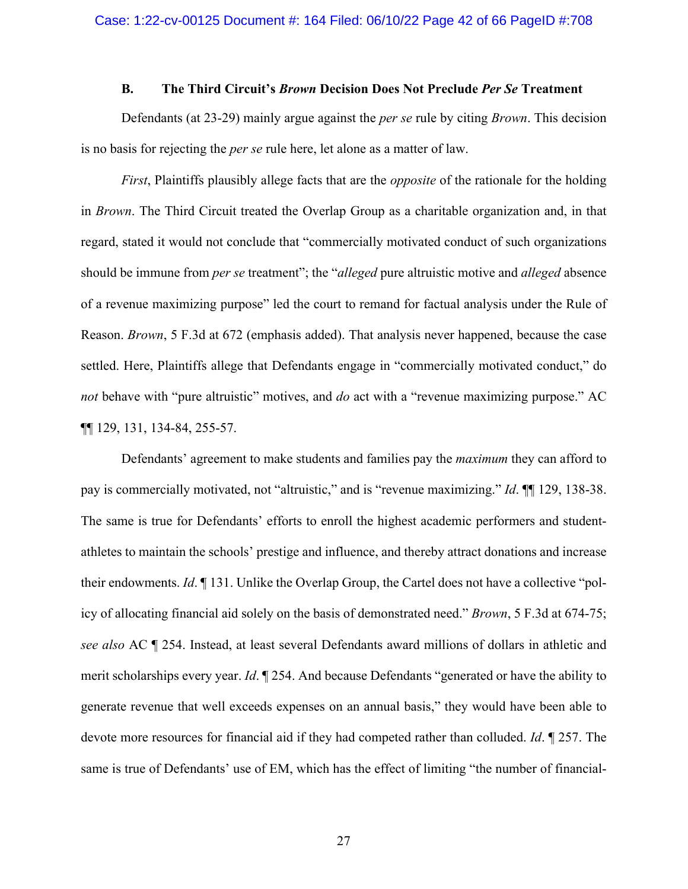## **B. The Third Circuit's** *Brown* **Decision Does Not Preclude** *Per Se* **Treatment**

Defendants (at 23-29) mainly argue against the *per se* rule by citing *Brown*. This decision is no basis for rejecting the *per se* rule here, let alone as a matter of law.

*First*, Plaintiffs plausibly allege facts that are the *opposite* of the rationale for the holding in *Brown*. The Third Circuit treated the Overlap Group as a charitable organization and, in that regard, stated it would not conclude that "commercially motivated conduct of such organizations should be immune from *per se* treatment"; the "*alleged* pure altruistic motive and *alleged* absence of a revenue maximizing purpose" led the court to remand for factual analysis under the Rule of Reason. *Brown*, 5 F.3d at 672 (emphasis added). That analysis never happened, because the case settled. Here, Plaintiffs allege that Defendants engage in "commercially motivated conduct," do *not* behave with "pure altruistic" motives, and *do* act with a "revenue maximizing purpose." AC ¶¶ 129, 131, 134-84, 255-57.

Defendants' agreement to make students and families pay the *maximum* they can afford to pay is commercially motivated, not "altruistic," and is "revenue maximizing." *Id*. ¶¶ 129, 138-38. The same is true for Defendants' efforts to enroll the highest academic performers and studentathletes to maintain the schools' prestige and influence, and thereby attract donations and increase their endowments. *Id*. ¶ 131. Unlike the Overlap Group, the Cartel does not have a collective "policy of allocating financial aid solely on the basis of demonstrated need." *Brown*, 5 F.3d at 674-75; *see also* AC ¶ 254. Instead, at least several Defendants award millions of dollars in athletic and merit scholarships every year. *Id*. ¶ 254. And because Defendants "generated or have the ability to generate revenue that well exceeds expenses on an annual basis," they would have been able to devote more resources for financial aid if they had competed rather than colluded. *Id*. ¶ 257. The same is true of Defendants' use of EM, which has the effect of limiting "the number of financial-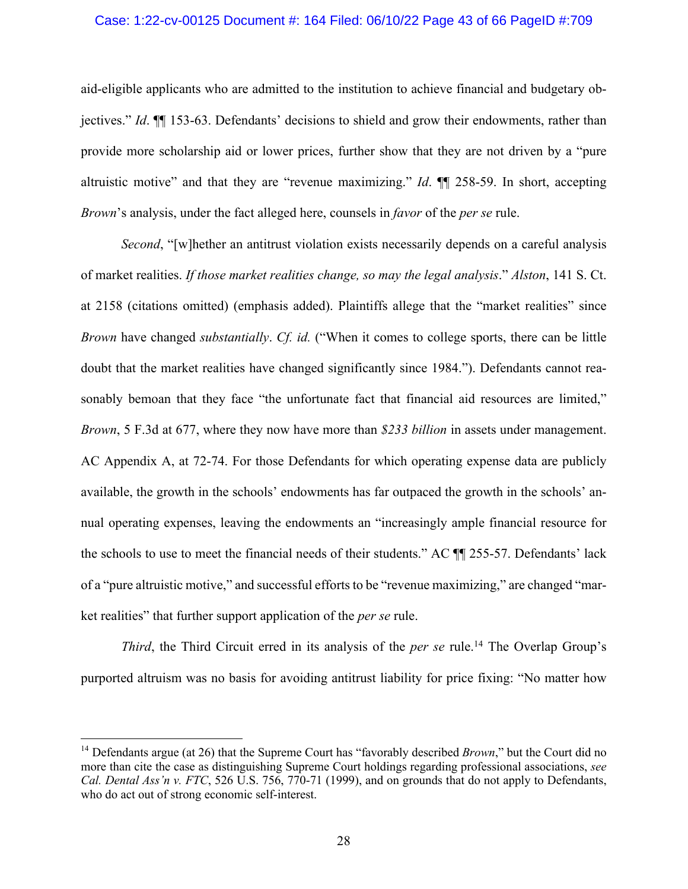## Case: 1:22-cv-00125 Document #: 164 Filed: 06/10/22 Page 43 of 66 PageID #:709

aid-eligible applicants who are admitted to the institution to achieve financial and budgetary objectives." *Id*. ¶¶ 153-63. Defendants' decisions to shield and grow their endowments, rather than provide more scholarship aid or lower prices, further show that they are not driven by a "pure altruistic motive" and that they are "revenue maximizing." *Id*. ¶¶ 258-59. In short, accepting *Brown*'s analysis, under the fact alleged here, counsels in *favor* of the *per se* rule.

*Second*, "[w]hether an antitrust violation exists necessarily depends on a careful analysis of market realities. *If those market realities change, so may the legal analysis*." *Alston*, 141 S. Ct. at 2158 (citations omitted) (emphasis added). Plaintiffs allege that the "market realities" since *Brown* have changed *substantially*. *Cf. id.* ("When it comes to college sports, there can be little doubt that the market realities have changed significantly since 1984."). Defendants cannot reasonably bemoan that they face "the unfortunate fact that financial aid resources are limited," *Brown*, 5 F.3d at 677, where they now have more than *\$233 billion* in assets under management. AC Appendix A, at 72-74. For those Defendants for which operating expense data are publicly available, the growth in the schools' endowments has far outpaced the growth in the schools' annual operating expenses, leaving the endowments an "increasingly ample financial resource for the schools to use to meet the financial needs of their students." AC ¶¶ 255-57. Defendants' lack of a "pure altruistic motive," and successful efforts to be "revenue maximizing," are changed "market realities" that further support application of the *per se* rule.

*Third*, the Third Circuit erred in its analysis of the *per se* rule. <sup>14</sup> The Overlap Group's purported altruism was no basis for avoiding antitrust liability for price fixing: "No matter how

<sup>&</sup>lt;sup>14</sup> Defendants argue (at 26) that the Supreme Court has "favorably described *Brown*," but the Court did no more than cite the case as distinguishing Supreme Court holdings regarding professional associations, *see Cal. Dental Ass'n v. FTC*, 526 U.S. 756, 770-71 (1999), and on grounds that do not apply to Defendants, who do act out of strong economic self-interest.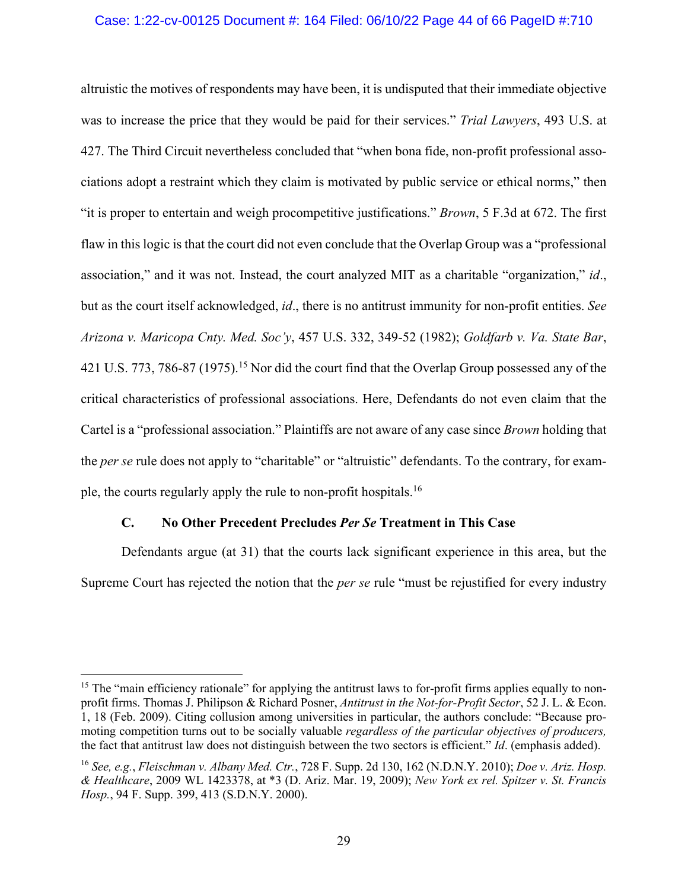## Case: 1:22-cv-00125 Document #: 164 Filed: 06/10/22 Page 44 of 66 PageID #:710

altruistic the motives of respondents may have been, it is undisputed that their immediate objective was to increase the price that they would be paid for their services." *Trial Lawyers*, 493 U.S. at 427. The Third Circuit nevertheless concluded that "when bona fide, non-profit professional associations adopt a restraint which they claim is motivated by public service or ethical norms," then "it is proper to entertain and weigh procompetitive justifications." *Brown*, 5 F.3d at 672. The first flaw in this logic is that the court did not even conclude that the Overlap Group was a "professional association," and it was not. Instead, the court analyzed MIT as a charitable "organization," *id*., but as the court itself acknowledged, *id*., there is no antitrust immunity for non-profit entities. *See Arizona v. Maricopa Cnty. Med. Soc'y*, 457 U.S. 332, 349-52 (1982); *Goldfarb v. Va. State Bar*, 421 U.S. 773, 786-87 (1975). <sup>15</sup> Nor did the court find that the Overlap Group possessed any of the critical characteristics of professional associations. Here, Defendants do not even claim that the Cartel is a "professional association." Plaintiffs are not aware of any case since *Brown* holding that the *per se* rule does not apply to "charitable" or "altruistic" defendants. To the contrary, for example, the courts regularly apply the rule to non-profit hospitals.16

## **C. No Other Precedent Precludes** *Per Se* **Treatment in This Case**

Defendants argue (at 31) that the courts lack significant experience in this area, but the Supreme Court has rejected the notion that the *per se* rule "must be rejustified for every industry

<sup>&</sup>lt;sup>15</sup> The "main efficiency rationale" for applying the antitrust laws to for-profit firms applies equally to nonprofit firms. Thomas J. Philipson & Richard Posner, *Antitrust in the Not-for-Profit Sector*, 52 J. L. & Econ. 1, 18 (Feb. 2009). Citing collusion among universities in particular, the authors conclude: "Because promoting competition turns out to be socially valuable *regardless of the particular objectives of producers,*  the fact that antitrust law does not distinguish between the two sectors is efficient." *Id*. (emphasis added).

<sup>16</sup> *See, e.g.*, *Fleischman v. Albany Med. Ctr.*, 728 F. Supp. 2d 130, 162 (N.D.N.Y. 2010); *Doe v. Ariz. Hosp. & Healthcare*, 2009 WL 1423378, at \*3 (D. Ariz. Mar. 19, 2009); *New York ex rel. Spitzer v. St. Francis Hosp.*, 94 F. Supp. 399, 413 (S.D.N.Y. 2000).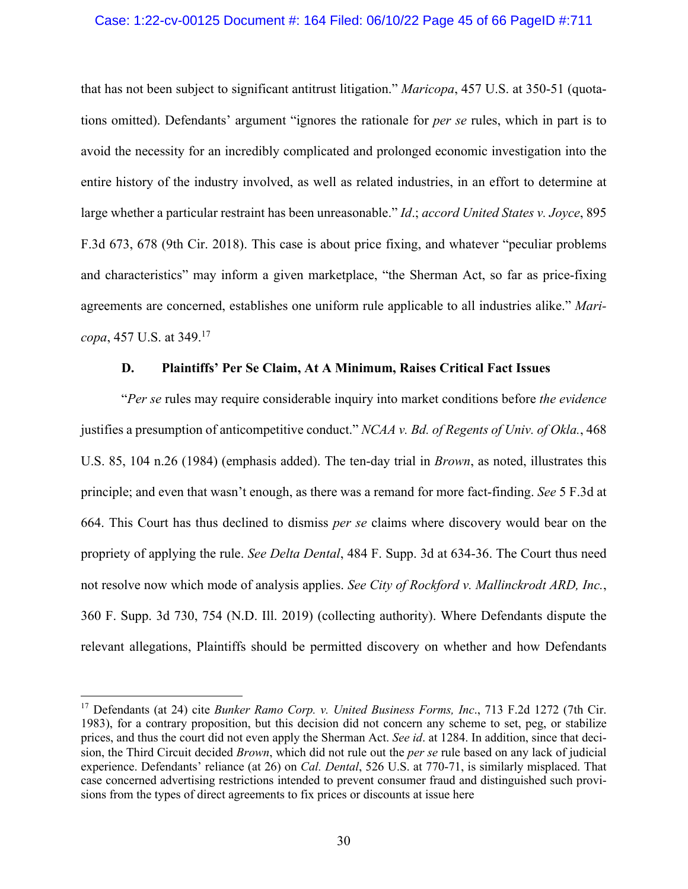## Case: 1:22-cv-00125 Document #: 164 Filed: 06/10/22 Page 45 of 66 PageID #:711

that has not been subject to significant antitrust litigation." *Maricopa*, 457 U.S. at 350-51 (quotations omitted). Defendants' argument "ignores the rationale for *per se* rules, which in part is to avoid the necessity for an incredibly complicated and prolonged economic investigation into the entire history of the industry involved, as well as related industries, in an effort to determine at large whether a particular restraint has been unreasonable." *Id*.; *accord United States v. Joyce*, 895 F.3d 673, 678 (9th Cir. 2018). This case is about price fixing, and whatever "peculiar problems and characteristics" may inform a given marketplace, "the Sherman Act, so far as price-fixing agreements are concerned, establishes one uniform rule applicable to all industries alike." *Maricopa*, 457 U.S. at 349.17

## **D. Plaintiffs' Per Se Claim, At A Minimum, Raises Critical Fact Issues**

"*Per se* rules may require considerable inquiry into market conditions before *the evidence* justifies a presumption of anticompetitive conduct." *NCAA v. Bd. of Regents of Univ. of Okla.*, 468 U.S. 85, 104 n.26 (1984) (emphasis added). The ten-day trial in *Brown*, as noted, illustrates this principle; and even that wasn't enough, as there was a remand for more fact-finding. *See* 5 F.3d at 664. This Court has thus declined to dismiss *per se* claims where discovery would bear on the propriety of applying the rule. *See Delta Dental*, 484 F. Supp. 3d at 634-36. The Court thus need not resolve now which mode of analysis applies. *See City of Rockford v. Mallinckrodt ARD, Inc.*, 360 F. Supp. 3d 730, 754 (N.D. Ill. 2019) (collecting authority). Where Defendants dispute the relevant allegations, Plaintiffs should be permitted discovery on whether and how Defendants

<sup>17</sup> Defendants (at 24) cite *Bunker Ramo Corp. v. United Business Forms, Inc*., 713 F.2d 1272 (7th Cir. 1983), for a contrary proposition, but this decision did not concern any scheme to set, peg, or stabilize prices, and thus the court did not even apply the Sherman Act. *See id*. at 1284. In addition, since that decision, the Third Circuit decided *Brown*, which did not rule out the *per se* rule based on any lack of judicial experience. Defendants' reliance (at 26) on *Cal. Dental*, 526 U.S. at 770-71, is similarly misplaced. That case concerned advertising restrictions intended to prevent consumer fraud and distinguished such provisions from the types of direct agreements to fix prices or discounts at issue here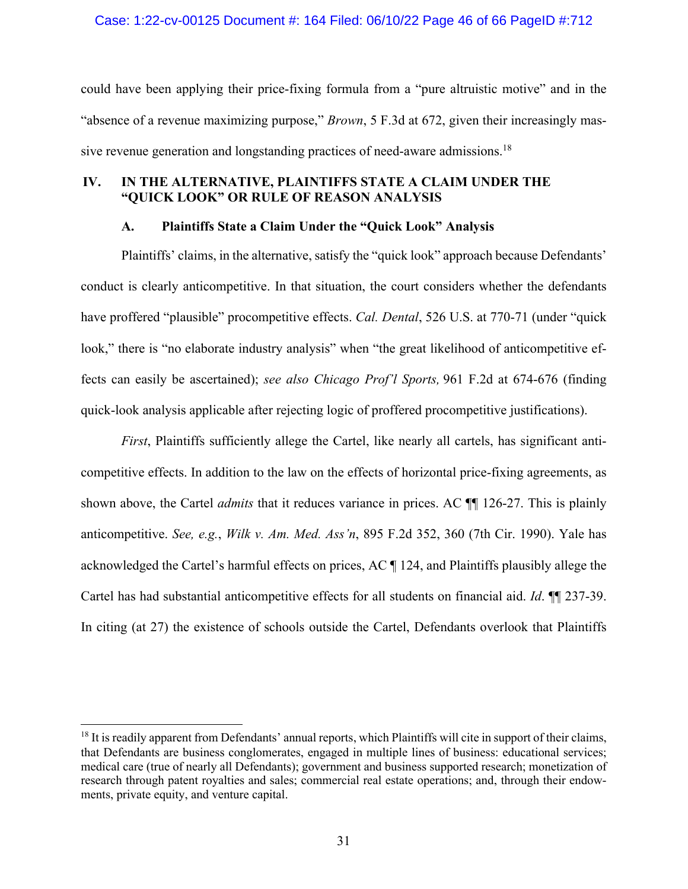could have been applying their price-fixing formula from a "pure altruistic motive" and in the "absence of a revenue maximizing purpose," *Brown*, 5 F.3d at 672, given their increasingly massive revenue generation and longstanding practices of need-aware admissions.<sup>18</sup>

## **IV. IN THE ALTERNATIVE, PLAINTIFFS STATE A CLAIM UNDER THE "QUICK LOOK" OR RULE OF REASON ANALYSIS**

## **A. Plaintiffs State a Claim Under the "Quick Look" Analysis**

Plaintiffs' claims, in the alternative, satisfy the "quick look" approach because Defendants' conduct is clearly anticompetitive. In that situation, the court considers whether the defendants have proffered "plausible" procompetitive effects. *Cal. Dental*, 526 U.S. at 770-71 (under "quick look," there is "no elaborate industry analysis" when "the great likelihood of anticompetitive effects can easily be ascertained); *see also Chicago Prof'l Sports,* 961 F.2d at 674-676 (finding quick-look analysis applicable after rejecting logic of proffered procompetitive justifications).

*First*, Plaintiffs sufficiently allege the Cartel, like nearly all cartels, has significant anticompetitive effects. In addition to the law on the effects of horizontal price-fixing agreements, as shown above, the Cartel *admits* that it reduces variance in prices. AC ¶¶ 126-27. This is plainly anticompetitive. *See, e.g.*, *Wilk v. Am. Med. Ass'n*, 895 F.2d 352, 360 (7th Cir. 1990). Yale has acknowledged the Cartel's harmful effects on prices, AC ¶ 124, and Plaintiffs plausibly allege the Cartel has had substantial anticompetitive effects for all students on financial aid. *Id*. ¶¶ 237-39. In citing (at 27) the existence of schools outside the Cartel, Defendants overlook that Plaintiffs

 $18$  It is readily apparent from Defendants' annual reports, which Plaintiffs will cite in support of their claims, that Defendants are business conglomerates, engaged in multiple lines of business: educational services; medical care (true of nearly all Defendants); government and business supported research; monetization of research through patent royalties and sales; commercial real estate operations; and, through their endowments, private equity, and venture capital.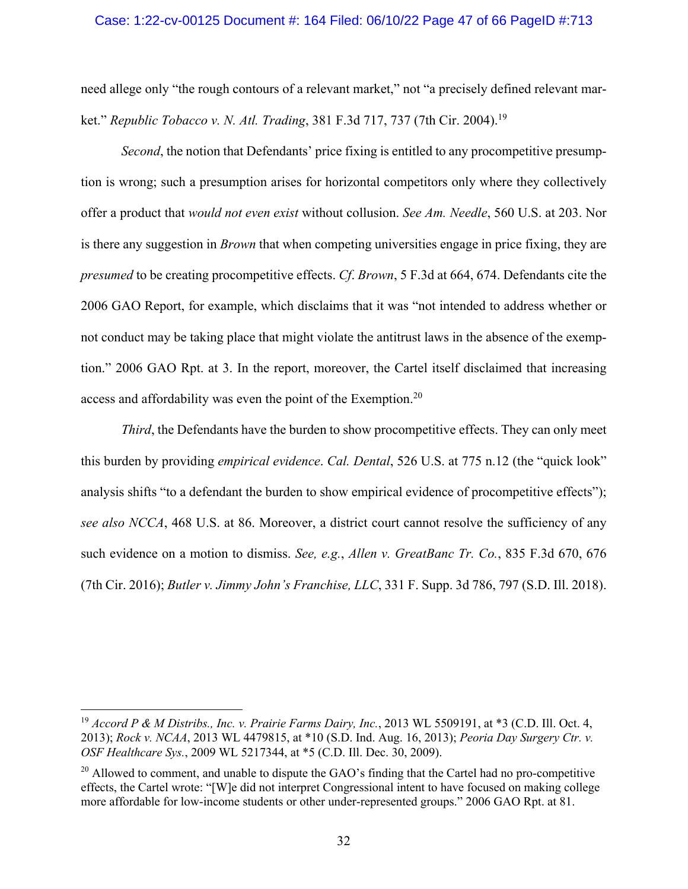### Case: 1:22-cv-00125 Document #: 164 Filed: 06/10/22 Page 47 of 66 PageID #:713

need allege only "the rough contours of a relevant market," not "a precisely defined relevant market." *Republic Tobacco v. N. Atl. Trading*, 381 F.3d 717, 737 (7th Cir. 2004). 19

*Second*, the notion that Defendants' price fixing is entitled to any procompetitive presumption is wrong; such a presumption arises for horizontal competitors only where they collectively offer a product that *would not even exist* without collusion. *See Am. Needle*, 560 U.S. at 203. Nor is there any suggestion in *Brown* that when competing universities engage in price fixing, they are *presumed* to be creating procompetitive effects. *Cf*. *Brown*, 5 F.3d at 664, 674. Defendants cite the 2006 GAO Report, for example, which disclaims that it was "not intended to address whether or not conduct may be taking place that might violate the antitrust laws in the absence of the exemption." 2006 GAO Rpt. at 3. In the report, moreover, the Cartel itself disclaimed that increasing access and affordability was even the point of the Exemption.20

*Third*, the Defendants have the burden to show procompetitive effects. They can only meet this burden by providing *empirical evidence*. *Cal. Dental*, 526 U.S. at 775 n.12 (the "quick look" analysis shifts "to a defendant the burden to show empirical evidence of procompetitive effects"); *see also NCCA*, 468 U.S. at 86. Moreover, a district court cannot resolve the sufficiency of any such evidence on a motion to dismiss. *See, e.g.*, *Allen v. GreatBanc Tr. Co.*, 835 F.3d 670, 676 (7th Cir. 2016); *Butler v. Jimmy John's Franchise, LLC*, 331 F. Supp. 3d 786, 797 (S.D. Ill. 2018).

<sup>19</sup> *Accord P & M Distribs., Inc. v. Prairie Farms Dairy, Inc.*, 2013 WL 5509191, at \*3 (C.D. Ill. Oct. 4, 2013); *Rock v. NCAA*, 2013 WL 4479815, at \*10 (S.D. Ind. Aug. 16, 2013); *Peoria Day Surgery Ctr. v. OSF Healthcare Sys.*, 2009 WL 5217344, at \*5 (C.D. Ill. Dec. 30, 2009).

 $^{20}$  Allowed to comment, and unable to dispute the GAO's finding that the Cartel had no pro-competitive effects, the Cartel wrote: "[W]e did not interpret Congressional intent to have focused on making college more affordable for low-income students or other under-represented groups." 2006 GAO Rpt. at 81.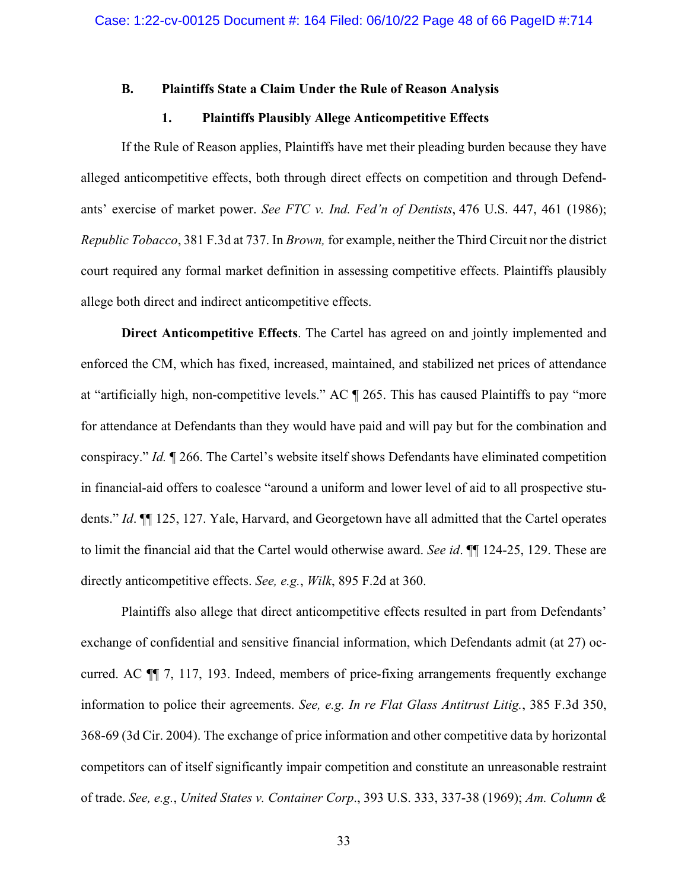## **B. Plaintiffs State a Claim Under the Rule of Reason Analysis**

## **1. Plaintiffs Plausibly Allege Anticompetitive Effects**

If the Rule of Reason applies, Plaintiffs have met their pleading burden because they have alleged anticompetitive effects, both through direct effects on competition and through Defendants' exercise of market power. *See FTC v. Ind. Fed'n of Dentists*, 476 U.S. 447, 461 (1986); *Republic Tobacco*, 381 F.3d at 737. In *Brown,* for example, neither the Third Circuit nor the district court required any formal market definition in assessing competitive effects. Plaintiffs plausibly allege both direct and indirect anticompetitive effects.

**Direct Anticompetitive Effects**. The Cartel has agreed on and jointly implemented and enforced the CM, which has fixed, increased, maintained, and stabilized net prices of attendance at "artificially high, non-competitive levels." AC ¶ 265. This has caused Plaintiffs to pay "more for attendance at Defendants than they would have paid and will pay but for the combination and conspiracy." *Id.* ¶ 266. The Cartel's website itself shows Defendants have eliminated competition in financial-aid offers to coalesce "around a uniform and lower level of aid to all prospective students." *Id*. ¶¶ 125, 127. Yale, Harvard, and Georgetown have all admitted that the Cartel operates to limit the financial aid that the Cartel would otherwise award. *See id*. ¶¶ 124-25, 129. These are directly anticompetitive effects. *See, e.g.*, *Wilk*, 895 F.2d at 360.

Plaintiffs also allege that direct anticompetitive effects resulted in part from Defendants' exchange of confidential and sensitive financial information, which Defendants admit (at 27) occurred. AC ¶¶ 7, 117, 193. Indeed, members of price-fixing arrangements frequently exchange information to police their agreements. *See, e.g. In re Flat Glass Antitrust Litig.*, 385 F.3d 350, 368-69 (3d Cir. 2004). The exchange of price information and other competitive data by horizontal competitors can of itself significantly impair competition and constitute an unreasonable restraint of trade. *See, e.g.*, *United States v. Container Corp*., 393 U.S. 333, 337-38 (1969); *Am. Column &*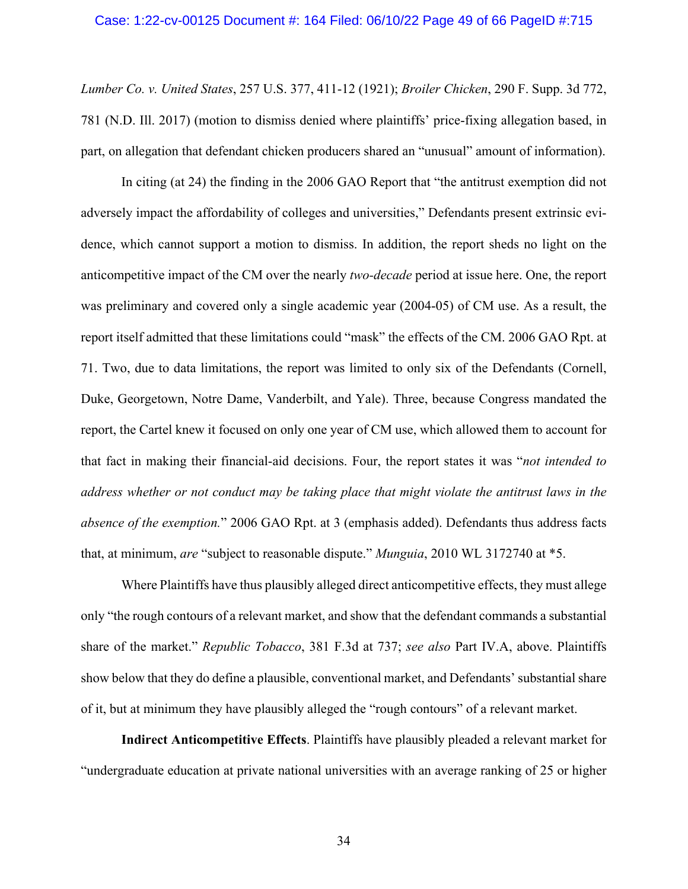*Lumber Co. v. United States*, 257 U.S. 377, 411-12 (1921); *Broiler Chicken*, 290 F. Supp. 3d 772, 781 (N.D. Ill. 2017) (motion to dismiss denied where plaintiffs' price-fixing allegation based, in part, on allegation that defendant chicken producers shared an "unusual" amount of information).

In citing (at 24) the finding in the 2006 GAO Report that "the antitrust exemption did not adversely impact the affordability of colleges and universities," Defendants present extrinsic evidence, which cannot support a motion to dismiss. In addition, the report sheds no light on the anticompetitive impact of the CM over the nearly *two-decade* period at issue here. One, the report was preliminary and covered only a single academic year (2004-05) of CM use. As a result, the report itself admitted that these limitations could "mask" the effects of the CM. 2006 GAO Rpt. at 71. Two, due to data limitations, the report was limited to only six of the Defendants (Cornell, Duke, Georgetown, Notre Dame, Vanderbilt, and Yale). Three, because Congress mandated the report, the Cartel knew it focused on only one year of CM use, which allowed them to account for that fact in making their financial-aid decisions. Four, the report states it was "*not intended to address whether or not conduct may be taking place that might violate the antitrust laws in the absence of the exemption.*" 2006 GAO Rpt. at 3 (emphasis added). Defendants thus address facts that, at minimum, *are* "subject to reasonable dispute." *Munguia*, 2010 WL 3172740 at \*5.

Where Plaintiffs have thus plausibly alleged direct anticompetitive effects, they must allege only "the rough contours of a relevant market, and show that the defendant commands a substantial share of the market." *Republic Tobacco*, 381 F.3d at 737; *see also* Part IV.A, above. Plaintiffs show below that they do define a plausible, conventional market, and Defendants' substantial share of it, but at minimum they have plausibly alleged the "rough contours" of a relevant market.

**Indirect Anticompetitive Effects**. Plaintiffs have plausibly pleaded a relevant market for "undergraduate education at private national universities with an average ranking of 25 or higher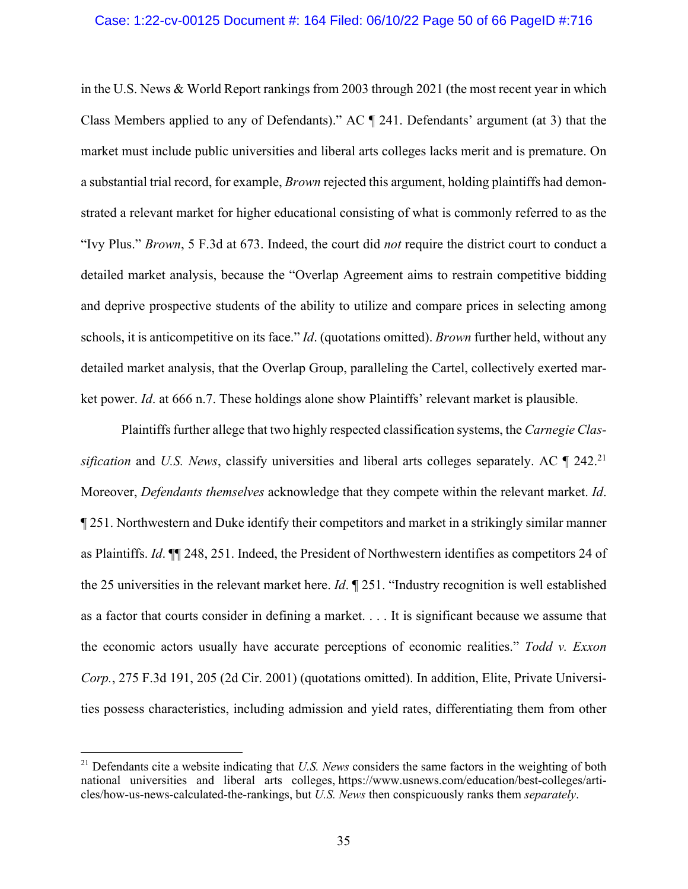### Case: 1:22-cv-00125 Document #: 164 Filed: 06/10/22 Page 50 of 66 PageID #:716

in the U.S. News & World Report rankings from 2003 through 2021 (the most recent year in which Class Members applied to any of Defendants)." AC ¶ 241. Defendants' argument (at 3) that the market must include public universities and liberal arts colleges lacks merit and is premature. On a substantial trial record, for example, *Brown* rejected this argument, holding plaintiffs had demonstrated a relevant market for higher educational consisting of what is commonly referred to as the "Ivy Plus." *Brown*, 5 F.3d at 673. Indeed, the court did *not* require the district court to conduct a detailed market analysis, because the "Overlap Agreement aims to restrain competitive bidding and deprive prospective students of the ability to utilize and compare prices in selecting among schools, it is anticompetitive on its face." *Id*. (quotations omitted). *Brown* further held, without any detailed market analysis, that the Overlap Group, paralleling the Cartel, collectively exerted market power. *Id*. at 666 n.7. These holdings alone show Plaintiffs' relevant market is plausible.

Plaintiffs further allege that two highly respected classification systems, the *Carnegie Classification* and *U.S. News*, classify universities and liberal arts colleges separately. AC ¶ 242.21 Moreover, *Defendants themselves* acknowledge that they compete within the relevant market. *Id*. ¶ 251. Northwestern and Duke identify their competitors and market in a strikingly similar manner as Plaintiffs. *Id*. ¶¶ 248, 251. Indeed, the President of Northwestern identifies as competitors 24 of the 25 universities in the relevant market here. *Id*. ¶ 251. "Industry recognition is well established as a factor that courts consider in defining a market. . . . It is significant because we assume that the economic actors usually have accurate perceptions of economic realities." *Todd v. Exxon Corp.*, 275 F.3d 191, 205 (2d Cir. 2001) (quotations omitted). In addition, Elite, Private Universities possess characteristics, including admission and yield rates, differentiating them from other

<sup>21</sup> Defendants cite a website indicating that *U.S. News* considers the same factors in the weighting of both national universities and liberal arts colleges, https://www.usnews.com/education/best-colleges/articles/how-us-news-calculated-the-rankings, but *U.S. News* then conspicuously ranks them *separately*.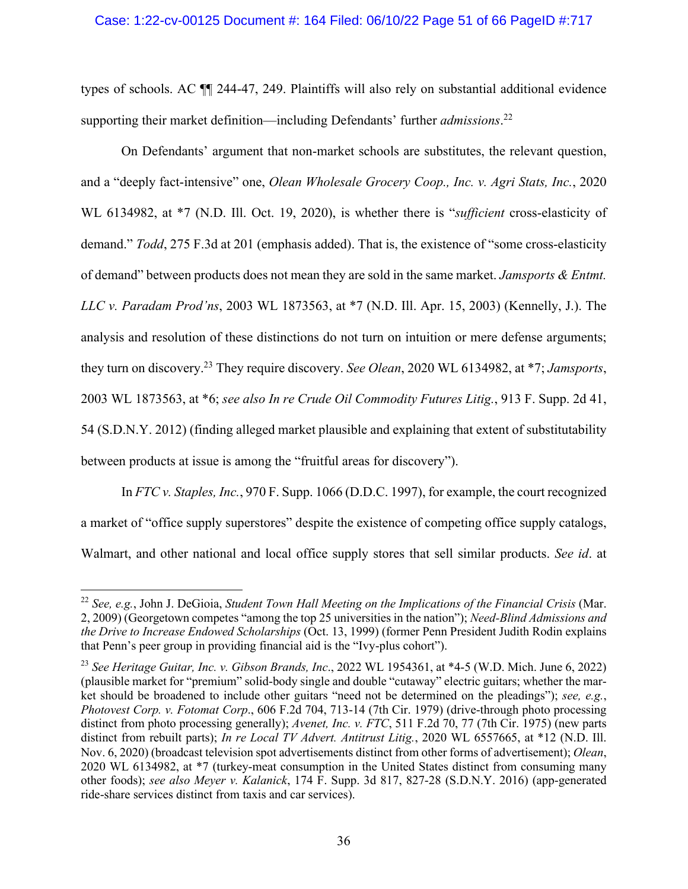## Case: 1:22-cv-00125 Document #: 164 Filed: 06/10/22 Page 51 of 66 PageID #:717

types of schools. AC ¶¶ 244-47, 249. Plaintiffs will also rely on substantial additional evidence supporting their market definition—including Defendants' further *admissions*. 22

On Defendants' argument that non-market schools are substitutes, the relevant question, and a "deeply fact-intensive" one, *Olean Wholesale Grocery Coop., Inc. v. Agri Stats, Inc.*, 2020 WL 6134982, at \*7 (N.D. Ill. Oct. 19, 2020), is whether there is "*sufficient* cross-elasticity of demand." *Todd*, 275 F.3d at 201 (emphasis added). That is, the existence of "some cross-elasticity of demand" between products does not mean they are sold in the same market. *Jamsports & Entmt. LLC v. Paradam Prod'ns*, 2003 WL 1873563, at \*7 (N.D. Ill. Apr. 15, 2003) (Kennelly, J.). The analysis and resolution of these distinctions do not turn on intuition or mere defense arguments; they turn on discovery. <sup>23</sup> They require discovery. *See Olean*, 2020 WL 6134982, at \*7; *Jamsports*, 2003 WL 1873563, at \*6; *see also In re Crude Oil Commodity Futures Litig.*, 913 F. Supp. 2d 41, 54 (S.D.N.Y. 2012) (finding alleged market plausible and explaining that extent of substitutability between products at issue is among the "fruitful areas for discovery").

In *FTC v. Staples, Inc.*, 970 F. Supp. 1066 (D.D.C. 1997), for example, the court recognized a market of "office supply superstores" despite the existence of competing office supply catalogs, Walmart, and other national and local office supply stores that sell similar products. *See id*. at

<sup>22</sup> *See, e.g.*, John J. DeGioia, *Student Town Hall Meeting on the Implications of the Financial Crisis* (Mar. 2, 2009) (Georgetown competes "among the top 25 universities in the nation"); *Need-Blind Admissions and the Drive to Increase Endowed Scholarships* (Oct. 13, 1999) (former Penn President Judith Rodin explains that Penn's peer group in providing financial aid is the "Ivy-plus cohort").

<sup>23</sup> *See Heritage Guitar, Inc. v. Gibson Brands, Inc*., 2022 WL 1954361, at \*4-5 (W.D. Mich. June 6, 2022) (plausible market for "premium" solid-body single and double "cutaway" electric guitars; whether the market should be broadened to include other guitars "need not be determined on the pleadings"); *see, e.g.*, *Photovest Corp. v. Fotomat Corp*., 606 F.2d 704, 713-14 (7th Cir. 1979) (drive-through photo processing distinct from photo processing generally); *Avenet, Inc. v. FTC*, 511 F.2d 70, 77 (7th Cir. 1975) (new parts distinct from rebuilt parts); *In re Local TV Advert. Antitrust Litig.*, 2020 WL 6557665, at \*12 (N.D. Ill. Nov. 6, 2020) (broadcast television spot advertisements distinct from other forms of advertisement); *Olean*, 2020 WL 6134982, at \*7 (turkey-meat consumption in the United States distinct from consuming many other foods); *see also Meyer v. Kalanick*, 174 F. Supp. 3d 817, 827-28 (S.D.N.Y. 2016) (app-generated ride-share services distinct from taxis and car services).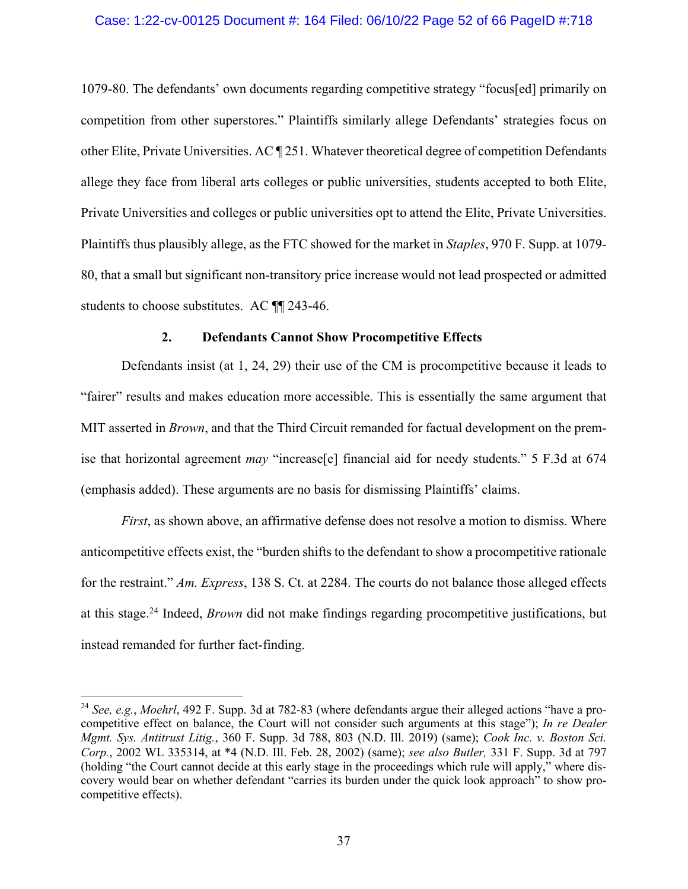## Case: 1:22-cv-00125 Document #: 164 Filed: 06/10/22 Page 52 of 66 PageID #:718

1079-80. The defendants' own documents regarding competitive strategy "focus[ed] primarily on competition from other superstores." Plaintiffs similarly allege Defendants' strategies focus on other Elite, Private Universities. AC ¶ 251. Whatever theoretical degree of competition Defendants allege they face from liberal arts colleges or public universities, students accepted to both Elite, Private Universities and colleges or public universities opt to attend the Elite, Private Universities. Plaintiffs thus plausibly allege, as the FTC showed for the market in *Staples*, 970 F. Supp. at 1079- 80, that a small but significant non-transitory price increase would not lead prospected or admitted students to choose substitutes. AC ¶¶ 243-46.

### **2. Defendants Cannot Show Procompetitive Effects**

Defendants insist (at 1, 24, 29) their use of the CM is procompetitive because it leads to "fairer" results and makes education more accessible. This is essentially the same argument that MIT asserted in *Brown*, and that the Third Circuit remanded for factual development on the premise that horizontal agreement *may* "increase[e] financial aid for needy students." 5 F.3d at 674 (emphasis added). These arguments are no basis for dismissing Plaintiffs' claims.

*First*, as shown above, an affirmative defense does not resolve a motion to dismiss. Where anticompetitive effects exist, the "burden shifts to the defendant to show a procompetitive rationale for the restraint." *Am. Express*, 138 S. Ct. at 2284. The courts do not balance those alleged effects at this stage.24 Indeed, *Brown* did not make findings regarding procompetitive justifications, but instead remanded for further fact-finding.

<sup>24</sup> *See, e.g.*, *Moehrl*, 492 F. Supp. 3d at 782-83 (where defendants argue their alleged actions "have a procompetitive effect on balance, the Court will not consider such arguments at this stage"); *In re Dealer Mgmt. Sys. Antitrust Litig.*, 360 F. Supp. 3d 788, 803 (N.D. Ill. 2019) (same); *Cook Inc. v. Boston Sci. Corp.*, 2002 WL 335314, at \*4 (N.D. Ill. Feb. 28, 2002) (same); *see also Butler,* 331 F. Supp. 3d at 797 (holding "the Court cannot decide at this early stage in the proceedings which rule will apply," where discovery would bear on whether defendant "carries its burden under the quick look approach" to show procompetitive effects).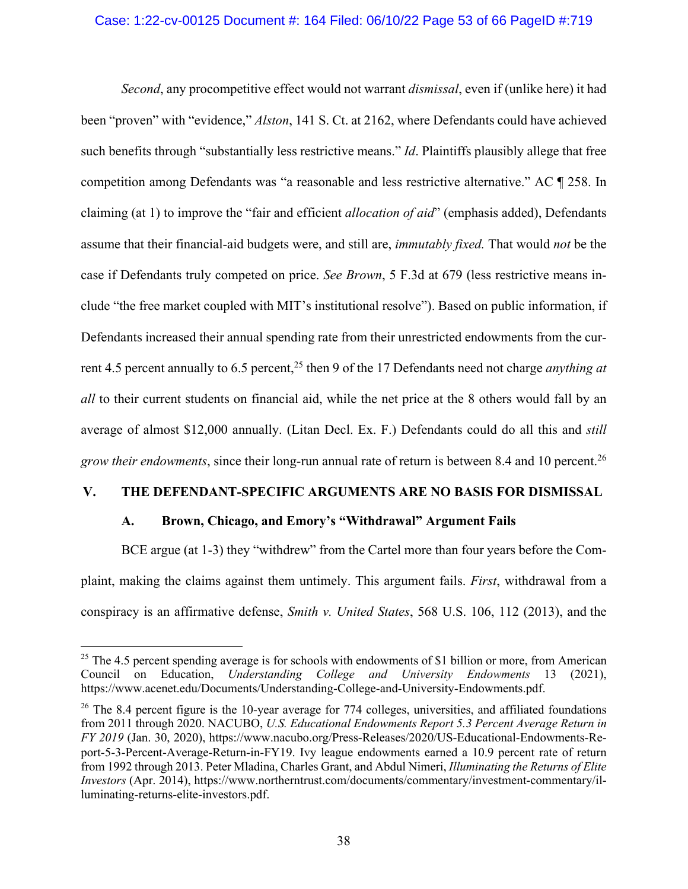## Case: 1:22-cv-00125 Document #: 164 Filed: 06/10/22 Page 53 of 66 PageID #:719

*Second*, any procompetitive effect would not warrant *dismissal*, even if (unlike here) it had been "proven" with "evidence," *Alston*, 141 S. Ct. at 2162, where Defendants could have achieved such benefits through "substantially less restrictive means." *Id*. Plaintiffs plausibly allege that free competition among Defendants was "a reasonable and less restrictive alternative." AC ¶ 258. In claiming (at 1) to improve the "fair and efficient *allocation of aid*" (emphasis added), Defendants assume that their financial-aid budgets were, and still are, *immutably fixed.* That would *not* be the case if Defendants truly competed on price. *See Brown*, 5 F.3d at 679 (less restrictive means include "the free market coupled with MIT's institutional resolve"). Based on public information, if Defendants increased their annual spending rate from their unrestricted endowments from the current 4.5 percent annually to 6.5 percent,<sup>25</sup> then 9 of the 17 Defendants need not charge *anything at all* to their current students on financial aid, while the net price at the 8 others would fall by an average of almost \$12,000 annually. (Litan Decl. Ex. F.) Defendants could do all this and *still grow their endowments*, since their long-run annual rate of return is between 8.4 and 10 percent.26

## **V. THE DEFENDANT-SPECIFIC ARGUMENTS ARE NO BASIS FOR DISMISSAL**

## **A. Brown, Chicago, and Emory's "Withdrawal" Argument Fails**

BCE argue (at 1-3) they "withdrew" from the Cartel more than four years before the Complaint, making the claims against them untimely. This argument fails. *First*, withdrawal from a conspiracy is an affirmative defense, *Smith v. United States*, 568 U.S. 106, 112 (2013), and the

 $25$  The 4.5 percent spending average is for schools with endowments of \$1 billion or more, from American Council on Education, *Understanding College and University Endowments* 13 (2021), https://www.acenet.edu/Documents/Understanding-College-and-University-Endowments.pdf.

<sup>&</sup>lt;sup>26</sup> The 8.4 percent figure is the 10-year average for 774 colleges, universities, and affiliated foundations from 2011 through 2020. NACUBO, *U.S. Educational Endowments Report 5.3 Percent Average Return in FY 2019* (Jan. 30, 2020), https://www.nacubo.org/Press-Releases/2020/US-Educational-Endowments-Report-5-3-Percent-Average-Return-in-FY19. Ivy league endowments earned a 10.9 percent rate of return from 1992 through 2013. Peter Mladina, Charles Grant, and Abdul Nimeri, *Illuminating the Returns of Elite Investors* (Apr. 2014), https://www.northerntrust.com/documents/commentary/investment-commentary/illuminating-returns-elite-investors.pdf.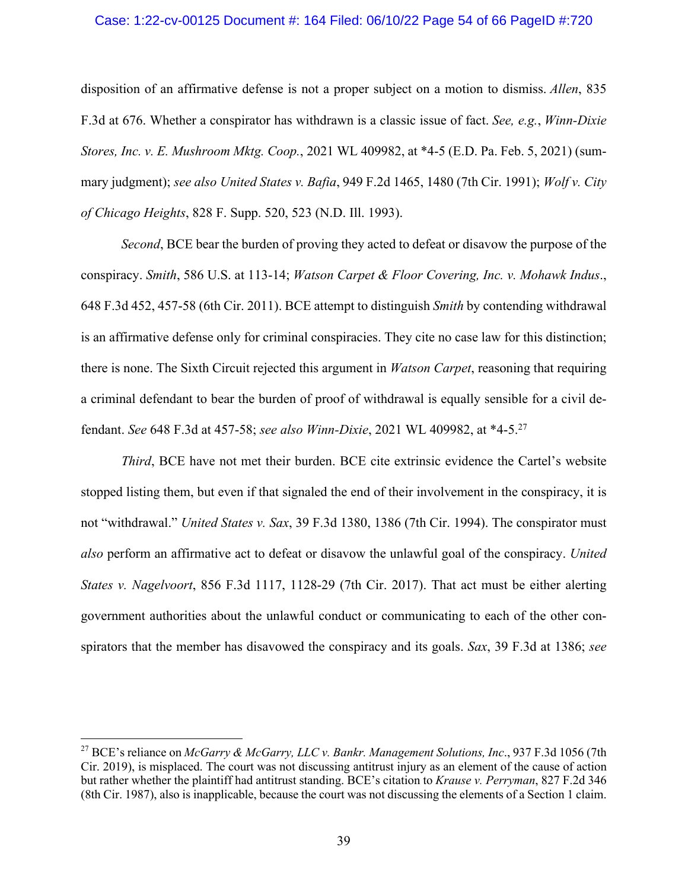### Case: 1:22-cv-00125 Document #: 164 Filed: 06/10/22 Page 54 of 66 PageID #:720

disposition of an affirmative defense is not a proper subject on a motion to dismiss. *Allen*, 835 F.3d at 676. Whether a conspirator has withdrawn is a classic issue of fact. *See, e.g.*, *Winn-Dixie Stores, Inc. v. E. Mushroom Mktg. Coop.*, 2021 WL 409982, at \*4-5 (E.D. Pa. Feb. 5, 2021) (summary judgment); *see also United States v. Bafia*, 949 F.2d 1465, 1480 (7th Cir. 1991); *Wolf v. City of Chicago Heights*, 828 F. Supp. 520, 523 (N.D. Ill. 1993).

*Second*, BCE bear the burden of proving they acted to defeat or disavow the purpose of the conspiracy. *Smith*, 586 U.S. at 113-14; *Watson Carpet & Floor Covering, Inc. v. Mohawk Indus*., 648 F.3d 452, 457-58 (6th Cir. 2011). BCE attempt to distinguish *Smith* by contending withdrawal is an affirmative defense only for criminal conspiracies. They cite no case law for this distinction; there is none. The Sixth Circuit rejected this argument in *Watson Carpet*, reasoning that requiring a criminal defendant to bear the burden of proof of withdrawal is equally sensible for a civil defendant. *See* 648 F.3d at 457-58; *see also Winn-Dixie*, 2021 WL 409982, at \*4-5. 27

*Third*, BCE have not met their burden. BCE cite extrinsic evidence the Cartel's website stopped listing them, but even if that signaled the end of their involvement in the conspiracy, it is not "withdrawal." *United States v. Sax*, 39 F.3d 1380, 1386 (7th Cir. 1994). The conspirator must *also* perform an affirmative act to defeat or disavow the unlawful goal of the conspiracy. *United States v. Nagelvoort*, 856 F.3d 1117, 1128-29 (7th Cir. 2017). That act must be either alerting government authorities about the unlawful conduct or communicating to each of the other conspirators that the member has disavowed the conspiracy and its goals. *Sax*, 39 F.3d at 1386; *see* 

<sup>27</sup> BCE's reliance on *McGarry & McGarry, LLC v. Bankr. Management Solutions, Inc*., 937 F.3d 1056 (7th Cir. 2019), is misplaced. The court was not discussing antitrust injury as an element of the cause of action but rather whether the plaintiff had antitrust standing. BCE's citation to *Krause v. Perryman*, 827 F.2d 346 (8th Cir. 1987), also is inapplicable, because the court was not discussing the elements of a Section 1 claim.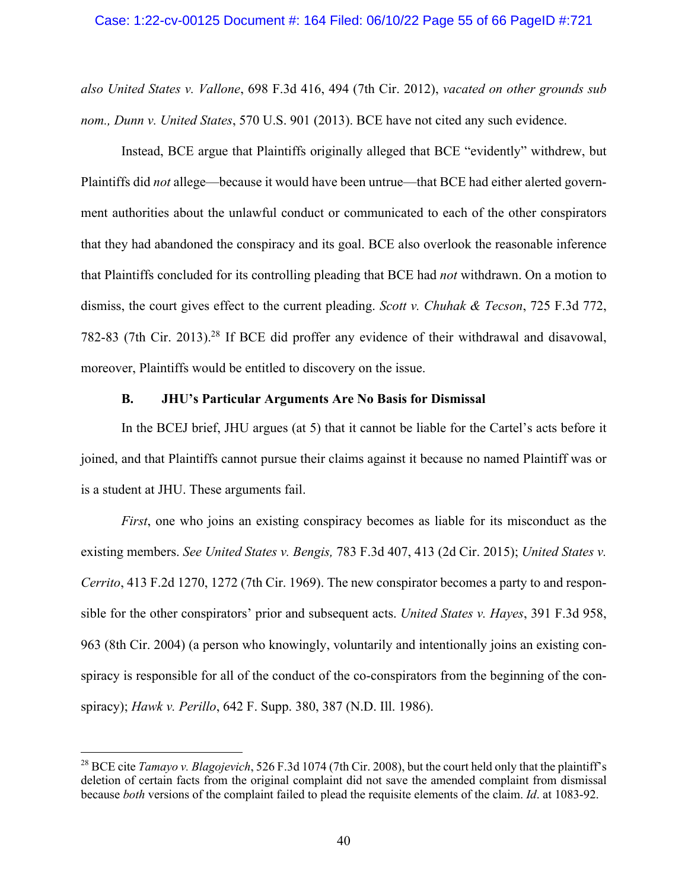#### Case: 1:22-cv-00125 Document #: 164 Filed: 06/10/22 Page 55 of 66 PageID #:721

*also United States v. Vallone*, 698 F.3d 416, 494 (7th Cir. 2012), *vacated on other grounds sub nom., Dunn v. United States*, 570 U.S. 901 (2013). BCE have not cited any such evidence.

Instead, BCE argue that Plaintiffs originally alleged that BCE "evidently" withdrew, but Plaintiffs did *not* allege—because it would have been untrue—that BCE had either alerted government authorities about the unlawful conduct or communicated to each of the other conspirators that they had abandoned the conspiracy and its goal. BCE also overlook the reasonable inference that Plaintiffs concluded for its controlling pleading that BCE had *not* withdrawn. On a motion to dismiss, the court gives effect to the current pleading. *Scott v. Chuhak & Tecson*, 725 F.3d 772, 782-83 (7th Cir. 2013). <sup>28</sup> If BCE did proffer any evidence of their withdrawal and disavowal, moreover, Plaintiffs would be entitled to discovery on the issue.

## **B. JHU's Particular Arguments Are No Basis for Dismissal**

In the BCEJ brief, JHU argues (at 5) that it cannot be liable for the Cartel's acts before it joined, and that Plaintiffs cannot pursue their claims against it because no named Plaintiff was or is a student at JHU. These arguments fail.

*First*, one who joins an existing conspiracy becomes as liable for its misconduct as the existing members. *See United States v. Bengis,* 783 F.3d 407, 413 (2d Cir. 2015); *United States v. Cerrito*, 413 F.2d 1270, 1272 (7th Cir. 1969). The new conspirator becomes a party to and responsible for the other conspirators' prior and subsequent acts. *United States v. Hayes*, 391 F.3d 958, 963 (8th Cir. 2004) (a person who knowingly, voluntarily and intentionally joins an existing conspiracy is responsible for all of the conduct of the co-conspirators from the beginning of the conspiracy); *Hawk v. Perillo*, 642 F. Supp. 380, 387 (N.D. Ill. 1986).

<sup>&</sup>lt;sup>28</sup> BCE cite *Tamayo v. Blagojevich*, 526 F.3d 1074 (7th Cir. 2008), but the court held only that the plaintiff's deletion of certain facts from the original complaint did not save the amended complaint from dismissal because *both* versions of the complaint failed to plead the requisite elements of the claim. *Id*. at 1083-92.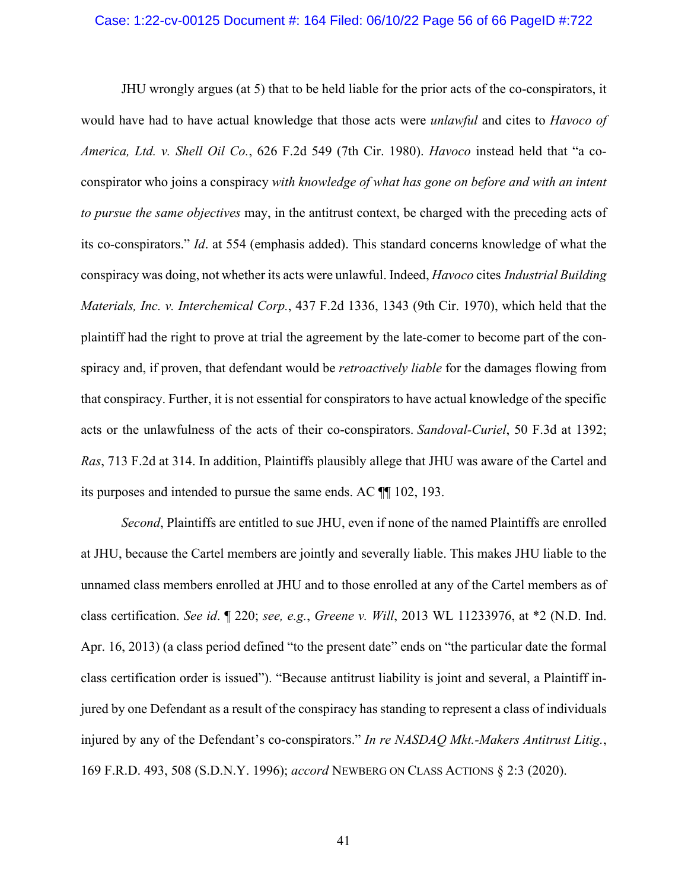### Case: 1:22-cv-00125 Document #: 164 Filed: 06/10/22 Page 56 of 66 PageID #:722

JHU wrongly argues (at 5) that to be held liable for the prior acts of the co-conspirators, it would have had to have actual knowledge that those acts were *unlawful* and cites to *Havoco of America, Ltd. v. Shell Oil Co.*, 626 F.2d 549 (7th Cir. 1980). *Havoco* instead held that "a coconspirator who joins a conspiracy *with knowledge of what has gone on before and with an intent to pursue the same objectives* may, in the antitrust context, be charged with the preceding acts of its co-conspirators." *Id*. at 554 (emphasis added). This standard concerns knowledge of what the conspiracy was doing, not whether its acts were unlawful. Indeed, *Havoco* cites *Industrial Building Materials, Inc. v. Interchemical Corp.*, 437 F.2d 1336, 1343 (9th Cir. 1970), which held that the plaintiff had the right to prove at trial the agreement by the late-comer to become part of the conspiracy and, if proven, that defendant would be *retroactively liable* for the damages flowing from that conspiracy. Further, it is not essential for conspirators to have actual knowledge of the specific acts or the unlawfulness of the acts of their co-conspirators. *Sandoval-Curiel*, 50 F.3d at 1392; *Ras*, 713 F.2d at 314. In addition, Plaintiffs plausibly allege that JHU was aware of the Cartel and its purposes and intended to pursue the same ends. AC ¶¶ 102, 193.

*Second*, Plaintiffs are entitled to sue JHU, even if none of the named Plaintiffs are enrolled at JHU, because the Cartel members are jointly and severally liable. This makes JHU liable to the unnamed class members enrolled at JHU and to those enrolled at any of the Cartel members as of class certification. *See id*. ¶ 220; *see, e.g.*, *Greene v. Will*, 2013 WL 11233976, at \*2 (N.D. Ind. Apr. 16, 2013) (a class period defined "to the present date" ends on "the particular date the formal class certification order is issued"). "Because antitrust liability is joint and several, a Plaintiff injured by one Defendant as a result of the conspiracy has standing to represent a class of individuals injured by any of the Defendant's co-conspirators." *In re NASDAQ Mkt.-Makers Antitrust Litig.*, 169 F.R.D. 493, 508 (S.D.N.Y. 1996); *accord* NEWBERG ON CLASS ACTIONS § 2:3 (2020).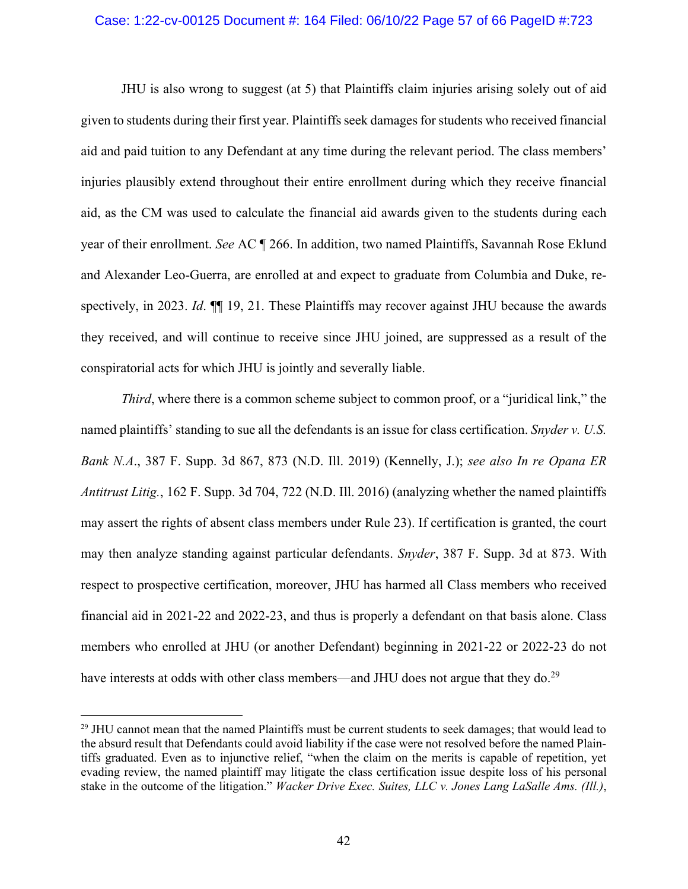### Case: 1:22-cv-00125 Document #: 164 Filed: 06/10/22 Page 57 of 66 PageID #:723

JHU is also wrong to suggest (at 5) that Plaintiffs claim injuries arising solely out of aid given to students during their first year. Plaintiffs seek damages for students who received financial aid and paid tuition to any Defendant at any time during the relevant period. The class members' injuries plausibly extend throughout their entire enrollment during which they receive financial aid, as the CM was used to calculate the financial aid awards given to the students during each year of their enrollment. *See* AC ¶ 266. In addition, two named Plaintiffs, Savannah Rose Eklund and Alexander Leo-Guerra, are enrolled at and expect to graduate from Columbia and Duke, respectively, in 2023. *Id*. ¶¶ 19, 21. These Plaintiffs may recover against JHU because the awards they received, and will continue to receive since JHU joined, are suppressed as a result of the conspiratorial acts for which JHU is jointly and severally liable.

*Third*, where there is a common scheme subject to common proof, or a "juridical link," the named plaintiffs' standing to sue all the defendants is an issue for class certification. *Snyder v. U.S. Bank N.A*., 387 F. Supp. 3d 867, 873 (N.D. Ill. 2019) (Kennelly, J.); *see also In re Opana ER Antitrust Litig.*, 162 F. Supp. 3d 704, 722 (N.D. Ill. 2016) (analyzing whether the named plaintiffs may assert the rights of absent class members under Rule 23). If certification is granted, the court may then analyze standing against particular defendants. *Snyder*, 387 F. Supp. 3d at 873. With respect to prospective certification, moreover, JHU has harmed all Class members who received financial aid in 2021-22 and 2022-23, and thus is properly a defendant on that basis alone. Class members who enrolled at JHU (or another Defendant) beginning in 2021-22 or 2022-23 do not have interests at odds with other class members—and JHU does not argue that they do.<sup>29</sup>

<sup>&</sup>lt;sup>29</sup> JHU cannot mean that the named Plaintiffs must be current students to seek damages; that would lead to the absurd result that Defendants could avoid liability if the case were not resolved before the named Plaintiffs graduated. Even as to injunctive relief, "when the claim on the merits is capable of repetition, yet evading review, the named plaintiff may litigate the class certification issue despite loss of his personal stake in the outcome of the litigation." *Wacker Drive Exec. Suites, LLC v. Jones Lang LaSalle Ams. (Ill.)*,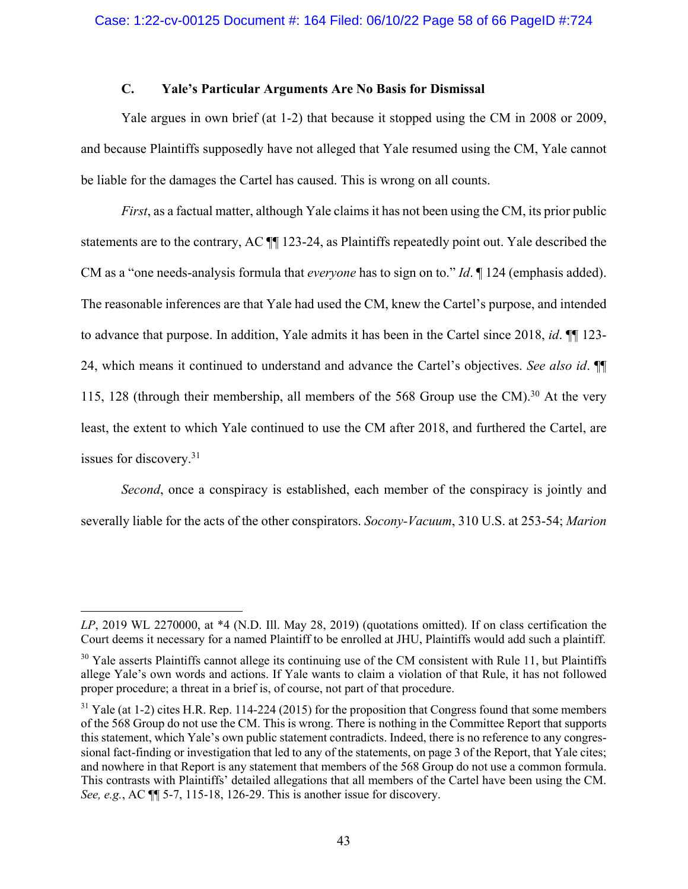## **C. Yale's Particular Arguments Are No Basis for Dismissal**

Yale argues in own brief (at 1-2) that because it stopped using the CM in 2008 or 2009, and because Plaintiffs supposedly have not alleged that Yale resumed using the CM, Yale cannot be liable for the damages the Cartel has caused. This is wrong on all counts.

*First*, as a factual matter, although Yale claims it has not been using the CM, its prior public statements are to the contrary, AC ¶¶ 123-24, as Plaintiffs repeatedly point out. Yale described the CM as a "one needs-analysis formula that *everyone* has to sign on to." *Id*. ¶ 124 (emphasis added). The reasonable inferences are that Yale had used the CM, knew the Cartel's purpose, and intended to advance that purpose. In addition, Yale admits it has been in the Cartel since 2018, *id*. ¶¶ 123- 24, which means it continued to understand and advance the Cartel's objectives. *See also id*. ¶¶ 115, 128 (through their membership, all members of the 568 Group use the CM).<sup>30</sup> At the very least, the extent to which Yale continued to use the CM after 2018, and furthered the Cartel, are issues for discovery.31

*Second*, once a conspiracy is established, each member of the conspiracy is jointly and severally liable for the acts of the other conspirators. *Socony-Vacuum*, 310 U.S. at 253-54; *Marion* 

*LP*, 2019 WL 2270000, at \*4 (N.D. Ill. May 28, 2019) (quotations omitted). If on class certification the Court deems it necessary for a named Plaintiff to be enrolled at JHU, Plaintiffs would add such a plaintiff.

<sup>&</sup>lt;sup>30</sup> Yale asserts Plaintiffs cannot allege its continuing use of the CM consistent with Rule 11, but Plaintiffs allege Yale's own words and actions. If Yale wants to claim a violation of that Rule, it has not followed proper procedure; a threat in a brief is, of course, not part of that procedure.

 $31$  Yale (at 1-2) cites H.R. Rep. 114-224 (2015) for the proposition that Congress found that some members of the 568 Group do not use the CM. This is wrong. There is nothing in the Committee Report that supports this statement, which Yale's own public statement contradicts. Indeed, there is no reference to any congressional fact-finding or investigation that led to any of the statements, on page 3 of the Report, that Yale cites; and nowhere in that Report is any statement that members of the 568 Group do not use a common formula. This contrasts with Plaintiffs' detailed allegations that all members of the Cartel have been using the CM. *See, e.g.*, AC ¶¶ 5-7, 115-18, 126-29. This is another issue for discovery.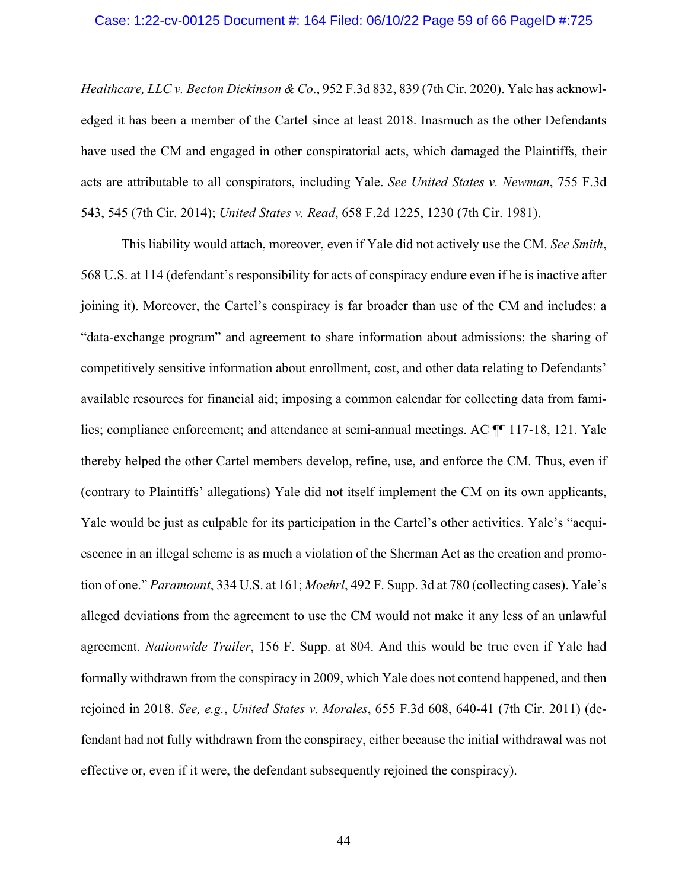### Case: 1:22-cv-00125 Document #: 164 Filed: 06/10/22 Page 59 of 66 PageID #:725

*Healthcare, LLC v. Becton Dickinson & Co*., 952 F.3d 832, 839 (7th Cir. 2020). Yale has acknowledged it has been a member of the Cartel since at least 2018. Inasmuch as the other Defendants have used the CM and engaged in other conspiratorial acts, which damaged the Plaintiffs, their acts are attributable to all conspirators, including Yale. *See United States v. Newman*, 755 F.3d 543, 545 (7th Cir. 2014); *United States v. Read*, 658 F.2d 1225, 1230 (7th Cir. 1981).

This liability would attach, moreover, even if Yale did not actively use the CM. *See Smith*, 568 U.S. at 114 (defendant's responsibility for acts of conspiracy endure even if he is inactive after joining it). Moreover, the Cartel's conspiracy is far broader than use of the CM and includes: a "data-exchange program" and agreement to share information about admissions; the sharing of competitively sensitive information about enrollment, cost, and other data relating to Defendants' available resources for financial aid; imposing a common calendar for collecting data from families; compliance enforcement; and attendance at semi-annual meetings. AC ¶¶ 117-18, 121. Yale thereby helped the other Cartel members develop, refine, use, and enforce the CM. Thus, even if (contrary to Plaintiffs' allegations) Yale did not itself implement the CM on its own applicants, Yale would be just as culpable for its participation in the Cartel's other activities. Yale's "acquiescence in an illegal scheme is as much a violation of the Sherman Act as the creation and promotion of one." *Paramount*, 334 U.S. at 161; *Moehrl*, 492 F. Supp. 3d at 780 (collecting cases). Yale's alleged deviations from the agreement to use the CM would not make it any less of an unlawful agreement. *Nationwide Trailer*, 156 F. Supp. at 804. And this would be true even if Yale had formally withdrawn from the conspiracy in 2009, which Yale does not contend happened, and then rejoined in 2018. *See, e.g.*, *United States v. Morales*, 655 F.3d 608, 640-41 (7th Cir. 2011) (defendant had not fully withdrawn from the conspiracy, either because the initial withdrawal was not effective or, even if it were, the defendant subsequently rejoined the conspiracy).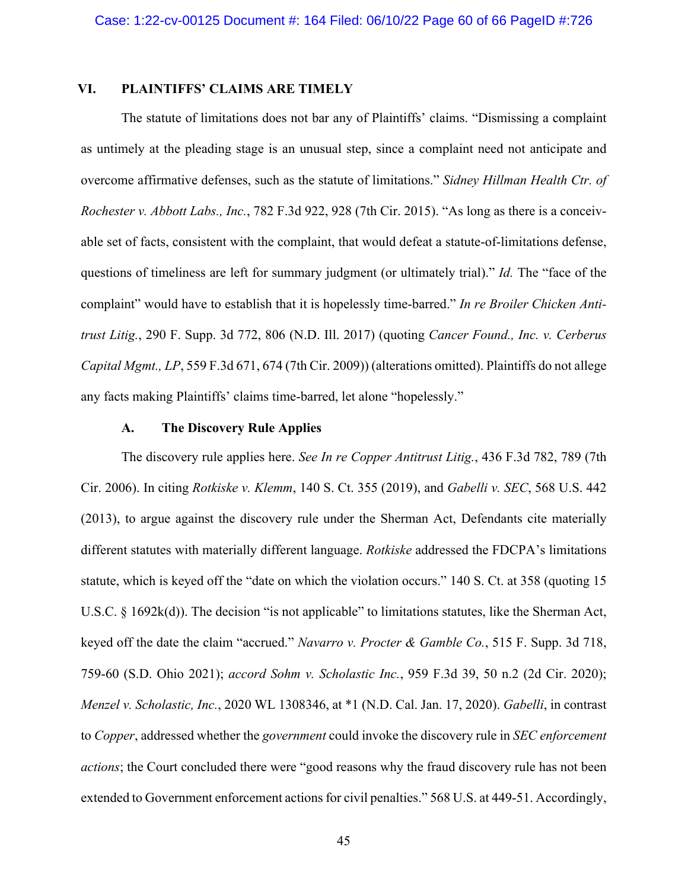## **VI. PLAINTIFFS' CLAIMS ARE TIMELY**

The statute of limitations does not bar any of Plaintiffs' claims. "Dismissing a complaint as untimely at the pleading stage is an unusual step, since a complaint need not anticipate and overcome affirmative defenses, such as the statute of limitations." *Sidney Hillman Health Ctr. of Rochester v. Abbott Labs., Inc.*, 782 F.3d 922, 928 (7th Cir. 2015). "As long as there is a conceivable set of facts, consistent with the complaint, that would defeat a statute-of-limitations defense, questions of timeliness are left for summary judgment (or ultimately trial)." *Id.* The "face of the complaint" would have to establish that it is hopelessly time-barred." *In re Broiler Chicken Antitrust Litig.*, 290 F. Supp. 3d 772, 806 (N.D. Ill. 2017) (quoting *Cancer Found., Inc. v. Cerberus Capital Mgmt., LP*, 559 F.3d 671, 674 (7th Cir. 2009)) (alterations omitted). Plaintiffs do not allege any facts making Plaintiffs' claims time-barred, let alone "hopelessly."

## **A. The Discovery Rule Applies**

The discovery rule applies here. *See In re Copper Antitrust Litig.*, 436 F.3d 782, 789 (7th Cir. 2006). In citing *Rotkiske v. Klemm*, 140 S. Ct. 355 (2019), and *Gabelli v. SEC*, 568 U.S. 442 (2013), to argue against the discovery rule under the Sherman Act, Defendants cite materially different statutes with materially different language. *Rotkiske* addressed the FDCPA's limitations statute, which is keyed off the "date on which the violation occurs." 140 S. Ct. at 358 (quoting 15 U.S.C. § 1692k(d)). The decision "is not applicable" to limitations statutes, like the Sherman Act, keyed off the date the claim "accrued." *Navarro v. Procter & Gamble Co.*, 515 F. Supp. 3d 718, 759-60 (S.D. Ohio 2021); *accord Sohm v. Scholastic Inc.*, 959 F.3d 39, 50 n.2 (2d Cir. 2020); *Menzel v. Scholastic, Inc.*, 2020 WL 1308346, at \*1 (N.D. Cal. Jan. 17, 2020). *Gabelli*, in contrast to *Copper*, addressed whether the *government* could invoke the discovery rule in *SEC enforcement actions*; the Court concluded there were "good reasons why the fraud discovery rule has not been extended to Government enforcement actions for civil penalties." 568 U.S. at 449-51. Accordingly,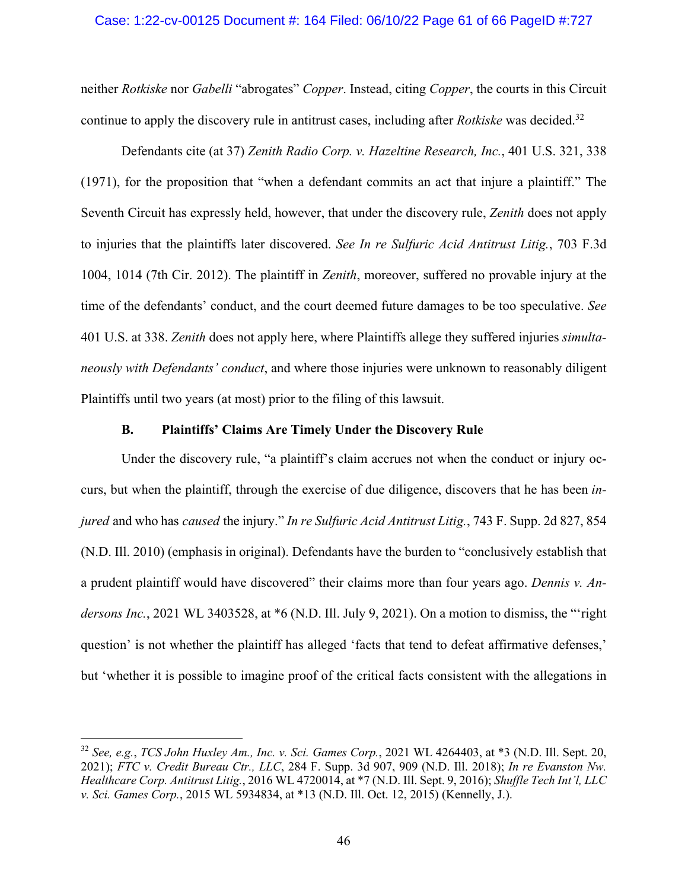## Case: 1:22-cv-00125 Document #: 164 Filed: 06/10/22 Page 61 of 66 PageID #:727

neither *Rotkiske* nor *Gabelli* "abrogates" *Copper*. Instead, citing *Copper*, the courts in this Circuit continue to apply the discovery rule in antitrust cases, including after *Rotkiske* was decided. 32

Defendants cite (at 37) *Zenith Radio Corp. v. Hazeltine Research, Inc.*, 401 U.S. 321, 338 (1971), for the proposition that "when a defendant commits an act that injure a plaintiff." The Seventh Circuit has expressly held, however, that under the discovery rule, *Zenith* does not apply to injuries that the plaintiffs later discovered. *See In re Sulfuric Acid Antitrust Litig.*, 703 F.3d 1004, 1014 (7th Cir. 2012). The plaintiff in *Zenith*, moreover, suffered no provable injury at the time of the defendants' conduct, and the court deemed future damages to be too speculative. *See* 401 U.S. at 338. *Zenith* does not apply here, where Plaintiffs allege they suffered injuries *simultaneously with Defendants' conduct*, and where those injuries were unknown to reasonably diligent Plaintiffs until two years (at most) prior to the filing of this lawsuit.

## **B. Plaintiffs' Claims Are Timely Under the Discovery Rule**

Under the discovery rule, "a plaintiff's claim accrues not when the conduct or injury occurs, but when the plaintiff, through the exercise of due diligence, discovers that he has been *injured* and who has *caused* the injury." *In re Sulfuric Acid Antitrust Litig.*, 743 F. Supp. 2d 827, 854 (N.D. Ill. 2010) (emphasis in original). Defendants have the burden to "conclusively establish that a prudent plaintiff would have discovered" their claims more than four years ago. *Dennis v. Andersons Inc.*, 2021 WL 3403528, at \*6 (N.D. Ill. July 9, 2021). On a motion to dismiss, the "'right question' is not whether the plaintiff has alleged 'facts that tend to defeat affirmative defenses,' but 'whether it is possible to imagine proof of the critical facts consistent with the allegations in

<sup>32</sup> *See, e.g.*, *TCS John Huxley Am., Inc. v. Sci. Games Corp.*, 2021 WL 4264403, at \*3 (N.D. Ill. Sept. 20, 2021); *FTC v. Credit Bureau Ctr., LLC*, 284 F. Supp. 3d 907, 909 (N.D. Ill. 2018); *In re Evanston Nw. Healthcare Corp. Antitrust Litig.*, 2016 WL 4720014, at \*7 (N.D. Ill. Sept. 9, 2016); *Shuffle Tech Int'l, LLC v. Sci. Games Corp.*, 2015 WL 5934834, at \*13 (N.D. Ill. Oct. 12, 2015) (Kennelly, J.).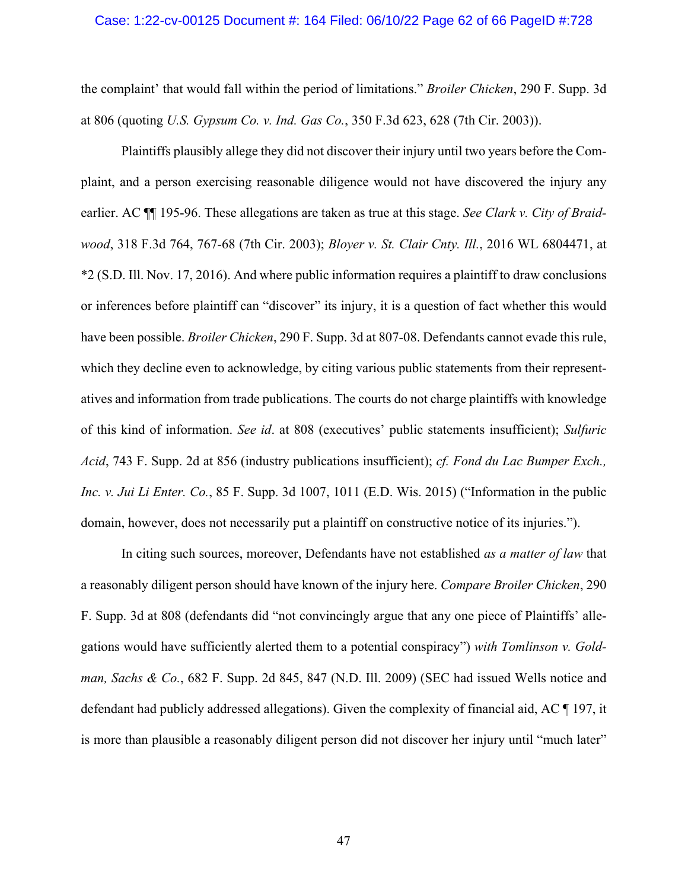#### Case: 1:22-cv-00125 Document #: 164 Filed: 06/10/22 Page 62 of 66 PageID #:728

the complaint' that would fall within the period of limitations." *Broiler Chicken*, 290 F. Supp. 3d at 806 (quoting *U.S. Gypsum Co. v. Ind. Gas Co.*, 350 F.3d 623, 628 (7th Cir. 2003)).

Plaintiffs plausibly allege they did not discover their injury until two years before the Complaint, and a person exercising reasonable diligence would not have discovered the injury any earlier. AC ¶¶ 195-96. These allegations are taken as true at this stage. *See Clark v. City of Braidwood*, 318 F.3d 764, 767-68 (7th Cir. 2003); *Bloyer v. St. Clair Cnty. Ill.*, 2016 WL 6804471, at \*2 (S.D. Ill. Nov. 17, 2016). And where public information requires a plaintiff to draw conclusions or inferences before plaintiff can "discover" its injury, it is a question of fact whether this would have been possible. *Broiler Chicken*, 290 F. Supp. 3d at 807-08. Defendants cannot evade this rule, which they decline even to acknowledge, by citing various public statements from their representatives and information from trade publications. The courts do not charge plaintiffs with knowledge of this kind of information. *See id*. at 808 (executives' public statements insufficient); *Sulfuric Acid*, 743 F. Supp. 2d at 856 (industry publications insufficient); *cf. Fond du Lac Bumper Exch., Inc. v. Jui Li Enter. Co.*, 85 F. Supp. 3d 1007, 1011 (E.D. Wis. 2015) ("Information in the public domain, however, does not necessarily put a plaintiff on constructive notice of its injuries.").

In citing such sources, moreover, Defendants have not established *as a matter of law* that a reasonably diligent person should have known of the injury here. *Compare Broiler Chicken*, 290 F. Supp. 3d at 808 (defendants did "not convincingly argue that any one piece of Plaintiffs' allegations would have sufficiently alerted them to a potential conspiracy") *with Tomlinson v. Goldman, Sachs & Co.*, 682 F. Supp. 2d 845, 847 (N.D. Ill. 2009) (SEC had issued Wells notice and defendant had publicly addressed allegations). Given the complexity of financial aid, AC ¶ 197, it is more than plausible a reasonably diligent person did not discover her injury until "much later"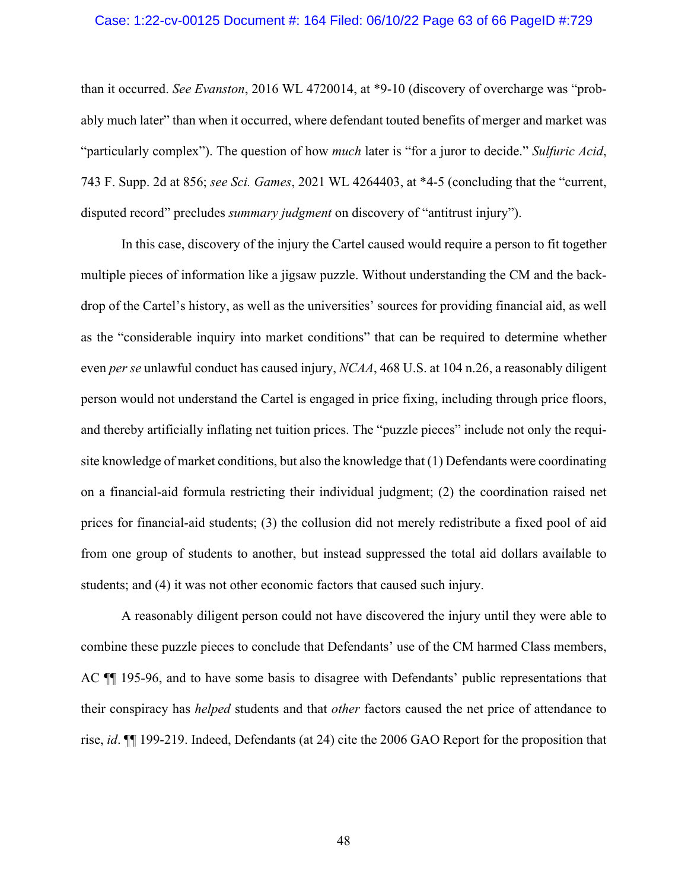#### Case: 1:22-cv-00125 Document #: 164 Filed: 06/10/22 Page 63 of 66 PageID #:729

than it occurred. *See Evanston*, 2016 WL 4720014, at \*9-10 (discovery of overcharge was "probably much later" than when it occurred, where defendant touted benefits of merger and market was "particularly complex"). The question of how *much* later is "for a juror to decide." *Sulfuric Acid*, 743 F. Supp. 2d at 856; *see Sci. Games*, 2021 WL 4264403, at \*4-5 (concluding that the "current, disputed record" precludes *summary judgment* on discovery of "antitrust injury").

In this case, discovery of the injury the Cartel caused would require a person to fit together multiple pieces of information like a jigsaw puzzle. Without understanding the CM and the backdrop of the Cartel's history, as well as the universities' sources for providing financial aid, as well as the "considerable inquiry into market conditions" that can be required to determine whether even *per se* unlawful conduct has caused injury, *NCAA*, 468 U.S. at 104 n.26, a reasonably diligent person would not understand the Cartel is engaged in price fixing, including through price floors, and thereby artificially inflating net tuition prices. The "puzzle pieces" include not only the requisite knowledge of market conditions, but also the knowledge that (1) Defendants were coordinating on a financial-aid formula restricting their individual judgment; (2) the coordination raised net prices for financial-aid students; (3) the collusion did not merely redistribute a fixed pool of aid from one group of students to another, but instead suppressed the total aid dollars available to students; and (4) it was not other economic factors that caused such injury.

A reasonably diligent person could not have discovered the injury until they were able to combine these puzzle pieces to conclude that Defendants' use of the CM harmed Class members, AC ¶¶ 195-96, and to have some basis to disagree with Defendants' public representations that their conspiracy has *helped* students and that *other* factors caused the net price of attendance to rise, *id*. ¶¶ 199-219. Indeed, Defendants (at 24) cite the 2006 GAO Report for the proposition that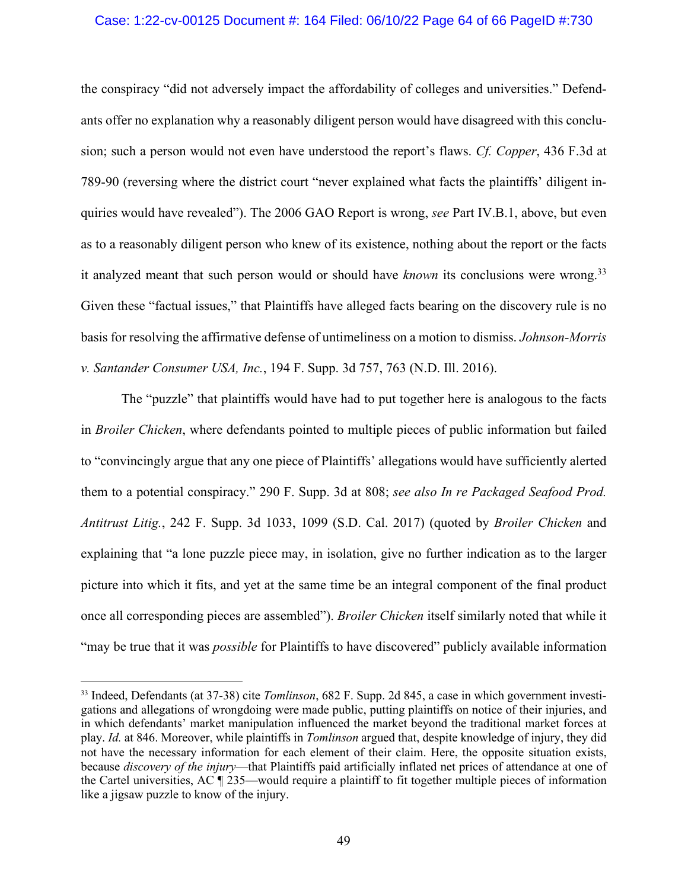### Case: 1:22-cv-00125 Document #: 164 Filed: 06/10/22 Page 64 of 66 PageID #:730

the conspiracy "did not adversely impact the affordability of colleges and universities." Defendants offer no explanation why a reasonably diligent person would have disagreed with this conclusion; such a person would not even have understood the report's flaws. *Cf. Copper*, 436 F.3d at 789-90 (reversing where the district court "never explained what facts the plaintiffs' diligent inquiries would have revealed"). The 2006 GAO Report is wrong, *see* Part IV.B.1, above, but even as to a reasonably diligent person who knew of its existence, nothing about the report or the facts it analyzed meant that such person would or should have *known* its conclusions were wrong.<sup>33</sup> Given these "factual issues," that Plaintiffs have alleged facts bearing on the discovery rule is no basis for resolving the affirmative defense of untimeliness on a motion to dismiss. *Johnson-Morris v. Santander Consumer USA, Inc.*, 194 F. Supp. 3d 757, 763 (N.D. Ill. 2016).

The "puzzle" that plaintiffs would have had to put together here is analogous to the facts in *Broiler Chicken*, where defendants pointed to multiple pieces of public information but failed to "convincingly argue that any one piece of Plaintiffs' allegations would have sufficiently alerted them to a potential conspiracy." 290 F. Supp. 3d at 808; *see also In re Packaged Seafood Prod. Antitrust Litig.*, 242 F. Supp. 3d 1033, 1099 (S.D. Cal. 2017) (quoted by *Broiler Chicken* and explaining that "a lone puzzle piece may, in isolation, give no further indication as to the larger picture into which it fits, and yet at the same time be an integral component of the final product once all corresponding pieces are assembled"). *Broiler Chicken* itself similarly noted that while it "may be true that it was *possible* for Plaintiffs to have discovered" publicly available information

<sup>33</sup> Indeed, Defendants (at 37-38) cite *Tomlinson*, 682 F. Supp. 2d 845, a case in which government investigations and allegations of wrongdoing were made public, putting plaintiffs on notice of their injuries, and in which defendants' market manipulation influenced the market beyond the traditional market forces at play. *Id.* at 846. Moreover, while plaintiffs in *Tomlinson* argued that, despite knowledge of injury, they did not have the necessary information for each element of their claim. Here, the opposite situation exists, because *discovery of the injury*—that Plaintiffs paid artificially inflated net prices of attendance at one of the Cartel universities, AC ¶ 235—would require a plaintiff to fit together multiple pieces of information like a jigsaw puzzle to know of the injury.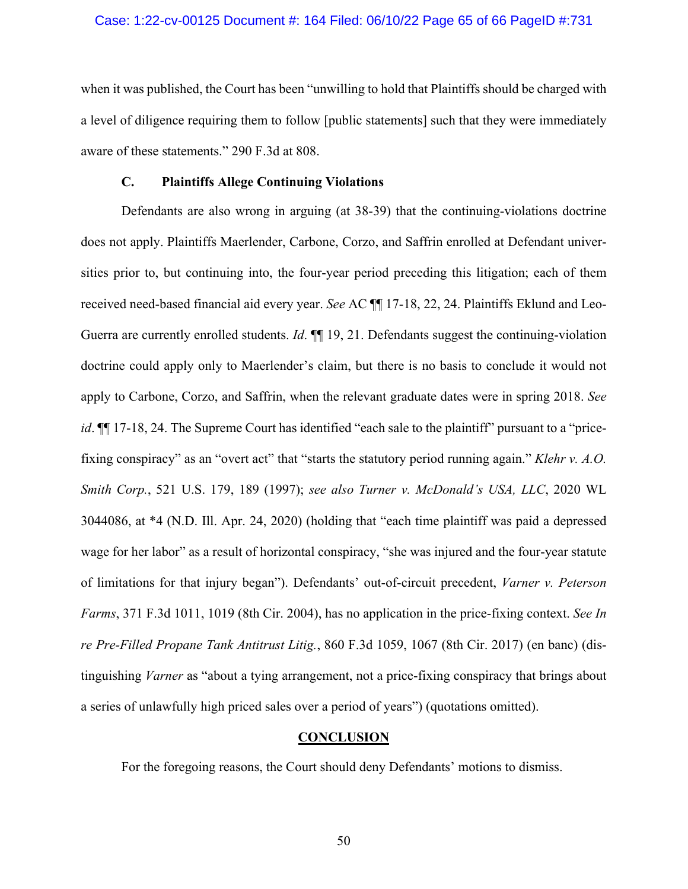## Case: 1:22-cv-00125 Document #: 164 Filed: 06/10/22 Page 65 of 66 PageID #:731

when it was published, the Court has been "unwilling to hold that Plaintiffs should be charged with a level of diligence requiring them to follow [public statements] such that they were immediately aware of these statements." 290 F.3d at 808.

## **C. Plaintiffs Allege Continuing Violations**

Defendants are also wrong in arguing (at 38-39) that the continuing-violations doctrine does not apply. Plaintiffs Maerlender, Carbone, Corzo, and Saffrin enrolled at Defendant universities prior to, but continuing into, the four-year period preceding this litigation; each of them received need-based financial aid every year. *See* AC ¶¶ 17-18, 22, 24. Plaintiffs Eklund and Leo-Guerra are currently enrolled students. *Id*. ¶¶ 19, 21. Defendants suggest the continuing-violation doctrine could apply only to Maerlender's claim, but there is no basis to conclude it would not apply to Carbone, Corzo, and Saffrin, when the relevant graduate dates were in spring 2018. *See id*.  $\P$  17-18, 24. The Supreme Court has identified "each sale to the plaintiff" pursuant to a "pricefixing conspiracy" as an "overt act" that "starts the statutory period running again." *Klehr v. A.O. Smith Corp.*, 521 U.S. 179, 189 (1997); *see also Turner v. McDonald's USA, LLC*, 2020 WL 3044086, at \*4 (N.D. Ill. Apr. 24, 2020) (holding that "each time plaintiff was paid a depressed wage for her labor" as a result of horizontal conspiracy, "she was injured and the four-year statute of limitations for that injury began"). Defendants' out-of-circuit precedent, *Varner v. Peterson Farms*, 371 F.3d 1011, 1019 (8th Cir. 2004), has no application in the price-fixing context. *See In re Pre-Filled Propane Tank Antitrust Litig.*, 860 F.3d 1059, 1067 (8th Cir. 2017) (en banc) (distinguishing *Varner* as "about a tying arrangement, not a price-fixing conspiracy that brings about a series of unlawfully high priced sales over a period of years") (quotations omitted).

## **CONCLUSION**

For the foregoing reasons, the Court should deny Defendants' motions to dismiss.